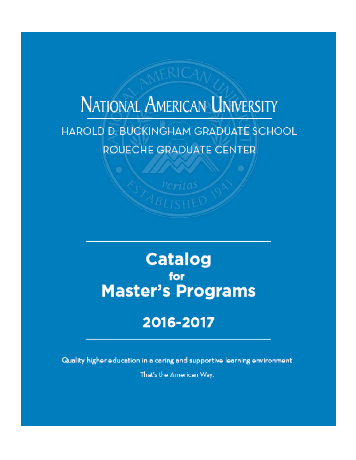# **NATIONAL AMERICAN UNIVERSITY**

HAROLD D. BUCKINGHAM GRADUATE SCHOOL ROUECHE GRADUATE CENTER

> **Catalog** for **Master's Programs**

# 2016-2017

Quality higher education in a caring and supportive learning environment That's the American Way.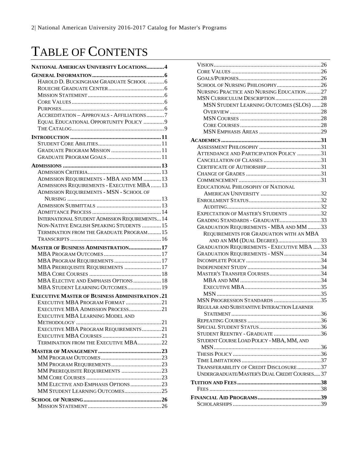# TABLE OF CONTENTS

| NATIONAL AMERICAN UNIVERSITY LOCATIONS4                |    |
|--------------------------------------------------------|----|
|                                                        |    |
| HAROLD D. BUCKINGHAM GRADUATE SCHOOL  6                |    |
|                                                        |    |
|                                                        |    |
|                                                        |    |
|                                                        |    |
| ACCREDITATION - APPROVALS - AFFILIATIONS7              |    |
| EQUAL EDUCATIONAL OPPORTUNITY POLICY  9                |    |
|                                                        |    |
|                                                        |    |
|                                                        |    |
|                                                        |    |
|                                                        |    |
|                                                        |    |
|                                                        |    |
| ADMISSION REQUIREMENTS - MBA AND MM  13                |    |
| ADMISSIONS REQUIREMENTS - EXECUTIVE MBA13              |    |
| <b>ADMISSION REQUIREMENTS - MSN - SCHOOL OF</b>        |    |
|                                                        |    |
|                                                        |    |
|                                                        |    |
| <b>INTERNATIONAL STUDENT ADMISSION REQUIREMENTS 14</b> |    |
| NON-NATIVE ENGLISH SPEAKING STUDENTS  15               |    |
| TERMINATION FROM THE GRADUATE PROGRAM15                |    |
|                                                        |    |
| <b>MASTER OF BUSINESS ADMINISTRATION 17</b>            |    |
|                                                        |    |
| MBA PROGRAM REQUIREMENTS  17                           |    |
| MBA PREREQUISITE REQUIREMENTS  17                      |    |
|                                                        |    |
| MBA ELECTIVE AND EMPHASIS OPTIONS  18                  |    |
| MBA STUDENT LEARNING OUTCOMES 19                       |    |
| <b>EXECUTIVE MASTER OF BUSINESS ADMINISTRATION.21</b>  |    |
| EXECUTIVE MBA PROGRAM FORMAT 21                        |    |
| EXECUTIVE MBA ADMISSION PROCESS21                      |    |
| EXECUTIVE MBA LEARNING MODEL AND                       |    |
| <b>METHODOLOGY</b> .                                   | 21 |
| EXECUTIVE MBA PROGRAM REQUIREMENTS21                   |    |
|                                                        |    |
| TERMINATION FROM THE EXECUTIVE MBA22                   |    |
|                                                        |    |
|                                                        |    |
|                                                        |    |
| MM PREREQUISITE REQUIREMENTS 23                        |    |
|                                                        |    |
| MM ELECTIVE AND EMPHASIS OPTIONS23                     |    |
| MM STUDENT LEARNING OUTCOMES25                         |    |
|                                                        |    |
|                                                        |    |
|                                                        |    |

| SCHOOL OF NURSING PHILOSOPHY26                |
|-----------------------------------------------|
| NURSING PRACTICE AND NURSING EDUCATION27      |
|                                               |
| MSN STUDENT LEARNING OUTCOMES (SLOS) 28       |
|                                               |
|                                               |
|                                               |
|                                               |
|                                               |
|                                               |
| ATTENDANCE AND PARTICIPATION POLICY 31        |
|                                               |
|                                               |
|                                               |
|                                               |
| EDUCATIONAL PHILOSOPHY OF NATIONAL            |
|                                               |
|                                               |
|                                               |
| EXPECTATION OF MASTER'S STUDENTS 32           |
|                                               |
| GRADING STANDARDS - GRADUATE33                |
| GRADUATION REQUIREMENTS - MBA AND MM 33       |
| REQUIREMENTS FOR GRADUATION WITH AN MBA       |
| AND AN MM (DUAL DEGREE)33                     |
| GRADUATION REQUIREMENTS - EXECUTIVE MBA 33    |
| GRADUATION REQUIREMENTS - MSN 34              |
|                                               |
|                                               |
|                                               |
|                                               |
|                                               |
|                                               |
|                                               |
| REGULAR AND SUBSTANTIVE INTERACTION LEARNER   |
|                                               |
|                                               |
|                                               |
| STUDENT REENTRY - GRADUATE 36                 |
| STUDENT COURSE LOAD POLICY - MBA, MM, AND     |
|                                               |
|                                               |
| TRANSFERABILITY OF CREDIT DISCLOSURE37        |
| UNDERGRADUATE/MASTER'S DUAL CREDIT COURSES 37 |
|                                               |
|                                               |
|                                               |
|                                               |
|                                               |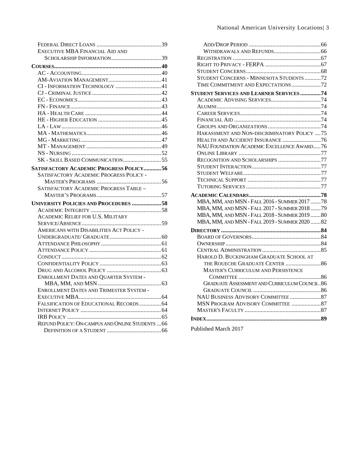| EXECUTIVE MBA FINANCIAL AID AND                  |
|--------------------------------------------------|
|                                                  |
|                                                  |
|                                                  |
|                                                  |
| CI - INFORMATION TECHNOLOGY 41                   |
|                                                  |
|                                                  |
|                                                  |
|                                                  |
|                                                  |
|                                                  |
|                                                  |
|                                                  |
|                                                  |
|                                                  |
| SK - SKILL BASED COMMUNICATION55                 |
| SATISFACTORY ACADEMIC PROGRESS POLICY 56         |
| SATISFACTORY ACADEMIC PROGRESS POLICY -          |
|                                                  |
| SATISFACTORY ACADEMIC PROGRESS TABLE -           |
|                                                  |
| UNIVERSITY POLICIES AND PROCEDURES 58            |
|                                                  |
| <b>ACADEMIC RELIEF FOR U.S. MILITARY</b>         |
|                                                  |
| AMERICANS WITH DISABILITIES ACT POLICY -         |
|                                                  |
|                                                  |
|                                                  |
|                                                  |
|                                                  |
|                                                  |
| ENROLLMENT DATES AND QUARTER SYSTEM -            |
|                                                  |
| ENROLLMENT DATES AND TRIMESTER SYSTEM -          |
|                                                  |
| FALSIFICATION OF EDUCATIONAL RECORDS  64         |
|                                                  |
|                                                  |
| REFUND POLICY: ON-CAMPUS AND ONLINE STUDENTS  66 |
|                                                  |

| STUDENT CONCERNS - MINNESOTA STUDENTS72              |  |
|------------------------------------------------------|--|
| TIME COMMITMENT AND EXPECTATIONS72                   |  |
| STUDENT SERVICES AND LEARNER SERVICES 74             |  |
|                                                      |  |
|                                                      |  |
|                                                      |  |
|                                                      |  |
|                                                      |  |
| HARASSMENT AND NON-DISCRIMINATORY POLICY 75          |  |
| HEALTH AND ACCIDENT INSURANCE 76                     |  |
| NAU FOUNDATION ACADEMIC EXCELLENCE AWARD76           |  |
|                                                      |  |
| RECOGNITION AND SCHOLARSHIPS 77                      |  |
|                                                      |  |
|                                                      |  |
|                                                      |  |
|                                                      |  |
|                                                      |  |
| MBA, MM, AND MSN - FALL 2016 - SUMMER 2017 78        |  |
| MBA, MM, AND MSN - FALL 2017 - SUMMER 2018 79        |  |
| MBA, MM, AND MSN - FALL 2018 - SUMMER 2019 80        |  |
| MBA, MM, AND MSN - FALL 2019 - SUMMER 2020 82        |  |
|                                                      |  |
|                                                      |  |
|                                                      |  |
|                                                      |  |
| HAROLD D. BUCKINGHAM GRADUATE SCHOOL AT              |  |
| THE ROUECHE GRADUATE CENTER  86                      |  |
| <b>MASTER'S CURRICULUM AND PERSISTENCE</b>           |  |
|                                                      |  |
| <b>GRADUATE ASSESSMENT AND CURRICULUM COUNCIL.86</b> |  |
|                                                      |  |
|                                                      |  |
|                                                      |  |
|                                                      |  |
|                                                      |  |
|                                                      |  |

Published March 2017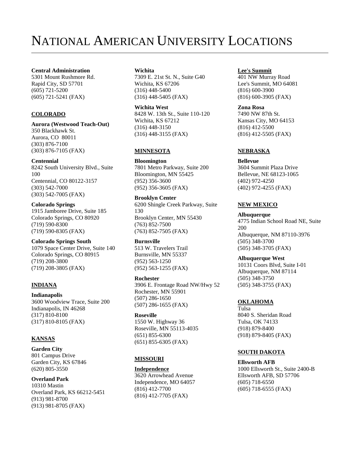# <span id="page-3-0"></span>NATIONAL AMERICAN UNIVERSITY LOCATIONS

#### **Central Administration**

5301 Mount Rushmore Rd. Rapid City, SD 57701 (605) 721-5200 (605) 721-5241 (FAX)

#### **COLORADO**

**Aurora (Westwood Teach-Out)** 350 Blackhawk St. Aurora, CO 80011 (303) 876-7100 (303) 876-7105 (FAX)

#### **Centennial**

8242 South University Blvd., Suite 100 Centennial, CO 80122-3157 (303) 542-7000 (303) 542-7005 (FAX)

**Colorado Springs** 1915 Jamboree Drive, Suite 185 Colorado Springs, CO 80920 (719) 590-8300 (719) 590-8305 (FAX)

#### **Colorado Springs South**

1079 Space Center Drive, Suite 140 Colorado Springs, CO 80915 (719) 208-3800 (719) 208-3805 (FAX)

#### **INDIANA**

**Indianapolis** 3600 Woodview Trace, Suite 200 Indianapolis, IN 46268 (317) 810-8100 (317) 810-8105 (FAX)

#### **KANSAS**

**Garden City** 801 Campus Drive Garden City, KS 67846 (620) 805-3550

**Overland Park** 10310 Mastin Overland Park, KS 66212-5451 (913) 981-8700 (913) 981-8705 (FAX)

#### **Wichita**

7309 E. 21st St. N., Suite G40 Wichita, KS 67206 (316) 448-5400 (316) 448-5405 (FAX)

**Wichita West** 8428 W. 13th St., Suite 110-120 Wichita, KS 67212 (316) 448-3150 (316) 448-3155 (FAX)

#### **MINNESOTA**

**Bloomington** 7801 Metro Parkway, Suite 200 Bloomington, MN 55425 (952) 356-3600 (952) 356-3605 (FAX)

#### **Brooklyn Center**

6200 Shingle Creek Parkway, Suite 130 Brooklyn Center, MN 55430 (763) 852-7500 (763) 852-7505 (FAX)

**Burnsville** 513 W. Travelers Trail Burnsville, MN 55337 (952) 563-1250 (952) 563-1255 (FAX)

#### **Rochester**

3906 E. Frontage Road NW/Hwy 52 Rochester, MN 55901 (507) 286-1650 (507) 286-1655 (FAX)

**Roseville** 1550 W. Highway 36 Roseville, MN 55113-4035 (651) 855-6300 (651) 855-6305 (FAX)

#### **MISSOURI**

**Independence** 3620 Arrowhead Avenue Independence, MO 64057 (816) 412-7700 (816) 412-7705 (FAX)

#### **Lee's Summit**

401 NW Murray Road Lee's Summit, MO 64081 (816) 600-3900 (816) 600-3905 (FAX)

**Zona Rosa**

7490 NW 87th St. Kansas City, MO 64153 (816) 412-5500 (816) 412-5505 (FAX)

#### **NEBRASKA**

**Bellevue** 3604 Summit Plaza Drive Bellevue, NE 68123-1065 (402) 972-4250 (402) 972-4255 (FAX)

#### **NEW MEXICO**

**Albuquerque** 4775 Indian School Road NE, Suite 200 Albuquerque, NM 87110-3976 (505) 348-3700 (505) 348-3705 (FAX)

**Albuquerque West** 10131 Coors Blvd, Suite I-01 Albuquerque, NM 87114 (505) 348-3750 (505) 348-3755 (FAX)

#### **OKLAHOMA**

Tulsa 8040 S. Sheridan Road Tulsa, OK 74133 (918) 879-8400 (918) 879-8405 (FAX)

#### **SOUTH DAKOTA**

**Ellsworth AFB** 1000 Ellsworth St., Suite 2400-B Ellsworth AFB, SD 57706 (605) 718-6550 (605) 718-6555 (FAX)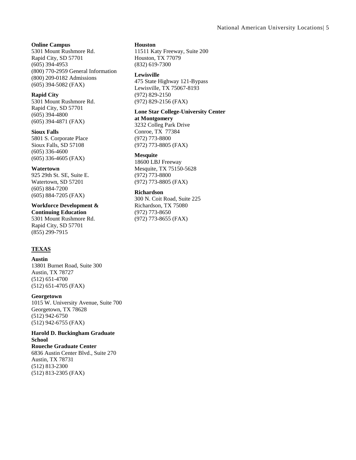#### **Online Campus**

5301 Mount Rushmore Rd. Rapid City, SD 57701 (605) 394-4953 (800) 770-2959 General Information (800) 209-0182 Admissions (605) 394-5082 (FAX)

#### **Rapid City**

5301 Mount Rushmore Rd. Rapid City, SD 57701 (605) 394-4800 (605) 394-4871 (FAX)

#### **Sioux Falls**

5801 S. Corporate Place Sioux Falls, SD 57108 (605) 336-4600 (605) 336-4605 (FAX)

#### **Watertown**

925 29th St. SE, Suite E. Watertown, SD 57201 (605) 884-7200 (605) 884-7205 (FAX)

#### **Workforce Development &**

**Continuing Education**

5301 Mount Rushmore Rd. Rapid City, SD 57701 (855) 299-7915

#### **TEXAS**

**Austin**

13801 Burnet Road, Suite 300 Austin, TX 78727 (512) 651-4700 (512) 651-4705 (FAX)

#### **Georgetown**

1015 W. University Avenue, Suite 700 Georgetown, TX 78628 (512) 942-6750 (512) 942-6755 (FAX)

**Harold D. Buckingham Graduate School Roueche Graduate Center**

6836 Austin Center Blvd., Suite 270 Austin, TX 78731 (512) 813-2300 (512) 813-2305 (FAX)

#### **Houston**

11511 Katy Freeway, Suite 200 Houston, TX 77079 (832) 619-7300

#### **Lewisville**

475 State Highway 121-Bypass Lewisville, TX 75067-8193 (972) 829-2150 (972) 829-2156 (FAX)

### **Lone Star College-University Center**

**at Montgomery** 3232 Colleg Park Drive Conroe, TX 77384 (972) 773-8800

(972) 773-8805 (FAX)

#### **Mesquite**

18600 LBJ Freeway Mesquite, TX 75150-5628 (972) 773-8800 (972) 773-8805 (FAX)

#### **Richardson**

300 N. Coit Road, Suite 225 Richardson, TX 75080 (972) 773-8650 (972) 773-8655 (FAX)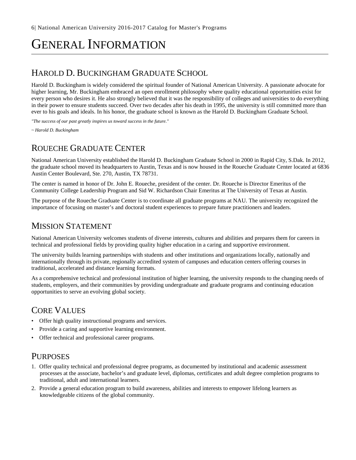# <span id="page-5-0"></span>GENERAL INFORMATION

## <span id="page-5-1"></span>HAROLD D. BUCKINGHAM GRADUATE SCHOOL

Harold D. Buckingham is widely considered the spiritual founder of National American University. A passionate advocate for higher learning, Mr. Buckingham embraced an open enrollment philosophy where quality educational opportunities exist for every person who desires it. He also strongly believed that it was the responsibility of colleges and universities to do everything in their power to ensure students succeed. Over two decades after his death in 1995, the university is still committed more than ever to his goals and ideals. In his honor, the graduate school is known as the Harold D. Buckingham Graduate School.

*"The success of our past greatly inspires us toward success in the future."*

*~ Harold D. Buckingham*

### <span id="page-5-2"></span>ROUECHE GRADUATE CENTER

National American University established the Harold D. Buckingham Graduate School in 2000 in Rapid City, S.Dak. In 2012, the graduate school moved its headquarters to Austin, Texas and is now housed in the Roueche Graduate Center located at 6836 Austin Center Boulevard, Ste. 270, Austin, TX 78731.

The center is named in honor of Dr. John E. Roueche, president of the center. Dr. Roueche is Director Emeritus of the Community College Leadership Program and Sid W. Richardson Chair Emeritus at The University of Texas at Austin.

The purpose of the Roueche Graduate Center is to coordinate all graduate programs at NAU. The university recognized the importance of focusing on master's and doctoral student experiences to prepare future practitioners and leaders.

### <span id="page-5-3"></span>MISSION STATEMENT

National American University welcomes students of diverse interests, cultures and abilities and prepares them for careers in technical and professional fields by providing quality higher education in a caring and supportive environment.

The university builds learning partnerships with students and other institutions and organizations locally, nationally and internationally through its private, regionally accredited system of campuses and education centers offering courses in traditional, accelerated and distance learning formats.

As a comprehensive technical and professional institution of higher learning, the university responds to the changing needs of students, employers, and their communities by providing undergraduate and graduate programs and continuing education opportunities to serve an evolving global society.

## <span id="page-5-4"></span>CORE VALUES

- Offer high quality instructional programs and services.
- Provide a caring and supportive learning environment.
- Offer technical and professional career programs.

### <span id="page-5-5"></span>PURPOSES

- 1. Offer quality technical and professional degree programs, as documented by institutional and academic assessment processes at the associate, bachelor's and graduate level, diplomas, certificates and adult degree completion programs to traditional, adult and international learners.
- 2. Provide a general education program to build awareness, abilities and interests to empower lifelong learners as knowledgeable citizens of the global community.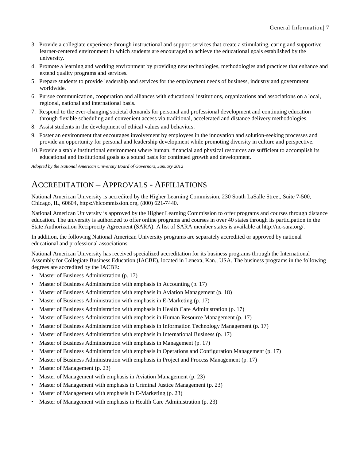- 3. Provide a collegiate experience through instructional and support services that create a stimulating, caring and supportive learner-centered environment in which students are encouraged to achieve the educational goals established by the university.
- 4. Promote a learning and working environment by providing new technologies, methodologies and practices that enhance and extend quality programs and services.
- 5. Prepare students to provide leadership and services for the employment needs of business, industry and government worldwide.
- 6. Pursue communication, cooperation and alliances with educational institutions, organizations and associations on a local, regional, national and international basis.
- 7. Respond to the ever-changing societal demands for personal and professional development and continuing education through flexible scheduling and convenient access via traditional, accelerated and distance delivery methodologies.
- 8. Assist students in the development of ethical values and behaviors.
- 9. Foster an environment that encourages involvement by employees in the innovation and solution-seeking processes and provide an opportunity for personal and leadership development while promoting diversity in culture and perspective.
- 10.Provide a stable institutional environment where human, financial and physical resources are sufficient to accomplish its educational and institutional goals as a sound basis for continued growth and development.

*Adopted by the National American University Board of Governors, January 2012*

### <span id="page-6-0"></span>ACCREDITATION – APPROVALS - AFFILIATIONS

National American University is accredited by the Higher Learning Commission, 230 South LaSalle Street, Suite 7-500, Chicago, IL, 60604, https://hlcommission.org, (800) 621-7440.

National American University is approved by the Higher Learning Commission to offer programs and courses through distance education. The university is authorized to offer online programs and courses in over 40 states through its participation in the State Authorization Reciprocity Agreement (SARA). A list of SARA member states is available at http://nc-sara.org/.

In addition, the following National American University programs are separately accredited or approved by national educational and professional associations.

National American University has received specialized accreditation for its business programs through the International Assembly for Collegiate Business Education (IACBE), located in Lenexa, Kan., USA. The business programs in the following degrees are accredited by the IACBE:

- Master of Business Administration (p. [17\)](#page-16-0)
- Master of Business Administration with emphasis in Accounting (p[. 17\)](#page-16-0)
- Master of Business Administration with emphasis in Aviation Management (p[. 18\)](#page-17-2)
- Master of Business Administration with emphasis in E-Marketing (p. [17\)](#page-16-0)
- Master of Business Administration with emphasis in Health Care Administration (p. [17\)](#page-16-0)
- Master of Business Administration with emphasis in Human Resource Management (p[. 17\)](#page-16-0)
- Master of Business Administration with emphasis in Information Technology Management (p[. 17\)](#page-16-0)
- Master of Business Administration with emphasis in International Business (p. [17\)](#page-16-0)
- Master of Business Administration with emphasis in Management (p. [17\)](#page-16-0)
- Master of Business Administration with emphasis in Operations and Configuration Management (p. [17\)](#page-16-0)
- Master of Business Administration with emphasis in Project and Process Management (p. [17\)](#page-16-0)
- Master of Management (p[. 23\)](#page-22-0)
- Master of Management with emphasis in Aviation Management (p. [23\)](#page-22-6)
- Master of Management with emphasis in Criminal Justice Management (p. [23\)](#page-22-5)
- Master of Management with emphasis in E-Marketing (p. [23\)](#page-22-5)
- Master of Management with emphasis in Health Care Administration (p. [23\)](#page-22-5)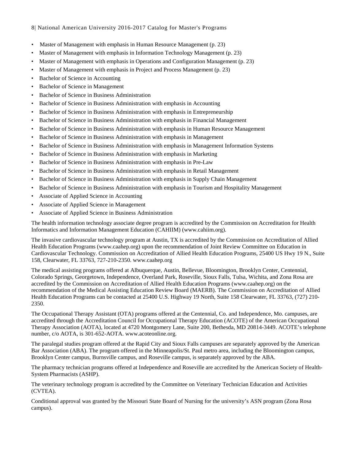#### 8| National American University 2016-2017 Catalog for Master's Programs

- Master of Management with emphasis in Human Resource Management (p. [23\)](#page-22-5)
- Master of Management with emphasis in Information Technology Management (p. [23\)](#page-22-5)
- Master of Management with emphasis in Operations and Configuration Management (p[. 23\)](#page-22-5)
- Master of Management with emphasis in Project and Process Management (p. [23\)](#page-22-5)
- Bachelor of Science in Accounting
- Bachelor of Science in Management
- Bachelor of Science in Business Administration
- Bachelor of Science in Business Administration with emphasis in Accounting
- Bachelor of Science in Business Administration with emphasis in Entrepreneurship
- Bachelor of Science in Business Administration with emphasis in Financial Management
- Bachelor of Science in Business Administration with emphasis in Human Resource Management
- Bachelor of Science in Business Administration with emphasis in Management
- Bachelor of Science in Business Administration with emphasis in Management Information Systems
- Bachelor of Science in Business Administration with emphasis in Marketing
- Bachelor of Science in Business Administration with emphasis in Pre-Law
- Bachelor of Science in Business Administration with emphasis in Retail Management
- Bachelor of Science in Business Administration with emphasis in Supply Chain Management
- Bachelor of Science in Business Administration with emphasis in Tourism and Hospitality Management
- Associate of Applied Science in Accounting
- Associate of Applied Science in Management
- Associate of Applied Science in Business Administration

The health information technology associate degree program is accredited by the Commission on Accreditation for Health Informatics and Information Management Education (CAHIIM) (www.cahiim.org).

The invasive cardiovascular technology program at Austin, TX is accredited by the Commission on Accreditation of Allied Health Education Programs (www.caahep.org) upon the recommendation of Joint Review Committee on Education in Cardiovascular Technology. Commission on Accreditation of Allied Health Education Programs, 25400 US Hwy 19 N., Suite 158, Clearwater, FL 33763, 727-210-2350. www.caahep.org

The medical assisting programs offered at Albuquerque, Austin, Bellevue, Bloomington, Brooklyn Center, Centennial, Colorado Springs, Georgetown, Independence, Overland Park, Roseville, Sioux Falls, Tulsa, Wichita, and Zona Rosa are accredited by the Commission on Accreditation of Allied Health Education Programs (www.caahep.org) on the recommendation of the Medical Assisting Education Review Board (MAERB). The Commission on Accreditation of Allied Health Education Programs can be contacted at 25400 U.S. Highway 19 North, Suite 158 Clearwater, FL 33763, (727) 210- 2350.

The Occupational Therapy Assistant (OTA) programs offered at the Centennial, Co. and Independence, Mo. campuses, are accredited through the Accreditation Council for Occupational Therapy Education (ACOTE) of the American Occupational Therapy Association (AOTA), located at 4720 Montgomery Lane, Suite 200, Bethesda, MD 20814-3449. ACOTE's telephone number, c/o AOTA, is 301-652-AOTA. www.acoteonline.org.

The paralegal studies program offered at the Rapid City and Sioux Falls campuses are separately approved by the American Bar Association (ABA). The program offered in the Minneapolis/St. Paul metro area, including the Bloomington campus, Brooklyn Center campus, Burnsville campus, and Roseville campus, is separately approved by the ABA.

The pharmacy technician programs offered at Independence and Roseville are accredited by the American Society of Health-System Pharmacists (ASHP).

The veterinary technology program is accredited by the Committee on Veterinary Technician Education and Activities (CVTEA).

Conditional approval was granted by the Missouri State Board of Nursing for the university's ASN program (Zona Rosa campus).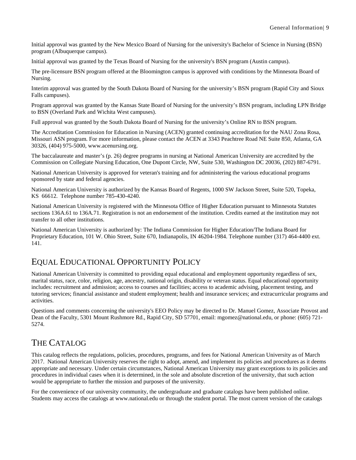Initial approval was granted by the New Mexico Board of Nursing for the university's Bachelor of Science in Nursing (BSN) program (Albuquerque campus).

Initial approval was granted by the Texas Board of Nursing for the university's BSN program (Austin campus).

The pre-licensure BSN program offered at the Bloomington campus is approved with conditions by the Minnesota Board of Nursing.

Interim approval was granted by the South Dakota Board of Nursing for the university's BSN program (Rapid City and Sioux Falls campuses).

Program approval was granted by the Kansas State Board of Nursing for the university's BSN program, including LPN Bridge to BSN (Overland Park and Wichita West campuses).

Full approval was granted by the South Dakota Board of Nursing for the university's Online RN to BSN program.

The Accreditation Commission for Education in Nursing (ACEN) granted continuing accreditation for the NAU Zona Rosa, Missouri ASN program. For more information, please contact the ACEN at 3343 Peachtree Road NE Suite 850, Atlanta, GA 30326, (404) 975-5000, www.acenursing.org.

The baccalaureate and master's (p[. 26\)](#page-25-0) degree programs in nursing at National American University are accredited by the Commission on Collegiate Nursing Education, One Dupont Circle, NW, Suite 530, Washington DC 20036, (202) 887-6791.

National American University is approved for veteran's training and for administering the various educational programs sponsored by state and federal agencies.

National American University is authorized by the Kansas Board of Regents, 1000 SW Jackson Street, Suite 520, Topeka, KS 66612. Telephone number 785-430-4240.

National American University is registered with the Minnesota Office of Higher Education pursuant to Minnesota Statutes sections 136A.61 to 136A.71. Registration is not an endorsement of the institution. Credits earned at the institution may not transfer to all other institutions.

National American University is authorized by: The Indiana Commission for Higher Education/The Indiana Board for Proprietary Education, 101 W. Ohio Street, Suite 670, Indianapolis, IN 46204-1984. Telephone number (317) 464-4400 ext. 141.

### <span id="page-8-0"></span>EQUAL EDUCATIONAL OPPORTUNITY POLICY

National American University is committed to providing equal educational and employment opportunity regardless of sex, marital status, race, color, religion, age, ancestry, national origin, disability or veteran status. Equal educational opportunity includes: recruitment and admission; access to courses and facilities; access to academic advising, placement testing, and tutoring services; financial assistance and student employment; health and insurance services; and extracurricular programs and activities.

Questions and comments concerning the university's EEO Policy may be directed to Dr. Manuel Gomez, Associate Provost and Dean of the Faculty, 5301 Mount Rushmore Rd., Rapid City, SD 57701, email: mgomez@national.edu, or phone: (605) 721- 5274.

## <span id="page-8-1"></span>THE CATALOG

This catalog reflects the regulations, policies, procedures, programs, and fees for National American University as of March 2017. National American University reserves the right to adopt, amend, and implement its policies and procedures as it deems appropriate and necessary. Under certain circumstances, National American University may grant exceptions to its policies and procedures in individual cases when it is determined, in the sole and absolute discretion of the university, that such action would be appropriate to further the mission and purposes of the university.

For the convenience of our university community, the undergraduate and graduate catalogs have been published online. Students may access the catalogs at www.national.edu or through the student portal. The most current version of the catalogs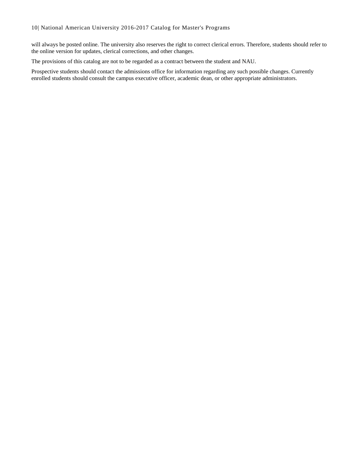will always be posted online. The university also reserves the right to correct clerical errors. Therefore, students should refer to the online version for updates, clerical corrections, and other changes.

The provisions of this catalog are not to be regarded as a contract between the student and NAU.

Prospective students should contact the admissions office for information regarding any such possible changes. Currently enrolled students should consult the campus executive officer, academic dean, or other appropriate administrators.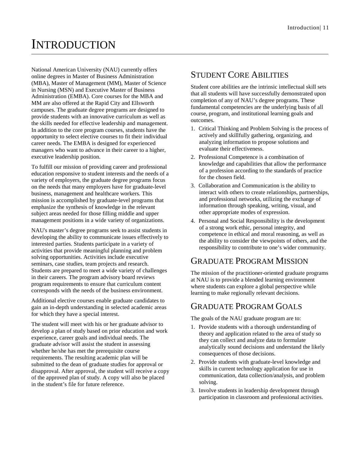# <span id="page-10-0"></span>**INTRODUCTION**

National American University (NAU) currently offers online degrees in Master of Business Administration (MBA), Master of Management (MM), Master of Science in Nursing (MSN) and Executive Master of Business Administration (EMBA). Core courses for the MBA and MM are also offered at the Rapid City and Ellsworth campuses. The graduate degree programs are designed to provide students with an innovative curriculum as well as the skills needed for effective leadership and management. In addition to the core program courses, students have the opportunity to select elective courses to fit their individual career needs. The EMBA is designed for experienced managers who want to advance in their career to a higher, executive leadership position.

To fulfill our mission of providing career and professional education responsive to student interests and the needs of a variety of employers, the graduate degree programs focus on the needs that many employers have for graduate-level business, management and healthcare workers. This mission is accomplished by graduate-level programs that emphasize the synthesis of knowledge in the relevant subject areas needed for those filling middle and upper management positions in a wide variety of organizations.

NAU's master's degree programs seek to assist students in developing the ability to communicate issues effectively to interested parties. Students participate in a variety of activities that provide meaningful planning and problem solving opportunities. Activities include executive seminars, case studies, team projects and research. Students are prepared to meet a wide variety of challenges in their careers. The program advisory board reviews program requirements to ensure that curriculum content corresponds with the needs of the business environment.

Additional elective courses enable graduate candidates to gain an in-depth understanding in selected academic areas for which they have a special interest.

The student will meet with his or her graduate advisor to develop a plan of study based on prior education and work experience, career goals and individual needs. The graduate advisor will assist the student in assessing whether he/she has met the prerequisite course requirements. The resulting academic plan will be submitted to the dean of graduate studies for approval or disapproval. After approval, the student will receive a copy of the approved plan of study. A copy will also be placed in the student's file for future reference.

### <span id="page-10-1"></span>STUDENT CORE ABILITIES

Student core abilities are the intrinsic intellectual skill sets that all students will have successfully demonstrated upon completion of any of NAU's degree programs. These fundamental competencies are the underlying basis of all course, program, and institutional learning goals and outcomes.

- 1. Critical Thinking and Problem Solving is the process of actively and skillfully gathering, organizing, and analyzing information to propose solutions and evaluate their effectiveness.
- 2. Professional Competence is a combination of knowledge and capabilities that allow the performance of a profession according to the standards of practice for the chosen field.
- 3. Collaboration and Communication is the ability to interact with others to create relationships, partnerships, and professional networks, utilizing the exchange of information through speaking, writing, visual, and other appropriate modes of expression.
- 4. Personal and Social Responsibility is the development of a strong work ethic, personal integrity, and competence in ethical and moral reasoning, as well as the ability to consider the viewpoints of others, and the responsibility to contribute to one's wider community.

# <span id="page-10-2"></span>GRADUATE PROGRAM MISSION

The mission of the practitioner-oriented graduate programs at NAU is to provide a blended learning environment where students can explore a global perspective while learning to make regionally relevant decisions.

### <span id="page-10-3"></span>GRADUATE PROGRAM GOALS

The goals of the NAU graduate program are to:

- 1. Provide students with a thorough understanding of theory and application related to the area of study so they can collect and analyze data to formulate analytically sound decisions and understand the likely consequences of those decisions.
- 2. Provide students with graduate-level knowledge and skills in current technology application for use in communication, data collection/analysis, and problem solving.
- 3. Involve students in leadership development through participation in classroom and professional activities.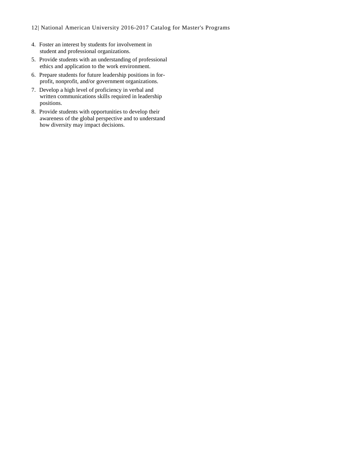- 4. Foster an interest by students for involvement in student and professional organizations.
- 5. Provide students with an understanding of professional ethics and application to the work environment.
- 6. Prepare students for future leadership positions in forprofit, nonprofit, and/or government organizations.
- 7. Develop a high level of proficiency in verbal and written communications skills required in leadership positions.
- 8. Provide students with opportunities to develop their awareness of the global perspective and to understand how diversity may impact decisions.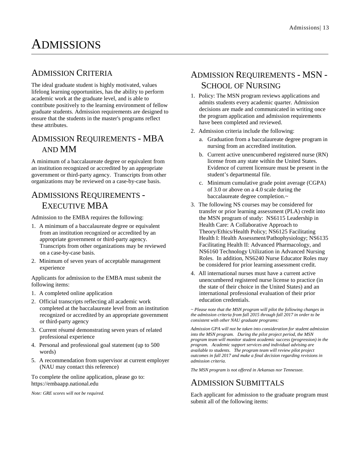# <span id="page-12-0"></span>ADMISSIONS

### <span id="page-12-1"></span>ADMISSION CRITERIA

The ideal graduate student is highly motivated, values lifelong learning opportunities, has the ability to perform academic work at the graduate level, and is able to contribute positively to the learning environment of fellow graduate students. Admission requirements are designed to ensure that the students in the master's programs reflect these attributes.

# <span id="page-12-2"></span>ADMISSION REQUIREMENTS - MBA AND MM

A minimum of a baccalaureate degree or equivalent from an institution recognized or accredited by an appropriate government or third-party agency. Transcripts from other organizations may be reviewed on a case-by-case basis.

## <span id="page-12-3"></span>ADMISSIONS REQUIREMENTS - EXECUTIVE MBA

Admission to the EMBA requires the following:

- 1. A minimum of a baccalaureate degree or equivalent from an institution recognized or accredited by an appropriate government or third-party agency. Transcripts from other organizations may be reviewed on a case-by-case basis.
- 2. Minimum of seven years of acceptable management experience

Applicants for admission to the EMBA must submit the following items:

- 1. A completed online application
- 2. Official transcripts reflecting all academic work completed at the baccalaureate level from an institution recognized or accredited by an appropriate government or third-party agency
- 3. Current résumé demonstrating seven years of related professional experience
- 4. Personal and professional goal statement (up to 500 words)
- 5. A recommendation from supervisor at current employer (NAU may contact this reference)

To complete the online application, please go to: https://embaapp.national.edu

*Note: GRE scores will not be required.*

## <span id="page-12-4"></span>ADMISSION REQUIREMENTS - MSN - SCHOOL OF NURSING

- 1. Policy: The MSN program reviews applications and admits students every academic quarter. Admission decisions are made and communicated in writing once the program application and admission requirements have been completed and reviewed.
- 2. Admission criteria include the following:
	- a. Graduation from a baccalaureate degree program in nursing from an accredited institution.
	- b. Current active unencumbered registered nurse (RN) license from any state within the United States. Evidence of current licensure must be present in the student's departmental file.
	- c. Minimum cumulative grade point average (CGPA) of 3.0 or above on a 4.0 scale during the baccalaureate degree completion.~
- 3. The following NS courses may be considered for transfer or prior learning assessment (PLA) credit into the MSN program of study: NS6115 Leadership in Health Care: A Collaborative Approach to Theory/Ethics/Health Policy; NS6125 Facilitating Health I: Health Assessment/Pathophysiology; NS6135 Facilitating Health II: Advanced Pharmacology, and NS6160 Technology Utilization in Advanced Nursing Roles. In addition, NS6240 Nurse Educator Roles may be considered for prior learning assessment credit.
- 4. All international nurses must have a current active unencumbered registered nurse license to practice (in the state of their choice in the United States) and an international professional evaluation of their prior education credentials.

*~ Please note that the MSN program will pilot the following changes in the admission criteria from fall 2015 through fall 2017 in order to be consistent with other NAU graduate programs:* 

*Admission GPA will not be taken into consideration for student admission into the MSN program. During the pilot project period, the MSN program team will monitor student academic success (progression) in the program. Academic support services and individual advising are available to students. The program team will review pilot project outcomes in fall 2017 and make a final decision regarding revisions in admission criteria.*

<span id="page-12-5"></span>*The MSN program is not offered in Arkansas nor Tennessee.*

### ADMISSION SUBMITTALS

Each applicant for admission to the graduate program must submit all of the following items: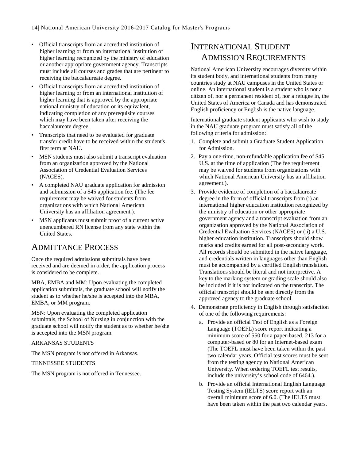- Official transcripts from an accredited institution of higher learning or from an international institution of higher learning recognized by the ministry of education or another appropriate government agency. Transcripts must include all courses and grades that are pertinent to receiving the baccalaureate degree.
- Official transcripts from an accredited institution of higher learning or from an international institution of higher learning that is approved by the appropriate national ministry of education or its equivalent, indicating completion of any prerequisite courses which may have been taken after receiving the baccalaureate degree.
- Transcripts that need to be evaluated for graduate transfer credit have to be received within the student's first term at NAU.
- MSN students must also submit a transcript evaluation from an organization approved by the National Association of Credential Evaluation Services (NACES).
- A completed NAU graduate application for admission and submission of a \$45 application fee. (The fee requirement may be waived for students from organizations with which National American University has an affiliation agreement.).
- MSN applicants must submit proof of a current active unencumbered RN license from any state within the United States.

### <span id="page-13-0"></span>ADMITTANCE PROCESS

Once the required admissions submittals have been received and are deemed in order, the application process is considered to be complete.

MBA, EMBA and MM: Upon evaluating the completed application submittals, the graduate school will notify the student as to whether he/she is accepted into the MBA, EMBA, or MM program.

MSN: Upon evaluating the completed application submittals, the School of Nursing in conjunction with the graduate school will notify the student as to whether he/she is accepted into the MSN program.

#### ARKANSAS STUDENTS

The MSN program is not offered in Arkansas.

#### TENNESSEE STUDENTS

The MSN program is not offered in Tennessee.

### <span id="page-13-1"></span>INTERNATIONAL STUDENT ADMISSION REQUIREMENTS

National American University encourages diversity within its student body, and international students from many countries study at NAU campuses in the United States or online. An international student is a student who is not a citizen of, nor a permanent resident of, nor a refugee in, the United States of America or Canada and has demonstrated English proficiency or English is the native language.

International graduate student applicants who wish to study in the NAU graduate program must satisfy all of the following criteria for admission:

- 1. Complete and submit a Graduate Student Application for Admission.
- 2. Pay a one-time, non-refundable application fee of \$45 U.S. at the time of application (The fee requirement may be waived for students from organizations with which National American University has an affiliation agreement.).
- 3. Provide evidence of completion of a baccalaureate degree in the form of official transcripts from (i) an international higher education institution recognized by the ministry of education or other appropriate government agency and a transcript evaluation from an organization approved by the National Association of Credential Evaluation Services (NACES) or (ii) a U.S. higher education institution. Transcripts should show marks and credits earned for all post-secondary work. All records should be submitted in the native language, and credentials written in languages other than English must be accompanied by a certified English translation. Translations should be literal and not interpretive. A key to the marking system or grading scale should also be included if it is not indicated on the transcript. The official transcript should be sent directly from the approved agency to the graduate school.
- 4. Demonstrate proficiency in English through satisfaction of one of the following requirements:
	- a. Provide an official Test of English as a Foreign Language (TOEFL) score report indicating a minimum score of 550 for a paper-based, 213 for a computer-based or 80 for an Internet-based exam (The TOEFL must have been taken within the past two calendar years. Official test scores must be sent from the testing agency to National American University. When ordering TOEFL test results, include the university's school code of 6464.).
	- b. Provide an official International English Language Testing System (IELTS) score report with an overall minimum score of 6.0. (The IELTS must have been taken within the past two calendar years.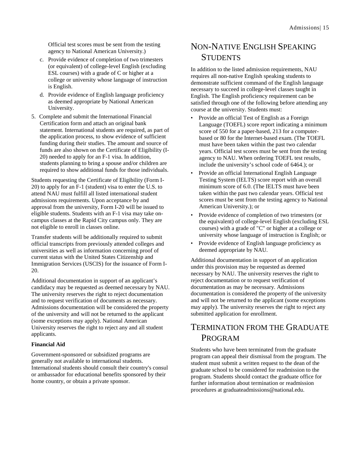Official test scores must be sent from the testing agency to National American University.)

- c. Provide evidence of completion of two trimesters (or equivalent) of college-level English (excluding ESL courses) with a grade of C or higher at a college or university whose language of instruction is English.
- d. Provide evidence of English language proficiency as deemed appropriate by National American University.
- 5. Complete and submit the International Financial Certification form and attach an original bank statement. International students are required, as part of the application process, to show evidence of sufficient funding during their studies. The amount and source of funds are also shown on the Certificate of Eligibility (I-20) needed to apply for an F-1 visa. In addition, students planning to bring a spouse and/or children are required to show additional funds for those individuals.

Students requesting the Certificate of Eligibility (Form I-20) to apply for an F-1 (student) visa to enter the U.S. to attend NAU must fulfill all listed international student admissions requirements. Upon acceptance by and approval from the university, Form I-20 will be issued to eligible students. Students with an F-1 visa may take oncampus classes at the Rapid City campus only. They are not eligible to enroll in classes online.

Transfer students will be additionally required to submit official transcripts from previously attended colleges and universities as well as information concerning proof of current status with the United States Citizenship and Immigration Services (USCIS) for the issuance of Form I-20.

Additional documentation in support of an applicant's candidacy may be requested as deemed necessary by NAU. The university reserves the right to reject documentation and to request verification of documents as necessary. Admissions documentation will be considered the property of the university and will not be returned to the applicant (some exceptions may apply). National American University reserves the right to reject any and all student applicants.

#### **Financial Aid**

Government-sponsored or subsidized programs are generally not available to international students. International students should consult their country's consul or ambassador for educational benefits sponsored by their home country, or obtain a private sponsor.

## <span id="page-14-0"></span>NON-NATIVE ENGLISH SPEAKING **STUDENTS**

In addition to the listed admission requirements, NAU requires all non-native English speaking students to demonstrate sufficient command of the English language necessary to succeed in college-level classes taught in English. The English proficiency requirement can be satisfied through one of the following before attending any course at the university. Students must:

- Provide an official Test of English as a Foreign Language (TOEFL) score report indicating a minimum score of 550 for a paper-based, 213 for a computerbased or 80 for the Internet-based exam. (The TOEFL must have been taken within the past two calendar years. Official test scores must be sent from the testing agency to NAU. When ordering TOEFL test results, include the university's school code of 6464.); or
- Provide an official International English Language Testing System (IELTS) score report with an overall minimum score of 6.0. (The IELTS must have been taken within the past two calendar years. Official test scores must be sent from the testing agency to National American University.); or
- Provide evidence of completion of two trimesters (or the equivalent) of college-level English (excluding ESL courses) with a grade of "C" or higher at a college or university whose language of instruction is English; or
- Provide evidence of English language proficiency as deemed appropriate by NAU.

Additional documentation in support of an application under this provision may be requested as deemed necessary by NAU. The university reserves the right to reject documentation or to request verification of documentation as may be necessary. Admissions documentation is considered the property of the university and will not be returned to the applicant (some exceptions may apply). The university reserves the right to reject any submitted application for enrollment.

### <span id="page-14-1"></span>TERMINATION FROM THE GRADUATE PROGRAM

Students who have been terminated from the graduate program can appeal their dismissal from the program. The student must submit a written request to the dean of the graduate school to be considered for readmission to the program. Students should contact the graduate office for further information about termination or readmission procedures at graduateadmissions@national.edu.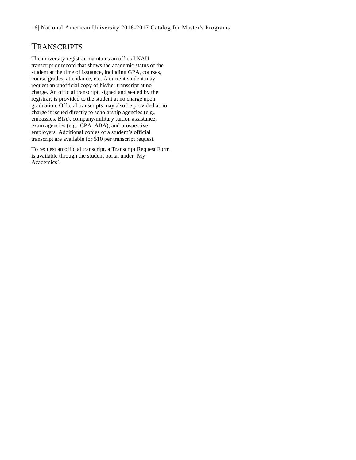### <span id="page-15-0"></span>**TRANSCRIPTS**

The university registrar maintains an official NAU transcript or record that shows the academic status of the student at the time of issuance, including GPA, courses, course grades, attendance, etc. A current student may request an unofficial copy of his/her transcript at no charge. An official transcript, signed and sealed by the registrar, is provided to the student at no charge upon graduation. Official transcripts may also be provided at no charge if issued directly to scholarship agencies (e.g., embassies, BIA), company/military tuition assistance, exam agencies (e.g., CPA, ABA), and prospective employers. Additional copies of a student's official transcript are available for \$10 per transcript request.

To request an official transcript, a Transcript Request Form is available through the student portal under 'My Academics'.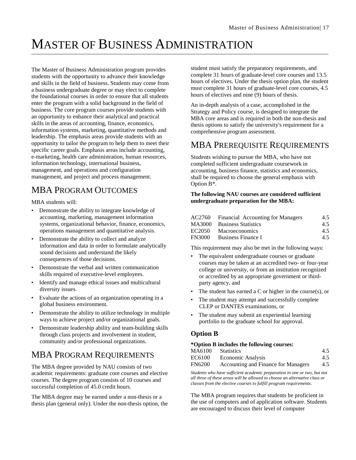# <span id="page-16-0"></span>MASTER OF BUSINESS ADMINISTRATION

The Master of Business Administration program provides students with the opportunity to advance their knowledge and skills in the field of business. Students may come from a business undergraduate degree or may elect to complete the foundational courses in order to ensure that all students enter the program with a solid background in the field of business. The core program courses provide students with an opportunity to enhance their analytical and practical skills in the areas of accounting, finance, economics, information systems, marketing, quantitative methods and leadership. The emphasis areas provide students with an opportunity to tailor the program to help them to meet their specific career goals. Emphasis areas include accounting, e-marketing, health care administration, human resources, information technology, international business, management, and operations and configuration management, and project and process management.

# <span id="page-16-1"></span>MBA PROGRAM OUTCOMES

MBA students will:

- Demonstrate the ability to integrate knowledge of accounting, marketing, management information systems, organizational behavior, finance, economics, operations management and quantitative analysis.
- Demonstrate the ability to collect and analyze information and data in order to formulate analytically sound decisions and understand the likely consequences of those decisions.
- Demonstrate the verbal and written communication skills required of executive-level employees.
- Identify and manage ethical issues and multicultural diversity issues.
- Evaluate the actions of an organization operating in a global business environment.
- Demonstrate the ability to utilize technology in multiple ways to achieve project and/or organizational goals.
- Demonstrate leadership ability and team-building skills through class projects and involvement in student, community and/or professional organizations.

## <span id="page-16-2"></span>MBA PROGRAM REQUIREMENTS

The MBA degree provided by NAU consists of two academic requirements: graduate core courses and elective courses. The degree program consists of 10 courses and successful completion of 45.0 credit hours.

The MBA degree may be earned under a non-thesis or a thesis plan (general only). Under the non-thesis option, the student must satisfy the preparatory requirements, and complete 31 hours of graduate-level core courses and 13.5 hours of electives. Under the thesis option plan, the student must complete 31 hours of graduate-level core courses, 4.5 hours of electives and nine (9) hours of thesis.

An in-depth analysis of a case, accomplished in the Strategy and Policy course, is designed to integrate the MBA core areas and is required in both the non-thesis and thesis options to satisfy the university's requirement for a comprehensive program assessment.

### <span id="page-16-3"></span>MBA PREREQUISITE REQUIREMENTS

Students wishing to pursue the MBA, who have not completed sufficient undergraduate coursework in accounting, business finance, statistics and economics, shall be required to choose the general emphasis with Option B\*.

#### **The following NAU courses are considered sufficient undergraduate preparation for the MBA:**

|        | AC2760 Financial Accounting for Managers | 4.5 |
|--------|------------------------------------------|-----|
|        | MA3000 Business Statistics               | 4.5 |
| EC2050 | Macroeconomics                           | 4.5 |
| FN3000 | Business Finance I                       | 4.5 |

This requirement may also be met in the following ways:

- The equivalent undergraduate courses or graduate courses may be taken at an accredited two- or four-year college or university, or from an institution recognized or accredited by an appropriate government or thirdparty agency, and
- The student has earned a C or higher in the course $(s)$ , or
- The student may attempt and successfully complete CLEP or DANTES examinations, or
- The student may submit an experiential learning portfolio to the graduate school for approval.

### **Option B**

#### **\*Option B includes the following courses:**

| MA6100        | <b>Statistics</b>                   | 4.5 |
|---------------|-------------------------------------|-----|
| EC6100        | Economic Analysis                   | 4.5 |
| <b>FN6200</b> | Accounting and Finance for Managers | 4.5 |

*Students who have sufficient academic preparation in one or two, but not all three of these areas will be allowed to choose an alternative class or classes from the elective courses to fulfill program requirements.*

The MBA program requires that students be proficient in the use of computers and of application software. Students are encouraged to discuss their level of computer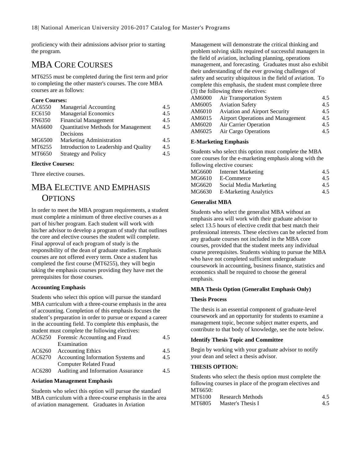proficiency with their admissions advisor prior to starting the program.

# <span id="page-17-0"></span>MBA CORE COURSES

MT6255 must be completed during the first term and prior to completing the other master's courses. The core MBA courses are as follows:

#### **Core Courses:**

| AC6550        | <b>Managerial Accounting</b>               | 4.5 |
|---------------|--------------------------------------------|-----|
| EC6150        | <b>Managerial Economics</b>                | 4.5 |
| <b>FN6350</b> | <b>Financial Management</b>                | 4.5 |
| MA6600        | <b>Quantitative Methods for Management</b> | 4.5 |
|               | Decisions                                  |     |
| MG6500        | Marketing Administration                   | 4.5 |
| MT6255        | Introduction to Leadership and Quality     | 4.5 |
| MT6650        | <b>Strategy and Policy</b>                 | 4.5 |
|               |                                            |     |

#### **Elective Courses:**

<span id="page-17-1"></span>Three elective courses.

## MBA ELECTIVE AND EMPHASIS **OPTIONS**

In order to meet the MBA program requirements, a student must complete a minimum of three elective courses as a part of his/her program. Each student will work with his/her advisor to develop a program of study that outlines the core and elective courses the student will complete. Final approval of each program of study is the responsibility of the dean of graduate studies. Emphasis courses are not offered every term. Once a student has completed the first course (MT6255), they will begin taking the emphasis courses providing they have met the prerequisites for those courses.

#### **Accounting Emphasis**

Students who select this option will pursue the standard MBA curriculum with a three-course emphasis in the area of accounting. Completion of this emphasis focuses the student's preparation in order to pursue or expand a career in the accounting field. To complete this emphasis, the student must complete the following electives:

|        | AC6250 Forensic Accounting and Fraud      | 4.5 |
|--------|-------------------------------------------|-----|
|        | Examination                               |     |
|        | AC6260 Accounting Ethics                  | 4.5 |
| AC6270 | Accounting Information Systems and        | 4.5 |
|        | <b>Computer Related Fraud</b>             |     |
| AC6280 | <b>Auditing and Information Assurance</b> | 4.5 |
|        |                                           |     |

#### <span id="page-17-2"></span>**Aviation Management Emphasis**

Students who select this option will pursue the standard MBA curriculum with a three-course emphasis in the area of aviation management. Graduates in Aviation

Management will demonstrate the critical thinking and problem solving skills required of successful managers in the field of aviation, including planning, operations management, and forecasting. Graduates must also exhibit their understanding of the ever growing challenges of safety and security ubiquitous in the field of aviation. To complete this emphasis, the student must complete three (3) the following three electives:

| AM6000 | Air Transportation System                | 4.5 |
|--------|------------------------------------------|-----|
| AM6005 | <b>Aviation Safety</b>                   | 4.5 |
| AM6010 | <b>Aviation and Airport Security</b>     | 4.5 |
| AM6015 | <b>Airport Operations and Management</b> | 4.5 |
| AM6020 | Air Carrier Operation                    | 4.5 |
| AM6025 | Air Cargo Operations                     | 4.5 |

#### **E-Marketing Emphasis**

Students who select this option must complete the MBA core courses for the e-marketing emphasis along with the following elective courses:

| MG6600 | Internet Marketing           | 4.5 |
|--------|------------------------------|-----|
| MG6610 | E-Commerce                   | 4.5 |
| MG6620 | Social Media Marketing       | 4.5 |
| MG6630 | <b>E-Marketing Analytics</b> | 4.5 |
|        |                              |     |

#### **Generalist MBA**

Students who select the generalist MBA without an emphasis area will work with their graduate advisor to select 13.5 hours of elective credit that best match their professional interests. These electives can be selected from any graduate courses not included in the MBA core courses, provided that the student meets any individual course prerequisites. Students wishing to pursue the MBA who have not completed sufficient undergraduate coursework in accounting, business finance, statistics and economics shall be required to choose the general emphasis.

#### **MBA Thesis Option (Generalist Emphasis Only)**

#### **Thesis Process**

The thesis is an essential component of graduate-level coursework and an opportunity for students to examine a management topic, become subject matter experts, and contribute to that body of knowledge, see the note below.

#### **Identify Thesis Topic and Committee**

Begin by working with your graduate advisor to notify your dean and select a thesis advisor.

#### **THESIS OPTION:**

Students who select the thesis option must complete the following courses in place of the program electives and MT6650:

| MT6100 | Research Methods  | 4.5 |
|--------|-------------------|-----|
| MT6805 | Master's Thesis I | 4.5 |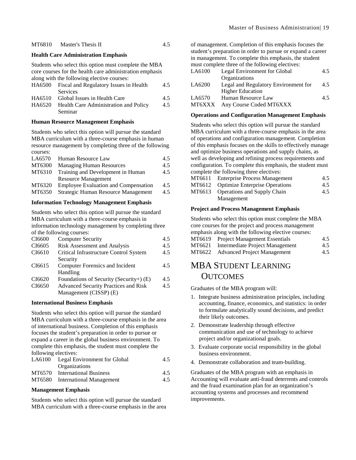#### MT6810 Master's Thesis II 4.5

#### **Health Care Administration Emphasis**

Students who select this option must complete the MBA core courses for the health care administration emphasis along with the following elective courses:

| HA6500 | Fiscal and Regulatory Issues in Health | 4.5 |
|--------|----------------------------------------|-----|
|        | <b>Services</b>                        |     |
|        | HA6510 Global Issues in Health Care    | 4.5 |
| HA6520 | Health Care Administration and Policy  | 4.5 |
|        | Seminar                                |     |

#### **Human Resource Management Emphasis**

Students who select this option will pursue the standard MBA curriculum with a three-course emphasis in human resource management by completing three of the following courses:

| LA6570 | Human Resource Law                          | 4.5 |
|--------|---------------------------------------------|-----|
| MT6300 | <b>Managing Human Resources</b>             | 4.5 |
| MT6310 | Training and Development in Human           | 4.5 |
|        | <b>Resource Management</b>                  |     |
| MT6320 | <b>Employee Evaluation and Compensation</b> | 4.5 |
| MT6350 | Strategic Human Resource Management         | 4.5 |

#### **Information Technology Management Emphasis**

Students who select this option will pursue the standard MBA curriculum with a three-course emphasis in information technology management by completing three

of the following courses:

| <b>Computer Security</b>                    | 4.5 |
|---------------------------------------------|-----|
| <b>Risk Assessment and Analysis</b>         | 4.5 |
| Critical Infrastructure Control System      | 4.5 |
| Security                                    |     |
| Computer Forensics and Incident             | 4.5 |
| Handling                                    |     |
| Foundations of Security (Security+) $(E)$   | 4.5 |
| <b>Advanced Security Practices and Risk</b> | 4.5 |
| Management (CISSP) (E)                      |     |
|                                             |     |

#### **International Business Emphasis**

Students who select this option will pursue the standard MBA curriculum with a three-course emphasis in the area of international business. Completion of this emphasis focuses the student's preparation in order to pursue or expand a career in the global business environment. To complete this emphasis, the student must complete the following electives: LA6100 Legal Environment for Global  $\overline{4}$ .5

|        | LAUTUU LEgal Environment tul Uluual | $+$ |
|--------|-------------------------------------|-----|
|        | <i><u><b>Organizations</b></u></i>  |     |
| MT6570 | International Business              | 4.5 |
|        | MT6580 International Management     | 4.5 |
|        |                                     |     |

#### **Management Emphasis**

Students who select this option will pursue the standard MBA curriculum with a three-course emphasis in the area of management. Completion of this emphasis focuses the student's preparation in order to pursue or expand a career in management. To complete this emphasis, the student must complete three of the following electives:

| LA6100 | Legal Environment for Global         | 4.5 |
|--------|--------------------------------------|-----|
|        | Organizations                        |     |
| LA6200 | Legal and Regulatory Environment for | 4.5 |
|        | <b>Higher Education</b>              |     |
| LA6570 | Human Resource Law                   | 4.5 |
| MT6XXX | Any Course Coded MT6XXX              |     |

#### **Operations and Configuration Management Emphasis**

Students who select this option will pursue the standard MBA curriculum with a three-course emphasis in the area of operations and configuration management. Completion of this emphasis focuses on the skills to effectively manage and optimize business operations and supply chains, as well as developing and refining process requirements and configuration. To complete this emphasis, the student must complete the following three electives:

| MT6611 Enterprise Process Management  | 4.5 |
|---------------------------------------|-----|
| MT6612 Optimize Enterprise Operations | 4.5 |
| MT6613 Operations and Supply Chain    | 4.5 |
| Management                            |     |

#### **Project and Process Management Emphasis**

Students who select this option must complete the MBA core courses for the project and process management emphasis along with the following elective courses:

|        | MT6619 Project Management Essentials | 4.5 |
|--------|--------------------------------------|-----|
| MT6621 | Intermediate Project Management      | 4.5 |
|        | MT6622 Advanced Project Management   | 4.5 |

### <span id="page-18-0"></span>MBA STUDENT LEARNING **OUTCOMES**

Graduates of the MBA program will:

- 1. Integrate business administration principles, including accounting, finance, economics, and statistics: in order to formulate analytically sound decisions, and predict their likely outcomes.
- 2. Demonstrate leadership through effective communication and use of technology to achieve project and/or organizational goals.
- 3. Evaluate corporate social responsibility in the global business environment.
- 4. Demonstrate collaboration and team-building.

Graduates of the MBA program with an emphasis in Accounting will evaluate anti-fraud deterrents and controls and the fraud examination plan for an organization's accounting systems and processes and recommend improvements.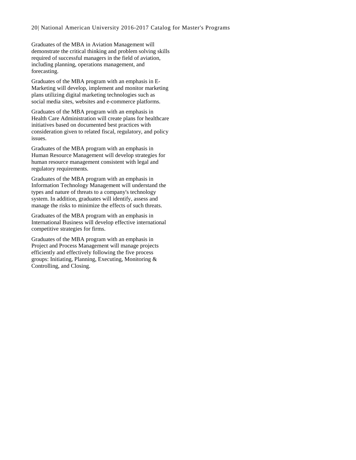#### 20| National American University 2016-2017 Catalog for Master's Programs

Graduates of the MBA in Aviation Management will demonstrate the critical thinking and problem solving skills required of successful managers in the field of aviation, including planning, operations management, and forecasting.

Graduates of the MBA program with an emphasis in E-Marketing will develop, implement and monitor marketing plans utilizing digital marketing technologies such as social media sites, websites and e-commerce platforms.

Graduates of the MBA program with an emphasis in Health Care Administration will create plans for healthcare initiatives based on documented best practices with consideration given to related fiscal, regulatory, and policy issues.

Graduates of the MBA program with an emphasis in Human Resource Management will develop strategies for human resource management consistent with legal and regulatory requirements.

Graduates of the MBA program with an emphasis in Information Technology Management will understand the types and nature of threats to a company's technology system. In addition, graduates will identify, assess and manage the risks to minimize the effects of such threats.

Graduates of the MBA program with an emphasis in International Business will develop effective international competitive strategies for firms.

Graduates of the MBA program with an emphasis in Project and Process Management will manage projects efficiently and effectively following the five process groups: Initiating, Planning, Executing, Monitoring & Controlling, and Closing.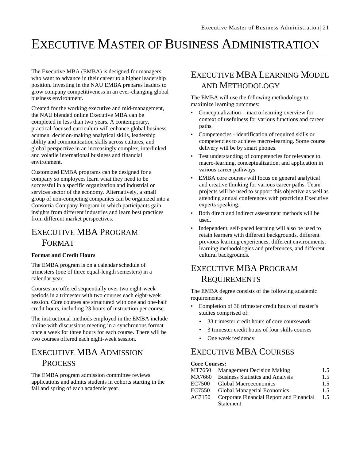# <span id="page-20-0"></span>EXECUTIVE MASTER OF BUSINESS ADMINISTRATION

The Executive MBA (EMBA) is designed for managers who want to advance in their career to a higher leadership position. Investing in the NAU EMBA prepares leaders to grow company competitiveness in an ever-changing global business environment.

Created for the working executive and mid-management, the NAU blended online Executive MBA can be completed in less than two years. A contemporary, practical-focused curriculum will enhance global business acumen, decision-making analytical skills, leadership ability and communication skills across cultures, and global perspective in an increasingly complex, interlinked and volatile international business and financial environment.

Customized EMBA programs can be designed for a company so employees learn what they need to be successful in a specific organization and industrial or services sector of the economy. Alternatively, a small group of non-competing companies can be organized into a Consortia Company Program in which participants gain insights from different industries and learn best practices from different market perspectives.

## <span id="page-20-1"></span>EXECUTIVE MBA PROGRAM FORMAT

#### **Format and Credit Hours**

The EMBA program is on a calendar schedule of trimesters (one of three equal-length semesters) in a calendar year.

Courses are offered sequentially over two eight-week periods in a trimester with two courses each eight-week session. Core courses are structured with one and one-half credit hours, including 23 hours of instruction per course.

The instructional methods employed in the EMBA include online with discussions meeting in a synchronous format once a week for three hours for each course. There will be two courses offered each eight-week session.

### <span id="page-20-2"></span>EXECUTIVE MBA ADMISSION **PROCESS**

The EMBA program admission committee reviews applications and admits students in cohorts starting in the fall and spring of each academic year.

## <span id="page-20-3"></span>EXECUTIVE MBA LEARNING MODEL AND METHODOLOGY

The EMBA will use the following methodology to maximize learning outcomes:

- Conceptualization macro-learning overview for context of usefulness for various functions and career paths.
- Competencies identification of required skills or competencies to achieve macro-learning. Some course delivery will be by smart phones.
- Test understanding of competencies for relevance to macro-learning, conceptualization, and application in various career pathways.
- EMBA core courses will focus on general analytical and creative thinking for various career paths. Team projects will be used to support this objective as well as attending annual conferences with practicing Executive experts speaking.
- Both direct and indirect assessment methods will be used.
- Independent, self-paced learning will also be used to retain learners with different backgrounds, different previous learning experiences, different environments, learning methodologies and preferences, and different cultural backgrounds.

# <span id="page-20-4"></span>EXECUTIVE MBA PROGRAM **REQUIREMENTS**

The EMBA degree consists of the following academic requirements:

- Completion of 36 trimester credit hours of master's studies comprised of:
	- 33 trimester credit hours of core coursework
	- 3 trimester credit hours of four skills courses
	- One week residency

### <span id="page-20-5"></span>EXECUTIVE MBA COURSES

#### **Core Courses:**

| MT7650 Management Decision Making        | 1.5           |
|------------------------------------------|---------------|
| <b>Business Statistics and Analysis</b>  | 1.5           |
| Global Macroeconomics                    | 1.5           |
| Global Managerial Economics              | 1.5           |
| Corporate Financial Report and Financial | $1.5^{\circ}$ |
| Statement                                |               |
|                                          |               |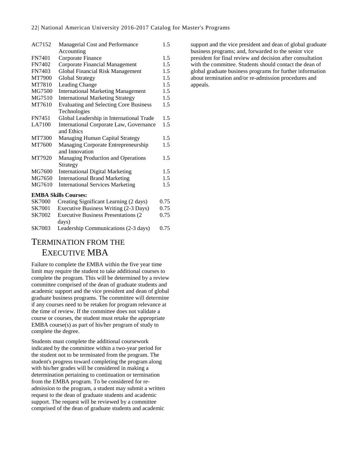| AC7152        | Managerial Cost and Performance               | 1.5  |
|---------------|-----------------------------------------------|------|
|               | Accounting                                    |      |
| <b>FN7401</b> | Corporate Finance                             | 1.5  |
| <b>FN7402</b> | Corporate Financial Management                | 1.5  |
| <b>FN7403</b> | Global Financial Risk Management              | 1.5  |
| MT7900        | <b>Global Strategy</b>                        | 1.5  |
| MT7810        | <b>Leading Change</b>                         | 1.5  |
| MG7500        | <b>International Marketing Management</b>     | 1.5  |
| MG7510        | <b>International Marketing Strategy</b>       | 1.5  |
| MT7610        | <b>Evaluating and Selecting Core Business</b> | 1.5  |
|               | Technologies                                  |      |
| <b>FN7451</b> | Global Leadership in International Trade      | 1.5  |
| LA7100        | International Corporate Law, Governance       | 1.5  |
|               | and Ethics                                    |      |
| MT7300        | Managing Human Capital Strategy               | 1.5  |
| MT7600        | Managing Corporate Entrepreneurship           | 1.5  |
|               | and Innovation                                |      |
| MT7920        | Managing Production and Operations            | 1.5  |
|               | Strategy                                      |      |
| MG7600        | <b>International Digital Marketing</b>        | 1.5  |
| MG7650        | <b>International Brand Marketing</b>          | 1.5  |
| MG7610        | <b>International Services Marketing</b>       | 1.5  |
|               |                                               |      |
|               | <b>EMBA Skills Courses:</b>                   |      |
| <b>SK7000</b> | Creating Significant Learning (2 days)        | 0.75 |
| <b>SK7001</b> | Executive Business Writing (2-3 Days)         | 0.75 |
| SK7002        | <b>Executive Business Presentations (2)</b>   | 0.75 |
|               | days)                                         |      |

<span id="page-21-0"></span>

| SK7003 | Leadership Communications (2-3 days) | 0.75 |
|--------|--------------------------------------|------|
|        |                                      |      |

## TERMINATION FROM THE EXECUTIVE MBA

Failure to complete the EMBA within the five year time limit may require the student to take additional courses to complete the program. This will be determined by a review committee comprised of the dean of graduate students and academic support and the vice president and dean of global graduate business programs. The committee will determine if any courses need to be retaken for program relevance at the time of review. If the committee does not validate a course or courses, the student must retake the appropriate EMBA course(s) as part of his/her program of study to complete the degree.

Students must complete the additional coursework indicated by the committee within a two-year period for the student not to be terminated from the program. The student's progress toward completing the program along with his/her grades will be considered in making a determination pertaining to continuation or termination from the EMBA program. To be considered for readmission to the program, a student may submit a written request to the dean of graduate students and academic support. The request will be reviewed by a committee comprised of the dean of graduate students and academic

support and the vice president and dean of global graduate business programs; and, forwarded to the senior vice president for final review and decision after consultation with the committee. Students should contact the dean of global graduate business programs for further information about termination and/or re-admission procedures and appeals.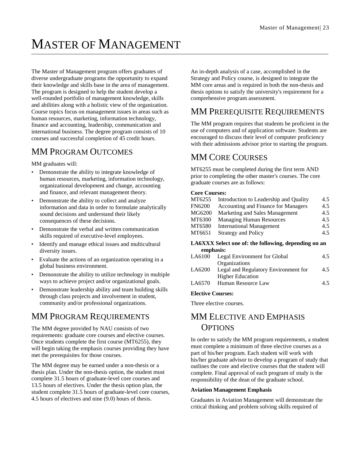# <span id="page-22-0"></span>MASTER OF MANAGEMENT

The Master of Management program offers graduates of diverse undergraduate programs the opportunity to expand their knowledge and skills base in the area of management. The program is designed to help the student develop a well-rounded portfolio of management knowledge, skills and abilities along with a holistic view of the organization. Course topics focus on management issues in areas such as human resources, marketing, information technology, finance and accounting, leadership, communication and international business. The degree program consists of 10 courses and successful completion of 45 credit hours.

### <span id="page-22-1"></span>MM PROGRAM OUTCOMES

MM graduates will:

- Demonstrate the ability to integrate knowledge of human resources, marketing, information technology, organizational development and change, accounting and finance, and relevant management theory.
- Demonstrate the ability to collect and analyze information and data in order to formulate analytically sound decisions and understand their likely consequences of these decisions.
- Demonstrate the verbal and written communication skills required of executive-level employees.
- Identify and manage ethical issues and multicultural diversity issues.
- Evaluate the actions of an organization operating in a global business environment.
- Demonstrate the ability to utilize technology in multiple ways to achieve project and/or organizational goals.
- Demonstrate leadership ability and team building skills through class projects and involvement in student, community and/or professional organizations.

## <span id="page-22-2"></span>MM PROGRAM REQUIREMENTS

The MM degree provided by NAU consists of two requirements: graduate core courses and elective courses. Once students complete the first course (MT6255), they will begin taking the emphasis courses providing they have met the prerequisites for those courses.

The MM degree may be earned under a non-thesis or a thesis plan. Under the non-thesis option, the student must complete 31.5 hours of graduate-level core courses and 13.5 hours of electives. Under the thesis option plan, the student complete 31.5 hours of graduate-level core courses, 4.5 hours of electives and nine (9.0) hours of thesis.

An in-depth analysis of a case, accomplished in the Strategy and Policy course, is designed to integrate the MM core areas and is required in both the non-thesis and thesis options to satisfy the university's requirement for a comprehensive program assessment.

## <span id="page-22-3"></span>MM PREREQUISITE REQUIREMENTS

The MM program requires that students be proficient in the use of computers and of application software. Students are encouraged to discuss their level of computer proficiency with their admissions advisor prior to starting the program.

## <span id="page-22-4"></span>MM CORE COURSES

MT6255 must be completed during the first term AND prior to completing the other master's courses. The core graduate courses are as follows:

#### **Core Courses:**

| MT6255        | Introduction to Leadership and Quality | 4.5 |
|---------------|----------------------------------------|-----|
| <b>FN6200</b> | Accounting and Finance for Managers    | 4.5 |
| MG6200        | Marketing and Sales Management         | 4.5 |
| MT6300        | <b>Managing Human Resources</b>        | 4.5 |
| MT6580        | <b>International Management</b>        | 4.5 |
| MT6651        | <b>Strategy and Policy</b>             | 4.5 |

#### **LA6XXX Select one of: the following, depending on an emphasis:**

LA6100 Legal Environment for Global **Organizations** 4.5 LA6200 Legal and Regulatory Environment for Higher Education 4.5 LA6570 Human Resource Law 4.5

#### **Elective Courses:**

<span id="page-22-5"></span>Three elective courses.

## MM ELECTIVE AND EMPHASIS **OPTIONS**

In order to satisfy the MM program requirements, a student must complete a minimum of three elective courses as a part of his/her program. Each student will work with his/her graduate advisor to develop a program of study that outlines the core and elective courses that the student will complete. Final approval of each program of study is the responsibility of the dean of the graduate school.

#### <span id="page-22-6"></span>**Aviation Management Emphasis**

Graduates in Aviation Management will demonstrate the critical thinking and problem solving skills required of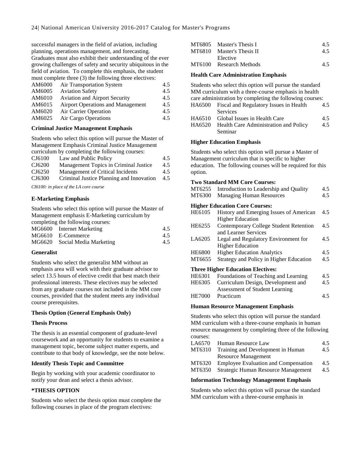successful managers in the field of aviation, including planning, operations management, and forecasting. Graduates must also exhibit their understanding of the ever growing challenges of safety and security ubiquitous in the field of aviation. To complete this emphasis, the student must complete three (3) the following three electives:

| 4.5 |
|-----|
| 4.5 |
| 4.5 |
| 4.5 |
| 4.5 |
| 4.5 |
|     |

#### **Criminal Justice Management Emphasis**

Students who select this option will pursue the Master of Management Emphasis Criminal Justice Management curriculum by completing the following courses: CJ6100 Law and Public Policy 4.5 CJ6200 Management Topics in Criminal Justice 4.5 CJ6250 Management of Critical Incidents 4.5 CJ6300 Criminal Justice Planning and Innovation 4.5

*CI6100: in place of the LA core course*

#### **E-Marketing Emphasis**

| Students who select this option will pursue the Master of |     |
|-----------------------------------------------------------|-----|
| Management emphasis E-Marketing curriculum by             |     |
| completing the following courses:                         |     |
| MG6600 Internet Marketing                                 | 4.5 |
| MG6610 E-Commerce                                         | 4.5 |
| MG6620 Social Media Marketing                             | 4.5 |

#### **Generalist**

Students who select the generalist MM without an emphasis area will work with their graduate advisor to select 13.5 hours of elective credit that best match their professional interests. These electives may be selected from any graduate courses not included in the MM core courses, provided that the student meets any individual course prerequisites.

#### **Thesis Option (General Emphasis Only)**

#### **Thesis Process**

The thesis is an essential component of graduate-level coursework and an opportunity for students to examine a management topic, become subject matter experts, and contribute to that body of knowledge, see the note below.

#### **Identify Thesis Topic and Committee**

Begin by working with your academic coordinator to notify your dean and select a thesis advisor.

#### **\*THESIS OPTION**

Students who select the thesis option must complete the following courses in place of the program electives:

| MT6805 Master's Thesis I  | 4.5 |
|---------------------------|-----|
| MT6810 Master's Thesis II | 4.5 |
| Elective                  |     |
| MT6100 Research Methods   | 45  |

#### **Health Care Administration Emphasis**

Students who select this option will pursue the standard MM curriculum with a three-course emphasis in health care administration by completing the following courses

|        | care administration by completing the following courses. |     |
|--------|----------------------------------------------------------|-----|
|        | HA6500 Fiscal and Regulatory Issues in Health            | 4.5 |
|        | <b>Services</b>                                          |     |
|        | HA6510 Global Issues in Health Care                      | 4.5 |
| HA6520 | Health Care Administration and Policy                    | 4.5 |
|        | Seminar                                                  |     |

#### **Higher Education Emphasis**

Students who select this option will pursue a Master of Management curriculum that is specific to higher education. The following courses will be required for this option.

#### **Two Standard MM Core Courses:**

| MT6255        | Introduction to Leadership and Quality        | 4.5 |
|---------------|-----------------------------------------------|-----|
| MT6300        | <b>Managing Human Resources</b>               | 4.5 |
|               | <b>Higher Education Core Courses:</b>         |     |
| HE6105        | History and Emerging Issues of American       | 4.5 |
|               | <b>Higher Education</b>                       |     |
| HE6255        | <b>Contemporary College Student Retention</b> | 4.5 |
|               | and Learner Services                          |     |
| LA6205        | Legal and Regulatory Environment for          | 4.5 |
|               | <b>Higher Education</b>                       |     |
| <b>HE6800</b> | <b>Higher Education Analytics</b>             | 4.5 |
| MT6655        | Strategy and Policy in Higher Education       | 4.5 |
|               | <b>Three Higher Education Electives:</b>      |     |
| HE6301        | Foundations of Teaching and Learning          | 4.5 |
| HE6305        | Curriculum Design, Development and            | 4.5 |
|               | <b>Assessment of Student Learning</b>         |     |
| <b>HE7000</b> | Practicum                                     | 4.5 |

#### **Human Resource Management Emphasis**

Students who select this option will pursue the standard MM curriculum with a three-course emphasis in human resource management by completing three of the following courses:

| LA6570 | Human Resource Law                          | 4.5 |
|--------|---------------------------------------------|-----|
| MT6310 | Training and Development in Human           | 4.5 |
|        | Resource Management                         |     |
| MT6320 | <b>Employee Evaluation and Compensation</b> | 4.5 |
| MT6350 | Strategic Human Resource Management         | 4.5 |
|        |                                             |     |

#### **Information Technology Management Emphasis**

Students who select this option will pursue the standard MM curriculum with a three-course emphasis in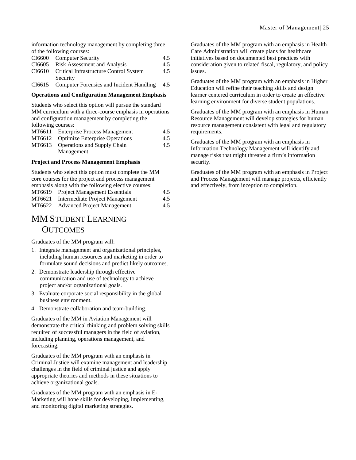information technology management by completing three of the following courses:

|        | CI6600 Computer Security                        | 4.5 |
|--------|-------------------------------------------------|-----|
|        | CI6605 Risk Assessment and Analysis             | 4.5 |
|        | CI6610 Critical Infrastructure Control System   | 4.5 |
|        | Security                                        |     |
| CI6615 | <b>Computer Forensics and Incident Handling</b> | 4.5 |

#### **Operations and Configuration Management Emphasis**

Students who select this option will pursue the standard MM curriculum with a three-course emphasis in operations and configuration management by completing the following courses: MT6611 Enterprise Process Management 4.5

| M10011 Enterprise Process Management  | 4.D |
|---------------------------------------|-----|
| MT6612 Optimize Enterprise Operations | 4.5 |
| MT6613 Operations and Supply Chain    | 4.5 |
| Management                            |     |

#### **Project and Process Management Emphasis**

|        | Students who select this option must complete the MM |     |
|--------|------------------------------------------------------|-----|
|        | core courses for the project and process management  |     |
|        | emphasis along with the following elective courses:  |     |
|        | MT6619 Project Management Essentials                 | 4.5 |
| MT6621 | Intermediate Project Management                      | 4.5 |
| MT6622 | <b>Advanced Project Management</b>                   | 4.5 |

### <span id="page-24-0"></span>MM STUDENT LEARNING **OUTCOMES**

Graduates of the MM program will:

- 1. Integrate management and organizational principles, including human resources and marketing in order to formulate sound decisions and predict likely outcomes.
- 2. Demonstrate leadership through effective communication and use of technology to achieve project and/or organizational goals.
- 3. Evaluate corporate social responsibility in the global business environment.
- 4. Demonstrate collaboration and team-building.

Graduates of the MM in Aviation Management will demonstrate the critical thinking and problem solving skills required of successful managers in the field of aviation, including planning, operations management, and forecasting.

Graduates of the MM program with an emphasis in Criminal Justice will examine management and leadership challenges in the field of criminal justice and apply appropriate theories and methods in these situations to achieve organizational goals.

Graduates of the MM program with an emphasis in E-Marketing will hone skills for developing, implementing, and monitoring digital marketing strategies.

Graduates of the MM program with an emphasis in Health Care Administration will create plans for healthcare initiatives based on documented best practices with consideration given to related fiscal, regulatory, and policy issues.

Graduates of the MM program with an emphasis in Higher Education will refine their teaching skills and design learner centered curriculum in order to create an effective learning environment for diverse student populations.

Graduates of the MM program with an emphasis in Human Resource Management will develop strategies for human resource management consistent with legal and regulatory requirements.

Graduates of the MM program with an emphasis in Information Technology Management will identify and manage risks that might threaten a firm's information security.

Graduates of the MM program with an emphasis in Project and Process Management will manage projects, efficiently and effectively, from inception to completion.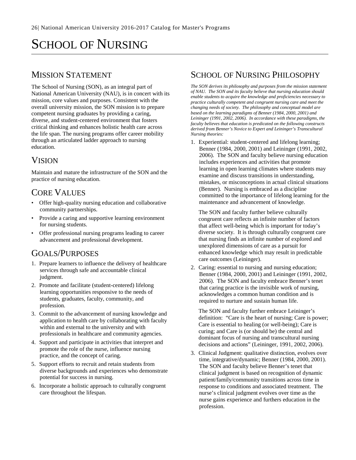# <span id="page-25-0"></span>SCHOOL OF NURSING

### <span id="page-25-1"></span>MISSION STATEMENT

The School of Nursing (SON), as an integral part of National American University (NAU), is in concert with its mission, core values and purposes. Consistent with the overall university mission, the SON mission is to prepare competent nursing graduates by providing a caring, diverse, and student-centered environment that fosters critical thinking and enhances holistic health care across the life span. The nursing programs offer career mobility through an articulated ladder approach to nursing education.

# <span id="page-25-2"></span>VISION

Maintain and mature the infrastructure of the SON and the practice of nursing education.

### <span id="page-25-3"></span>CORE VALUES

- Offer high-quality nursing education and collaborative community partnerships.
- Provide a caring and supportive learning environment for nursing students.
- Offer professional nursing programs leading to career advancement and professional development.

## <span id="page-25-4"></span>GOALS/PURPOSES

- 1. Prepare learners to influence the delivery of healthcare services through safe and accountable clinical judgment.
- 2. Promote and facilitate (student-centered) lifelong learning opportunities responsive to the needs of students, graduates, faculty, community, and profession.
- 3. Commit to the advancement of nursing knowledge and application to health care by collaborating with faculty within and external to the university and with professionals in healthcare and community agencies.
- 4. Support and participate in activities that interpret and promote the role of the nurse, influence nursing practice, and the concept of caring.
- 5. Support efforts to recruit and retain students from diverse backgrounds and experiences who demonstrate potential for success in nursing.
- 6. Incorporate a holistic approach to culturally congruent care throughout the lifespan.

### <span id="page-25-5"></span>SCHOOL OF NURSING PHILOSOPHY

*The SON derives its philosophy and purposes from the mission statement of NAU. The SON and its faculty believe that nursing education should enable students to acquire the knowledge and proficiencies necessary to practice culturally competent and congruent nursing care and meet the changing needs of society. The philosophy and conceptual model are based on the learning paradigms of Benner (1984, 2000, 2001) and Leininger (1991, 2002, 2006). In accordance with these paradigms, the faculty believes that education is predicated on the following constructs derived from Benner's Novice to Expert and Leininger's Transcultural Nursing theories:*

1. Experiential: student-centered and lifelong learning; Benner (1984, 2000, 2001) and Leininger (1991, 2002, 2006). The SON and faculty believe nursing education includes experiences and activities that promote learning in open learning climates where students may examine and discuss transitions in understanding, mistakes, or misconceptions in actual clinical situations (Benner). Nursing is embraced as a discipline committed to the importance of lifelong learning for the maintenance and advancement of knowledge.

The SON and faculty further believe culturally congruent care reflects an infinite number of factors that affect well-being which is important for today's diverse society. It is through culturally congruent care that nursing finds an infinite number of explored and unexplored dimensions of care as a pursuit for enhanced knowledge which may result in predictable care outcomes (Leininger).

2. Caring: essential to nursing and nursing education; Benner (1984, 2000, 2001) and Leininger (1991, 2002, 2006). The SON and faculty embrace Benner's tenet that caring practice is the invisible work of nursing, acknowledges a common human condition and is required to nurture and sustain human life.

The SON and faculty further embrace Leininger's definition: "Care is the heart of nursing; Care is power; Care is essential to healing (or well-being); Care is curing; and Care is (or should be) the central and dominant focus of nursing and transcultural nursing decisions and actions" (Leininger, 1991, 2002, 2006).

3. Clinical Judgment: qualitative distinction, evolves over time, integrative/dynamic; Benner (1984, 2000, 2001). The SON and faculty believe Benner's tenet that clinical judgment is based on recognition of dynamic patient/family/community transitions across time in response to conditions and associated treatment. The nurse's clinical judgment evolves over time as the nurse gains experience and furthers education in the profession.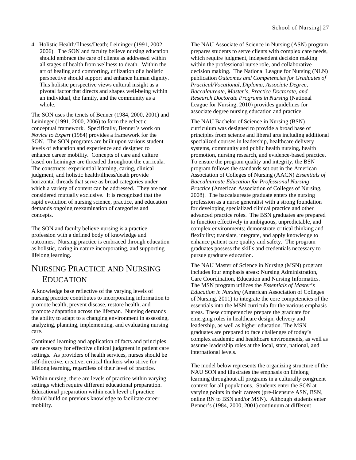4. Holistic Health/Illness/Death; Leininger (1991, 2002, 2006). The SON and faculty believe nursing education should embrace the care of clients as addressed within all stages of health from wellness to death. Within the art of healing and comforting, utilization of a holistic perspective should support and enhance human dignity. This holistic perspective views cultural insight as a pivotal factor that directs and shapes well-being within an individual, the family, and the community as a whole.

The SON uses the tenets of Benner (1984, 2000, 2001) and Leininger (1991, 2000, 2006) to form the eclectic conceptual framework. Specifically, Benner's work on *Novice to Expert* (1984) provides a framework for the SON. The SON programs are built upon various student levels of education and experience and designed to enhance career mobility. Concepts of care and culture based on Leininger are threaded throughout the curricula. The constructs: experiential learning, caring, clinical judgment, and holistic health/illness/death provide horizontal threads that serve as broad categories under which a variety of content can be addressed. They are not considered mutually exclusive. It is recognized that the rapid evolution of nursing science, practice, and education demands ongoing reexamination of categories and concepts.

The SON and faculty believe nursing is a practice profession with a defined body of knowledge and outcomes. Nursing practice is embraced through education as holistic, caring in nature incorporating, and supporting lifelong learning.

### <span id="page-26-0"></span>NURSING PRACTICE AND NURSING EDUCATION

A knowledge base reflective of the varying levels of nursing practice contributes to incorporating information to promote health, prevent disease, restore health, and promote adaptation across the lifespan. Nursing demands the ability to adapt to a changing environment in assessing, analyzing, planning, implementing, and evaluating nursing care.

Continued learning and application of facts and principles are necessary for effective clinical judgment in patient care settings. As providers of health services, nurses should be self-directive, creative, critical thinkers who strive for lifelong learning, regardless of their level of practice.

Within nursing, there are levels of practice within varying settings which require different educational preparation. Educational preparation within each level of practice should build on previous knowledge to facilitate career mobility.

The NAU Associate of Science in Nursing (ASN) program prepares students to serve clients with complex care needs, which require judgment, independent decision making within the professional nurse role, and collaborative decision making. The National League for Nursing (NLN) publication *Outcomes and Competencies for Graduates of Practical/Vocational, Diploma, Associate Degree, Baccalaureate, Master's, Practice Doctorate, and Research Doctorate Programs in Nursing* (National League for Nursing, 2010) provides guidelines for associate degree nursing education and practice.

The NAU Bachelor of Science in Nursing (BSN) curriculum was designed to provide a broad base of principles from science and liberal arts including additional specialized courses in leadership, healthcare delivery systems, community and public health nursing, health promotion, nursing research, and evidence-based practice. To ensure the program quality and integrity, the BSN program follows the standards set out in the American Association of Colleges of Nursing (AACN) *Essentials of Baccalaureate Education for Professional Nursing Practice* (American Association of Colleges of Nursing, 2008). The baccalaureate graduate enters the nursing profession as a nurse generalist with a strong foundation for developing specialized clinical practice and other advanced practice roles. The BSN graduates are prepared to function effectively in ambiguous, unpredictable, and complex environments; demonstrate critical thinking and flexibility; translate, integrate, and apply knowledge to enhance patient care quality and safety. The program graduates possess the skills and credentials necessary to pursue graduate education.

The NAU Master of Science in Nursing (MSN) program includes four emphasis areas: Nursing Administration, Care Coordination, Education and Nursing Informatics. The MSN program utilizes the *Essentials of Master's Education in Nursing* (American Association of Colleges of Nursing, 2011) to integrate the core competencies of the essentials into the MSN curricula for the various emphasis areas. These competencies prepare the graduate for emerging roles in healthcare design, delivery and leadership, as well as higher education. The MSN graduates are prepared to face challenges of today's complex academic and healthcare environments, as well as assume leadership roles at the local, state, national, and international levels.

The model below represents the organizing structure of the NAU SON and illustrates the emphasis on lifelong learning throughout all programs in a culturally congruent context for all populations. Students enter the SON at varying points in their careers (pre-licensure ASN, BSN, online RN to BSN and/or MSN). Although students enter Benner's (1984, 2000, 2001) continuum at different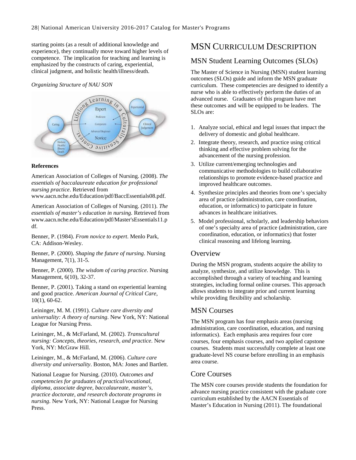starting points (as a result of additional knowledge and experience), they continually move toward higher levels of competence. The implication for teaching and learning is emphasized by the constructs of caring, experiential, clinical judgment, and holistic health/illness/death.

*Organizing Structure of NAU SON*



#### **References**

American Association of Colleges of Nursing. (2008). *The essentials of baccalaureate education for professional nursing practice*. Retrieved from

www.aacn.nche.edu/Education/pdf/BaccEssentials08.pdf.

American Association of Colleges of Nursing. (2011). *The essentials of master's education in nursing.* Retrieved from www.aacn.nche.edu/Education/pdf/Master'sEssentials11.p df.

Benner, P. (1984). *From novice to expert*. Menlo Park, CA: Addison-Wesley.

Benner, P. (2000). *Shaping the future of nursing*. Nursing Management, 7(1), 31-5.

Benner, P. (2000). *The wisdom of caring practice*. Nursing Management, 6(10), 32-37.

Benner, P. (2001). Taking a stand on experiential learning and good practice. *American Journal of Critical Care*, 10(1), 60-62.

Leininger, M. M. (1991). *Culture care diversity and universality: A theory of nursing*. New York, NY: National League for Nursing Press.

Leininger, M., & McFarland, M. (2002). *Transcultural nursing: Concepts, theories, research, and practice*. New York, NY: McGraw Hill.

Leininger, M., & McFarland, M. (2006). *Culture care diversity and universality*. Boston, MA: Jones and Bartlett.

National League for Nursing. (2010). *Outcomes and competencies for graduates of practical/vocational, diploma, associate degree, baccalaureate, master's, practice doctorate, and research doctorate programs in nursing*. New York, NY: National League for Nursing Press.

### <span id="page-27-0"></span>MSN CURRICULUM DESCRIPTION

### <span id="page-27-1"></span>MSN Student Learning Outcomes (SLOs)

The Master of Science in Nursing (MSN) student learning outcomes (SLOs) guide and inform the MSN graduate curriculum. These competencies are designed to identify a nurse who is able to effectively perform the duties of an advanced nurse. Graduates of this program have met these outcomes and will be equipped to be leaders. The SLOs are:

- 1. Analyze social, ethical and legal issues that impact the delivery of domestic and global healthcare.
- 2. Integrate theory, research, and practice using critical thinking and effective problem solving for the advancement of the nursing profession.
- 3. Utilize current/emerging technologies and communicative methodologies to build collaborative relationships to promote evidence-based practice and improved healthcare outcomes.
- 4. Synthesize principles and theories from one's specialty area of practice (administration, care coordination, education, or informatics) to participate in future advances in healthcare initiatives.
- 5. Model professional, scholarly, and leadership behaviors of one's specialty area of practice (administration, care coordination, education, or informatics) that foster clinical reasoning and lifelong learning.

#### <span id="page-27-2"></span>**Overview**

During the MSN program, students acquire the ability to analyze, synthesize, and utilize knowledge. This is accomplished through a variety of teaching and learning strategies, including formal online courses. This approach allows students to integrate prior and current learning while providing flexibility and scholarship.

### <span id="page-27-3"></span>MSN Courses

The MSN program has four emphasis areas (nursing administration, care coordination, education, and nursing informatics). Each emphasis area requires four core courses, four emphasis courses, and two applied capstone courses. Students must successfully complete at least one graduate-level NS course before enrolling in an emphasis area course.

### <span id="page-27-4"></span>Core Courses

The MSN core courses provide students the foundation for advance nursing practice consistent with the graduate core curriculum established by the AACN Essentials of Master's Education in Nursing (2011). The foundational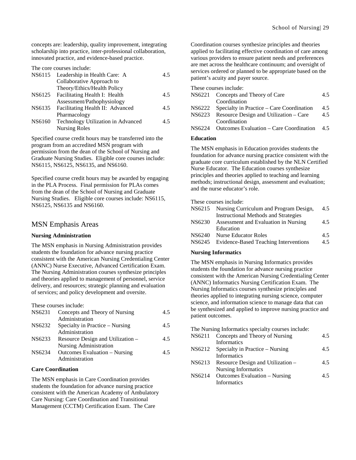concepts are: leadership, quality improvement, integrating scholarship into practice, inter-professional collaboration, innovated practice, and evidence-based practice.

|        | The core courses include:           |     |
|--------|-------------------------------------|-----|
|        | NS6115 Leadership in Health Care: A | 4.5 |
|        | Collaborative Approach to           |     |
|        | Theory/Ethics/Health Policy         |     |
| NS6125 | Facilitating Health I: Health       | 4.5 |
|        | Assessment/Pathophysiology          |     |
| NS6135 | Facilitating Health II: Advanced    | 4.5 |
|        | Pharmacology                        |     |
| NS6160 | Technology Utilization in Advanced  | 4.5 |
|        | <b>Nursing Roles</b>                |     |
|        |                                     |     |

Specified course credit hours may be transferred into the program from an accredited MSN program with permission from the dean of the School of Nursing and Graduate Nursing Studies. Eligible core courses include: NS6115, NS6125, NS6135, and NS6160.

Specified course credit hours may be awarded by engaging in the PLA Process. Final permission for PLAs comes from the dean of the School of Nursing and Graduate Nursing Studies. Eligible core courses include: NS6115, NS6125, NS6135 and NS6160.

#### <span id="page-28-0"></span>MSN Emphasis Areas

#### **Nursing Administration**

The MSN emphasis in Nursing Administration provides students the foundation for advance nursing practice consistent with the American Nursing Credentialing Center (ANNC) Nurse Executive, Advanced Certification Exam. The Nursing Administration courses synthesize principles and theories applied to management of personnel, service delivery, and resources; strategic planning and evaluation of services; and policy development and oversite.

These courses include:

| NS6231 | Concepts and Theory of Nursing    | 4.5 |
|--------|-----------------------------------|-----|
|        | Administration                    |     |
| NS6232 | Specialty in Practice – Nursing   | 4.5 |
|        | Administration                    |     |
| NS6233 | Resource Design and Utilization – | 4.5 |
|        | <b>Nursing Administration</b>     |     |
| NS6234 | Outcomes Evaluation – Nursing     | 4.5 |
|        | Administration                    |     |

#### **Care Coordination**

The MSN emphasis in Care Coordination provides students the foundation for advance nursing practice consistent with the American Academy of Ambulatory Care Nursing: Care Coordination and Transitional Management (CCTM) Certification Exam. The Care

Coordination courses synthesize principles and theories applied to facilitating effective coordination of care among various providers to ensure patient needs and preferences are met across the healthcare continuum; and oversight of services ordered or planned to be appropriate based on the patient's acuity and payer source.

|           | These courses include:                    |     |  |
|-----------|-------------------------------------------|-----|--|
|           | NS6221 Concepts and Theory of Care        | 4.5 |  |
|           | Coordination                              |     |  |
| NS6222    | Specialty in Practice – Care Coordination | 4.5 |  |
| NS6223    | Resource Design and Utilization – Care    | 4.5 |  |
|           | Coordination                              |     |  |
| NS6224    | Outcomes Evaluation – Care Coordination   | 45  |  |
| 17. J. 4. |                                           |     |  |

#### **Education**

The MSN emphasis in Education provides students the foundation for advance nursing practice consistent with the graduate core curriculum established by the NLN Certified Nurse Educator. The Education courses synthesize principles and theories applied to teaching and learning methods; instructional design, assessment and evaluation; and the nurse educator's role.

These courses include:

| NS6215 Nursing Curriculum and Program Design, | 4.5 |
|-----------------------------------------------|-----|
| <b>Instructional Methods and Strategies</b>   |     |
| Assessment and Evaluation in Nursing          | 4.5 |
| Education                                     |     |
| NS6240 Nurse Educator Roles                   | 4.5 |
| NS6245 Evidence-Based Teaching Interventions  | 4.5 |
|                                               |     |

#### **Nursing Informatics**

The MSN emphasis in Nursing Informatics provides students the foundation for advance nursing practice consistent with the American Nursing Credentialing Center (ANNC) Informatics Nursing Certification Exam. The Nursing Informatics courses synthesize principles and theories applied to integrating nursing science, computer science, and information science to manage data that can be synthesized and applied to improve nursing practice and patient outcomes.

The Nursing Informatics specialty courses include:

| NS6211 | Concepts and Theory of Nursing    | 4.5 |
|--------|-----------------------------------|-----|
|        | <b>Informatics</b>                |     |
| NS6212 | Specialty in Practice – Nursing   | 4.5 |
|        | Informatics                       |     |
| NS6213 | Resource Design and Utilization – | 4.5 |
|        | <b>Nursing Informatics</b>        |     |
| NS6214 | Outcomes Evaluation - Nursing     | 4.5 |
|        | Informatics                       |     |
|        |                                   |     |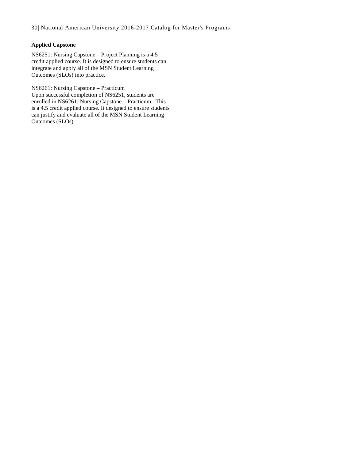#### **Applied Capstone**

NS6251: Nursing Capstone – Project Planning is a 4.5 credit applied course. It is designed to ensure students can integrate and apply all of the MSN Student Learning Outcomes (SLOs) into practice.

NS6261: Nursing Capstone – Practicum

Upon successful completion of NS6251, students are enrolled in NS6261: Nursing Capstone – Practicum. This is a 4.5 credit applied course. It designed to ensure students can justify and evaluate all of the MSN Student Learning Outcomes (SLOs).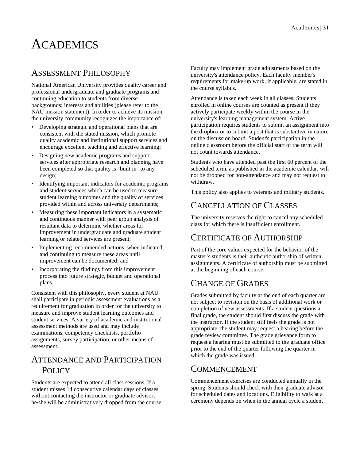# <span id="page-30-0"></span>**ACADEMICS**

### <span id="page-30-1"></span>ASSESSMENT PHILOSOPHY

National American University provides quality career and professional undergraduate and graduate programs and continuing education to students from diverse backgrounds; interests and abilities (please refer to the NAU mission statement). In order to achieve its mission, the university community recognizes the importance of:

- Developing strategic and operational plans that are consistent with the stated mission, which promote quality academic and institutional support services and encourage excellent teaching and effective learning;
- Designing new academic programs and support services after appropriate research and planning have been completed so that quality is "built in" to any design;
- Identifying important indicators for academic programs and student services which can be used to measure student learning outcomes and the quality of services provided within and across university departments;
- Measuring these important indicators in a systematic and continuous manner with peer group analysis of resultant data to determine whether areas for improvement in undergraduate and graduate student learning or related services are present;
- Implementing recommended actions, when indicated, and continuing to measure these areas until improvement can be documented; and
- Incorporating the findings from this improvement process into future strategic, budget and operational plans.

Consistent with this philosophy, every student at NAU shall participate in periodic assessment evaluations as a requirement for graduation in order for the university to measure and improve student learning outcomes and student services. A variety of academic and institutional assessment methods are used and may include examinations, competency checklists, portfolio assignments, survey participation, or other means of assessment.

# <span id="page-30-2"></span>ATTENDANCE AND PARTICIPATION **POLICY**

Students are expected to attend all class sessions. If a student misses 14 consecutive calendar days of classes without contacting the instructor or graduate advisor, he/she will be administratively dropped from the course. Faculty may implement grade adjustments based on the university's attendance policy. Each faculty member's requirements for make-up work, if applicable, are stated in the course syllabus.

Attendance is taken each week in all classes. Students enrolled in online courses are counted as present if they actively participate weekly within the course in the university's learning management system. Active participation requires students to submit an assignment into the dropbox or to submit a post that is substantive in nature on the discussion board. Student's participation in the online classroom before the official start of the term will not count towards attendance.

Students who have attended past the first 60 percent of the scheduled term, as published in the academic calendar, will not be dropped for non-attendance and may not request to withdraw.

<span id="page-30-3"></span>This policy also applies to veterans and military students.

## CANCELLATION OF CLASSES

The university reserves the right to cancel any scheduled class for which there is insufficient enrollment.

## <span id="page-30-4"></span>CERTIFICATE OF AUTHORSHIP

Part of the core values expected for the behavior of the master's students is their authentic authorship of written assignments. A certificate of authorship must be submitted at the beginning of each course.

## <span id="page-30-5"></span>CHANGE OF GRADES

Grades submitted by faculty at the end of each quarter are not subject to revision on the basis of additional work or completion of new assessments. If a student questions a final grade, the student should first discuss the grade with the instructor. If the student still feels the grade is not appropriate, the student may request a hearing before the grade review committee. The grade grievance form to request a hearing must be submitted to the graduate office prior to the end of the quarter following the quarter in which the grade was issued.

### <span id="page-30-6"></span>COMMENCEMENT

Commencement exercises are conducted annually in the spring. Students should check with their graduate advisor for scheduled dates and locations. Eligibility to walk at a ceremony depends on when in the annual cycle a student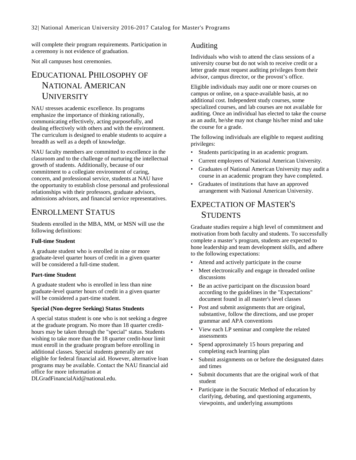will complete their program requirements. Participation in a ceremony is not evidence of graduation.

<span id="page-31-0"></span>Not all campuses host ceremonies.

## EDUCATIONAL PHILOSOPHY OF NATIONAL AMERICAN UNIVERSITY

NAU stresses academic excellence. Its programs emphasize the importance of thinking rationally, communicating effectively, acting purposefully, and dealing effectively with others and with the environment. The curriculum is designed to enable students to acquire a breadth as well as a depth of knowledge.

NAU faculty members are committed to excellence in the classroom and to the challenge of nurturing the intellectual growth of students. Additionally, because of our commitment to a collegiate environment of caring, concern, and professional service, students at NAU have the opportunity to establish close personal and professional relationships with their professors, graduate advisors, admissions advisors, and financial service representatives.

### <span id="page-31-1"></span>ENROLLMENT STATUS

Students enrolled in the MBA, MM, or MSN will use the following definitions:

#### **Full-time Student**

A graduate student who is enrolled in nine or more graduate-level quarter hours of credit in a given quarter will be considered a full-time student.

#### **Part-time Student**

A graduate student who is enrolled in less than nine graduate-level quarter hours of credit in a given quarter will be considered a part-time student.

#### **Special (Non-degree Seeking) Status Students**

A special status student is one who is not seeking a degree at the graduate program. No more than 18 quarter credithours may be taken through the "special" status. Students wishing to take more than the 18 quarter credit-hour limit must enroll in the graduate program before enrolling in additional classes. Special students generally are not eligible for federal financial aid. However, alternative loan programs may be available. Contact the NAU financial aid office for more information at

DLGradFinancialAid@national.edu.

#### <span id="page-31-2"></span>Auditing

Individuals who wish to attend the class sessions of a university course but do not wish to receive credit or a letter grade must request auditing privileges from their advisor, campus director, or the provost's office.

Eligible individuals may audit one or more courses on campus or online, on a space-available basis, at no additional cost. Independent study courses, some specialized courses, and lab courses are not available for auditing. Once an individual has elected to take the course as an audit, he/she may not change his/her mind and take the course for a grade.

The following individuals are eligible to request auditing privileges:

- Students participating in an academic program.
- Current employees of National American University.
- Graduates of National American University may audit a course in an academic program they have completed.
- Graduates of institutions that have an approved arrangement with National American University.

### <span id="page-31-3"></span>EXPECTATION OF MASTER'S **STUDENTS**

Graduate studies require a high level of commitment and motivation from both faculty and students. To successfully complete a master's program, students are expected to hone leadership and team development skills, and adhere to the following expectations:

- Attend and actively participate in the course
- Meet electronically and engage in threaded online discussions
- Be an active participant on the discussion board according to the guidelines in the "Expectations" document found in all master's level classes
- Post and submit assignments that are original, substantive, follow the directions, and use proper grammar and APA conventions
- View each LP seminar and complete the related assessments
- Spend approximately 15 hours preparing and completing each learning plan
- Submit assignments on or before the designated dates and times
- Submit documents that are the original work of that student
- Participate in the Socratic Method of education by clarifying, debating, and questioning arguments, viewpoints, and underlying assumptions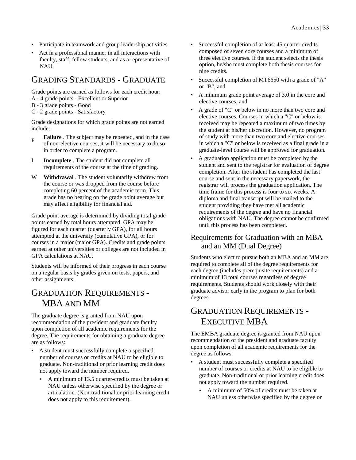- Participate in teamwork and group leadership activities
- Act in a professional manner in all interactions with faculty, staff, fellow students, and as a representative of NAU.

### <span id="page-32-0"></span>GRADING STANDARDS - GRADUATE

Grade points are earned as follows for each credit hour:

- A 4 grade points Excellent or Superior
- B 3 grade points Good
- C 2 grade points Satisfactory

Grade designations for which grade points are not earned include:

- **Failure** . The subject may be repeated, and in the case of non-elective courses, it will be necessary to do so in order to complete a program.
- I **Incomplete** . The student did not complete all requirements of the course at the time of grading.
- W **Withdrawal** . The student voluntarily withdrew from the course or was dropped from the course before completing 60 percent of the academic term. This grade has no bearing on the grade point average but may affect eligibility for financial aid.

Grade point average is determined by dividing total grade points earned by total hours attempted. GPA may be figured for each quarter (quarterly GPA), for all hours attempted at the university (cumulative GPA), or for courses in a major (major GPA). Credits and grade points earned at other universities or colleges are not included in GPA calculations at NAU.

Students will be informed of their progress in each course on a regular basis by grades given on tests, papers, and other assignments.

# <span id="page-32-1"></span>GRADUATION REQUIREMENTS - MBA AND MM

The graduate degree is granted from NAU upon recommendation of the president and graduate faculty upon completion of all academic requirements for the degree. The requirements for obtaining a graduate degree are as follows:

- A student must successfully complete a specified number of courses or credits at NAU to be eligible to graduate. Non-traditional or prior learning credit does not apply toward the number required.
	- A minimum of 13.5 quarter-credits must be taken at NAU unless otherwise specified by the degree or articulation. (Non-traditional or prior learning credit does not apply to this requirement).
- Successful completion of at least 45 quarter-credits composed of seven core courses and a minimum of three elective courses. If the student selects the thesis option, he/she must complete both thesis courses for nine credits.
- Successful completion of MT6650 with a grade of "A" or "B", and
- A minimum grade point average of 3.0 in the core and elective courses, and
- A grade of "C" or below in no more than two core and elective courses. Courses in which a "C" or below is received may be repeated a maximum of two times by the student at his/her discretion. However, no program of study with more than two core and elective courses in which a "C" or below is received as a final grade in a graduate-level course will be approved for graduation.
- A graduation application must be completed by the student and sent to the registrar for evaluation of degree completion. After the student has completed the last course and sent in the necessary paperwork, the registrar will process the graduation application. The time frame for this process is four to six weeks. A diploma and final transcript will be mailed to the student providing they have met all academic requirements of the degree and have no financial obligations with NAU. The degree cannot be confirmed until this process has been completed.

### <span id="page-32-2"></span>Requirements for Graduation with an MBA and an MM (Dual Degree)

Students who elect to pursue both an MBA and an MM are required to complete all of the degree requirements for each degree (includes prerequisite requirements) and a minimum of 13 total courses regardless of degree requirements. Students should work closely with their graduate advisor early in the program to plan for both degrees.

# <span id="page-32-3"></span>GRADUATION REQUIREMENTS - EXECUTIVE MBA

The EMBA graduate degree is granted from NAU upon recommendation of the president and graduate faculty upon completion of all academic requirements for the degree as follows:

- A student must successfully complete a specified number of courses or credits at NAU to be eligible to graduate. Non-traditional or prior learning credit does not apply toward the number required.
	- A minimum of 60% of credits must be taken at NAU unless otherwise specified by the degree or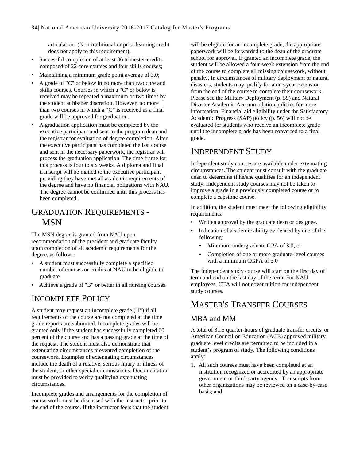articulation. (Non-traditional or prior learning credit does not apply to this requirement).

- Successful completion of at least 36 trimester-credits composed of 22 core courses and four skills courses;
- Maintaining a minimum grade point average of 3.0;
- A grade of "C" or below in no more than two core and skills courses. Courses in which a "C" or below is received may be repeated a maximum of two times by the student at his/her discretion. However, no more than two courses in which a "C" is received as a final grade will be approved for graduation.
- A graduation application must be completed by the executive participant and sent to the program dean and the registrar for evaluation of degree completion. After the executive participant has completed the last course and sent in the necessary paperwork, the registrar will process the graduation application. The time frame for this process is four to six weeks. A diploma and final transcript will be mailed to the executive participant providing they have met all academic requirements of the degree and have no financial obligations with NAU. The degree cannot be confirmed until this process has been completed.

### <span id="page-33-0"></span>GRADUATION REQUIREMENTS - MSN

The MSN degree is granted from NAU upon recommendation of the president and graduate faculty upon completion of all academic requirements for the degree, as follows:

- A student must successfully complete a specified number of courses or credits at NAU to be eligible to graduate.
- <span id="page-33-1"></span>• Achieve a grade of "B" or better in all nursing courses.

### INCOMPLETE POLICY

A student may request an incomplete grade ("I") if all requirements of the course are not completed at the time grade reports are submitted. Incomplete grades will be granted only if the student has successfully completed 60 percent of the course and has a passing grade at the time of the request. The student must also demonstrate that extenuating circumstances prevented completion of the coursework. Examples of extenuating circumstances include the death of a relative, serious injury or illness of the student, or other special circumstances. Documentation must be provided to verify qualifying extenuating circumstances.

Incomplete grades and arrangements for the completion of course work must be discussed with the instructor prior to the end of the course. If the instructor feels that the student

will be eligible for an incomplete grade, the appropriate paperwork will be forwarded to the dean of the graduate school for approval. If granted an incomplete grade, the student will be allowed a four-week extension from the end of the course to complete all missing coursework, without penalty. In circumstances of military deployment or natural disasters, students may qualify for a one-year extension from the end of the course to complete their coursework. Please see the Military Deployment (p. [59\)](#page-58-0) and Natural Disaster Academic Accommodation policies for more information. Financial aid eligibility under the Satisfactory Academic Progress (SAP) policy (p. [56\)](#page-55-0) will not be evaluated for students who receive an incomplete grade until the incomplete grade has been converted to a final grade.

### <span id="page-33-2"></span>INDEPENDENT STUDY

Independent study courses are available under extenuating circumstances. The student must consult with the graduate dean to determine if he/she qualifies for an independent study. Independent study courses may not be taken to improve a grade in a previously completed course or to complete a capstone course.

In addition, the student must meet the following eligibility requirements:

- Written approval by the graduate dean or designee.
- Indication of academic ability evidenced by one of the following:
	- Minimum undergraduate GPA of 3.0, or
	- Completion of one or more graduate-level courses with a minimum CGPA of 3.0

The independent study course will start on the first day of term and end on the last day of the term. For NAU employees, CTA will not cover tuition for independent study courses.

### <span id="page-33-3"></span>MASTER'S TRANSFER COURSES

#### <span id="page-33-4"></span>MBA and MM

A total of 31.5 quarter-hours of graduate transfer credits, or American Council on Education (ACE) approved military graduate level credits are permitted to be included in a student's program of study. The following conditions apply:

1. All such courses must have been completed at an institution recognized or accredited by an appropriate government or third-party agency. Transcripts from other organizations may be reviewed on a case-by-case basis; and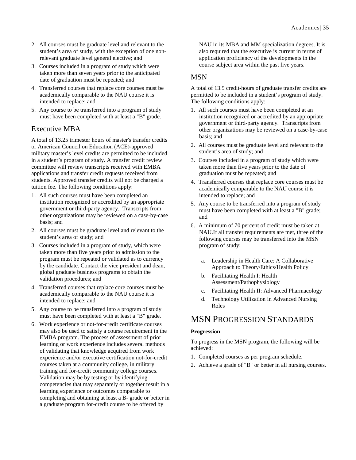- 2. All courses must be graduate level and relevant to the student's area of study, with the exception of one nonrelevant graduate level general elective; and
- 3. Courses included in a program of study which were taken more than seven years prior to the anticipated date of graduation must be repeated; and
- 4. Transferred courses that replace core courses must be academically comparable to the NAU course it is intended to replace; and
- 5. Any course to be transferred into a program of study must have been completed with at least a "B" grade.

### <span id="page-34-0"></span>Executive MBA

A total of 13.25 trimester hours of master's transfer credits or American Council on Education (ACE)-approved military master's level credits are permitted to be included in a student's program of study. A transfer credit review committee will review transcripts received with EMBA applications and transfer credit requests received from students. Approved transfer credits will not be charged a tuition fee. The following conditions apply:

- 1. All such courses must have been completed an institution recognized or accredited by an appropriate government or third-party agency. Transcripts from other organizations may be reviewed on a case-by-case basis; and
- 2. All courses must be graduate level and relevant to the student's area of study; and
- 3. Courses included in a program of study, which were taken more than five years prior to admission to the program must be repeated or validated as to currency by the candidate. Contact the vice president and dean, global graduate business programs to obtain the validation procedures; and
- 4. Transferred courses that replace core courses must be academically comparable to the NAU course it is intended to replace; and
- 5. Any course to be transferred into a program of study must have been completed with at least a "B" grade.
- 6. Work experience or not-for-credit certificate courses may also be used to satisfy a course requirement in the EMBA program. The process of assessment of prior learning or work experience includes several methods of validating that knowledge acquired from work experience and/or executive certification not-for-credit courses taken at a community college, in military training and for-credit community college courses. Validation may be by testing or by identifying competencies that may separately or together result in a learning experience or outcomes comparable to completing and obtaining at least a B- grade or better in a graduate program for-credit course to be offered by

NAU in its MBA and MM specialization degrees. It is also required that the executive is current in terms of application proficiency of the developments in the course subject area within the past five years.

### <span id="page-34-1"></span>**MSN**

A total of 13.5 credit-hours of graduate transfer credits are permitted to be included in a student's program of study. The following conditions apply:

- 1. All such courses must have been completed at an institution recognized or accredited by an appropriate government or third-party agency. Transcripts from other organizations may be reviewed on a case-by-case basis; and
- 2. All courses must be graduate level and relevant to the student's area of study; and
- 3. Courses included in a program of study which were taken more than five years prior to the date of graduation must be repeated; and
- 4. Transferred courses that replace core courses must be academically comparable to the NAU course it is intended to replace; and
- 5. Any course to be transferred into a program of study must have been completed with at least a "B" grade; and
- 6. A minimum of 70 percent of credit must be taken at NAU.If all transfer requirements are met, three of the following courses may be transferred into the MSN program of study:
	- a. Leadership in Health Care: A Collaborative Approach to Theory/Ethics/Health Policy
	- b. Facilitating Health I: Health Assessment/Pathophysiology
	- c. Facilitating Health II: Advanced Pharmacology
	- d. Technology Utilization in Advanced Nursing Roles

### <span id="page-34-2"></span>MSN PROGRESSION STANDARDS

#### **Progression**

To progress in the MSN program, the following will be achieved:

- 1. Completed courses as per program schedule.
- 2. Achieve a grade of "B" or better in all nursing courses.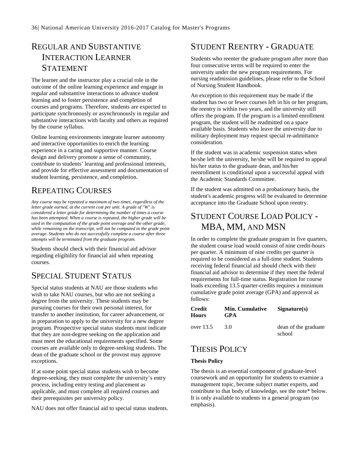# <span id="page-35-0"></span>REGULAR AND SUBSTANTIVE INTERACTION LEARNER STATEMENT

The learner and the instructor play a crucial role in the outcome of the online learning experience and engage in regular and substantive interactions to advance student learning and to foster persistence and completion of courses and programs. Therefore, students are expected to participate synchronously or asynchronously in regular and substantive interactions with faculty and others as required by the course syllabus.

Online learning environments integrate learner autonomy and interactive opportunities to enrich the learning experience in a caring and supportive manner. Course design and delivery promote a sense of community, contribute to students' learning and professional interests, and provide for effective assessment and documentation of student learning, persistence, and completion.

## <span id="page-35-1"></span>REPEATING COURSES

*Any course may be repeated a maximum of two times, regardless of the letter grade earned, at the current cost per unit. A grade of "W" is considered a letter grade for determining the number of times a course has been attempted. When a course is repeated, the higher grade will be used in the computation of the grade point average and the other grade, while remaining on the transcript, will not be computed in the grade point average. Students who do not successfully complete a course after three attempts will be terminated from the graduate program.*

Students should check with their financial aid advisor regarding eligibility for financial aid when repeating courses.

# <span id="page-35-2"></span>SPECIAL STUDENT STATUS

Special status students at NAU are those students who wish to take NAU courses, but who are not seeking a degree from the university. These students may be pursuing courses for their own personal interest, for transfer to another institution, for career advancement, or in preparation to apply to the university for a new degree program. Prospective special status students must indicate that they are non-degree seeking on the application and must meet the educational requirements specified. Some courses are available only to degree-seeking students. The dean of the graduate school or the provost may approve exceptions.

If at some point special status students wish to become degree-seeking, they must complete the university's entry process, including entry testing and placement as applicable, and must complete all required courses and their prerequisites per university policy.

NAU does not offer financial aid to special status students.

### <span id="page-35-3"></span>STUDENT REENTRY - GRADUATE

Students who reenter the graduate program after more than four consecutive terms will be required to enter the university under the new program requirements. For nursing readmission guidelines, please refer to the School of Nursing Student Handbook.

An exception to this requirement may be made if the student has two or fewer courses left in his or her program, the reentry is within two years, and the university still offers the program. If the program is a limited enrollment program, the student will be readmitted on a space available basis. Students who leave the university due to military deployment may request special re-admittance consideration.

If the student was in academic suspension status when he/she left the university, he/she will be required to appeal his/her status to the graduate dean, and his/her reenrollment is conditional upon a successful appeal with the Academic Standards Committee.

If the student was admitted on a probationary basis, the student's academic progress will be evaluated to determine acceptance into the Graduate School upon reentry.

# <span id="page-35-4"></span>STUDENT COURSE LOAD POLICY - MBA, MM, AND MSN

In order to complete the graduate program in five quarters, the student course load would consist of nine credit-hours per quarter. A minimum of nine credits per quarter is required to be considered as a full-time student. Students receiving federal financial aid should check with their financial aid advisor to determine if they meet the federal requirements for full-time status. Registration for course loads exceeding 13.5 quarter-credits requires a minimum cumulative grade point average (GPA) and approval as follows:

| Credit<br><b>Hours</b> | <b>Min. Cumulative</b><br>GPA | Signature(s)                   |
|------------------------|-------------------------------|--------------------------------|
| over $13.5$            | 30                            | dean of the graduate<br>school |

## <span id="page-35-5"></span>THESIS POLICY

#### **Thesis Policy**

The thesis is an essential component of graduate-level coursework and an opportunity for students to examine a management topic, become subject matter experts, and contribute to that body of knowledge, see the note\* below. It is only available to students in a general program (no emphasis).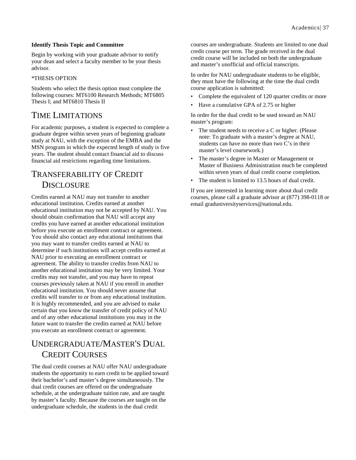#### **Identify Thesis Topic and Committee**

Begin by working with your graduate advisor to notify your dean and select a faculty member to be your thesis advisor.

#### \*THESIS OPTION

Students who select the thesis option must complete the following courses: MT6100 Research Methods; MT6805 Thesis I; and MT6810 Thesis II

### TIME LIMITATIONS

For academic purposes, a student is expected to complete a graduate degree within seven years of beginning graduate study at NAU, with the exception of the EMBA and the MSN program in which the expected length of study is five years. The student should contact financial aid to discuss financial aid restrictions regarding time limitations.

# TRANSFERABILITY OF CREDIT **DISCLOSURE**

Credits earned at NAU may not transfer to another educational institution. Credits earned at another educational institution may not be accepted by NAU. You should obtain confirmation that NAU will accept any credits you have earned at another educational institution before you execute an enrollment contract or agreement. You should also contact any educational institutions that you may want to transfer credits earned at NAU to determine if such institutions will accept credits earned at NAU prior to executing an enrollment contract or agreement. The ability to transfer credits from NAU to another educational institution may be very limited. Your credits may not transfer, and you may have to repeat courses previously taken at NAU if you enroll in another educational institution. You should never assume that credits will transfer to or from any educational institution. It is highly recommended, and you are advised to make certain that you know the transfer of credit policy of NAU and of any other educational institutions you may in the future want to transfer the credits earned at NAU before you execute an enrollment contract or agreement.

# UNDERGRADUATE/MASTER'S DUAL CREDIT COURSES

The dual credit courses at NAU offer NAU undergraduate students the opportunity to earn credit to be applied toward their bachelor's and master's degree simultaneously. The dual credit courses are offered on the undergraduate schedule, at the undergraduate tuition rate, and are taught by master's faculty. Because the courses are taught on the undergraduate schedule, the students in the dual credit

courses are undergraduate. Students are limited to one dual credit course per term. The grade received in the dual credit course will be included on both the undergraduate and master's unofficial and official transcripts.

In order for NAU undergraduate students to be eligible, they must have the following at the time the dual credit course application is submitted:

- Complete the equivalent of 120 quarter credits or more
- Have a cumulative GPA of 2.75 or higher

In order for the dual credit to be used toward an NAU master's program:

- The student needs to receive a C or higher. (Please note: To graduate with a master's degree at NAU, students can have no more than two C's in their master's level coursework.)
- The master's degree in Master or Management or Master of Business Administration much be completed within seven years of dual credit course completion.
- The student is limited to 13.5 hours of dual credit.

If you are interested in learning more about dual credit courses, please call a graduate advisor at (877) 398-0118 or email graduniversityservices@national.edu.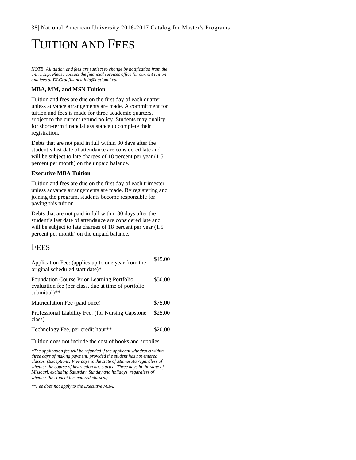# TUITION AND FEES

*NOTE: All tuition and fees are subject to change by notification from the university. Please contact the financial services office for current tuition and fees at DLGradfinancialaid@national.edu.*

#### **MBA, MM, and MSN Tuition**

Tuition and fees are due on the first day of each quarter unless advance arrangements are made. A commitment for tuition and fees is made for three academic quarters, subject to the current refund policy. Students may qualify for short-term financial assistance to complete their registration.

Debts that are not paid in full within 30 days after the student's last date of attendance are considered late and will be subject to late charges of 18 percent per year  $(1.5)$ percent per month) on the unpaid balance.

#### **Executive MBA Tuition**

Tuition and fees are due on the first day of each trimester unless advance arrangements are made. By registering and joining the program, students become responsible for paying this tuition.

Debts that are not paid in full within 30 days after the student's last date of attendance are considered late and will be subject to late charges of 18 percent per year  $(1.5)$ percent per month) on the unpaid balance.

### **FEES**

| Application Fee: (applies up to one year from the<br>original scheduled start date)*                                     | \$45.00 |
|--------------------------------------------------------------------------------------------------------------------------|---------|
| <b>Foundation Course Prior Learning Portfolio</b><br>evaluation fee (per class, due at time of portfolio<br>submittal)** | \$50.00 |
| Matriculation Fee (paid once)                                                                                            | \$75.00 |
| Professional Liability Fee: (for Nursing Capstone)<br>class)                                                             | \$25.00 |
| Technology Fee, per credit hour**                                                                                        | \$20.00 |
|                                                                                                                          |         |

Tuition does not include the cost of books and supplies.

*\*The application fee will be refunded if the applicant withdraws within three days of making payment, provided the student has not entered classes. (Exceptions: Five days in the state of Minnesota regardless of whether the course of instruction has started. Three days in the state of Missouri, excluding Saturday, Sunday and holidays, regardless of whether the student has entered classes.)*

*\*\*Fee does not apply to the Executive MBA.*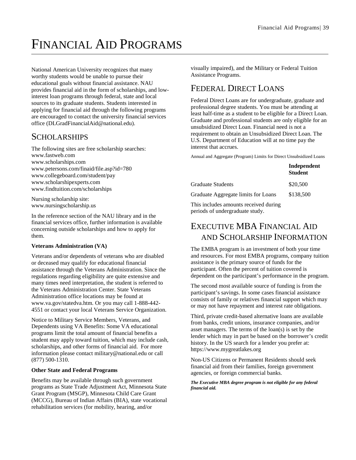# FINANCIAL AID PROGRAMS

National American University recognizes that many worthy students would be unable to pursue their educational goals without financial assistance. NAU provides financial aid in the form of scholarships, and lowinterest loan programs through federal, state and local sources to its graduate students. Students interested in applying for financial aid through the following programs are encouraged to contact the university financial services office (DLGradFinancialAid@national.edu).

## **SCHOLARSHIPS**

The following sites are free scholarship searches: www.fastweb.com www.scholarships.com www.petersons.com/finaid/file.asp?id=780 www.collegeboard.com/student/pay www.scholarshipexperts.com www.findtuition.com/scholarships

Nursing scholarship site: www.nursingscholarship.us

In the reference section of the NAU library and in the financial services office, further information is available concerning outside scholarships and how to apply for them.

#### **Veterans Administration (VA)**

Veterans and/or dependents of veterans who are disabled or deceased may qualify for educational financial assistance through the Veterans Administration. Since the regulations regarding eligibility are quite extensive and many times need interpretation, the student is referred to the Veterans Administration Center. State Veterans Administration office locations may be found at www.va.gov/statedva.htm. Or you may call 1-888-442- 4551 or contact your local Veterans Service Organization.

Notice to Military Service Members, Veterans, and Dependents using VA Benefits: Some VA educational programs limit the total amount of financial benefits a student may apply toward tuition, which may include cash, scholarships, and other forms of financial aid. For more information please contact military@national.edu or call (877) 500-1310.

#### **Other State and Federal Programs**

Benefits may be available through such government programs as State Trade Adjustment Act, Minnesota State Grant Program (MSGP), Minnesota Child Care Grant (MCCG), Bureau of Indian Affairs (BIA), state vocational rehabilitation services (for mobility, hearing, and/or

visually impaired), and the Military or Federal Tuition Assistance Programs.

## FEDERAL DIRECT LOANS

Federal Direct Loans are for undergraduate, graduate and professional degree students. You must be attending at least half-time as a student to be eligible for a Direct Loan. Graduate and professional students are only eligible for an unsubsidized Direct Loan. Financial need is not a requirement to obtain an Unsubsidized Direct Loan. The U.S. Department of Education will at no time pay the interest that accrues.

Annual and Aggregate (Program) Limits for Direct Unsubsidized Loans

|                                       | Independent<br><b>Student</b> |
|---------------------------------------|-------------------------------|
| <b>Graduate Students</b>              | \$20,500                      |
| Graduate Aggregate limits for Loans   | \$138,500                     |
| This includes amounts received during |                               |

periods of undergraduate study.

# EXECUTIVE MBA FINANCIAL AID AND SCHOLARSHIP INFORMATION

The EMBA program is an investment of both your time and resources. For most EMBA programs, company tuition assistance is the primary source of funds for the participant. Often the percent of tuition covered is dependent on the participant's performance in the program.

The second most available source of funding is from the participant's savings. In some cases financial assistance consists of family or relatives financial support which may or may not have repayment and interest rate obligations.

Third, private credit-based alternative loans are available from banks, credit unions, insurance companies, and/or asset managers. The terms of the loan(s) is set by the lender which may in part be based on the borrower's credit history. In the US search for a lender you prefer at: https://www.mygreatlakes.org

Non-US Citizens or Permanent Residents should seek financial aid from their families, foreign government agencies, or foreign commercial banks.

*The Executive MBA degree program is not eligible for any federal financial aid.*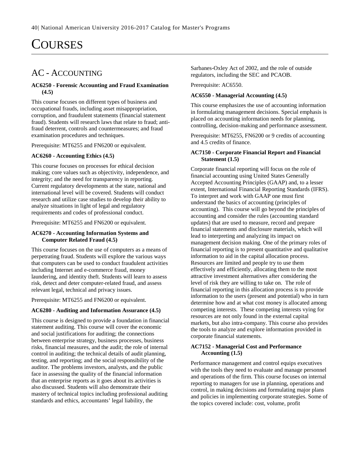# **COURSES**

# AC - ACCOUNTING

#### **AC6250 - Forensic Accounting and Fraud Examination (4.5)**

This course focuses on different types of business and occupational frauds, including asset misappropriation, corruption, and fraudulent statements (financial statement fraud). Students will research laws that relate to fraud; antifraud deterrent, controls and countermeasures; and fraud examination procedures and techniques.

Prerequisite: MT6255 and FN6200 or equivalent.

#### **AC6260 - Accounting Ethics (4.5)**

This course focuses on processes for ethical decision making; core values such as objectivity, independence, and integrity; and the need for transparency in reporting. Current regulatory developments at the state, national and international level will be covered. Students will conduct research and utilize case studies to develop their ability to analyze situations in light of legal and regulatory requirements and codes of professional conduct.

Prerequisite: MT6255 and FN6200 or equivalent.

#### **AC6270 - Accounting Information Systems and Computer Related Fraud (4.5)**

This course focuses on the use of computers as a means of perpetrating fraud. Students will explore the various ways that computers can be used to conduct fraudulent activities including Internet and e-commerce fraud, money laundering, and identity theft. Students will learn to assess risk, detect and deter computer-related fraud, and assess relevant legal, technical and privacy issues.

Prerequisite: MT6255 and FN6200 or equivalent.

#### **AC6280 - Auditing and Information Assurance (4.5)**

This course is designed to provide a foundation in financial statement auditing. This course will cover the economic and social justifications for auditing; the connections between enterprise strategy, business processes, business risks, financial measures, and the audit; the role of internal control in auditing; the technical details of audit planning, testing, and reporting; and the social responsibility of the auditor. The problems investors, analysts, and the public face in assessing the quality of the financial information that an enterprise reports as it goes about its activities is also discussed. Students will also demonstrate their mastery of technical topics including professional auditing standards and ethics, accountants' legal liability, the

Sarbanes-Oxley Act of 2002, and the role of outside regulators, including the SEC and PCAOB.

Prerequisite: AC6550.

#### **AC6550 - Managerial Accounting (4.5)**

This course emphasizes the use of accounting information in formulating management decisions. Special emphasis is placed on accounting information needs for planning, controlling, decision-making and performance assessment.

Prerequisite: MT6255, FN6200 or 9 credits of accounting and 4.5 credits of finance.

#### **AC7150 - Corporate Financial Report and Financial Statement (1.5)**

Corporate financial reporting will focus on the role of financial accounting using United States Generally Accepted Accounting Principles (GAAP) and, to a lesser extent, International Financial Reporting Standards (IFRS). To interpret and work with GAAP one must first understand the basics of accounting (principles of accounting). This course will go beyond the principles of accounting and consider the rules (accounting standard updates) that are used to measure, record and prepare financial statements and disclosure materials, which will lead to interpreting and analyzing its impact on management decision making. One of the primary roles of financial reporting is to present quantitative and qualitative information to aid in the capital allocation process. Resources are limited and people try to use them effectively and efficiently, allocating them to the most attractive investment alternatives after considering the level of risk they are willing to take on. The role of financial reporting in this allocation process is to provide information to the users (present and potential) who in turn determine how and at what cost money is allocated among competing interests. These competing interests vying for resources are not only found in the external capital markets, but also intra-company. This course also provides the tools to analyze and explore information provided in corporate financial statements.

#### **AC7152 - Managerial Cost and Performance Accounting (1.5)**

Performance management and control equips executives with the tools they need to evaluate and manage personnel and operations of the firm. This course focuses on internal reporting to managers for use in planning, operations and control, in making decisions and formulating major plans and policies in implementing corporate strategies. Some of the topics covered include: cost, volume, profit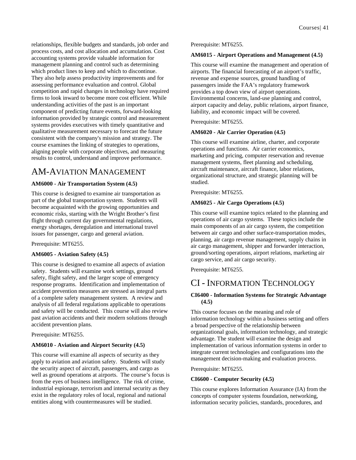relationships, flexible budgets and standards, job order and process costs, and cost allocation and accumulation. Cost accounting systems provide valuable information for management planning and control such as determining which product lines to keep and which to discontinue. They also help assess productivity improvements and for assessing performance evaluation and control. Global competition and rapid changes in technology have required firms to look inward to become more cost efficient. While understanding activities of the past is an important component of predicting future events, forward-looking information provided by strategic control and measurement systems provides executives with timely quantitative and qualitative measurement necessary to forecast the future consistent with the company's mission and strategy. The course examines the linking of strategies to operations, aligning people with corporate objectives, and measuring results to control, understand and improve performance.

# AM-AVIATION MANAGEMENT

#### **AM6000 - Air Transportation System (4.5)**

This course is designed to examine air transportation as part of the global transportation system. Students will become acquainted with the growing opportunities and economic risks, starting with the Wright Brother's first flight through current day governmental regulations, energy shortages, deregulation and international travel issues for passenger, cargo and general aviation.

Prerequisite: MT6255.

#### **AM6005 - Aviation Safety (4.5)**

This course is designed to examine all aspects of aviation safety. Students will examine work settings, ground safety, flight safety, and the larger scope of emergency response programs. Identification and implementation of accident prevention measures are stressed as integral parts of a complete safety management system. A review and analysis of all federal regulations applicable to operations and safety will be conducted. This course will also review past aviation accidents and their modern solutions through accident prevention plans.

Prerequisite: MT6255.

#### **AM6010 - Aviation and Airport Security (4.5)**

This course will examine all aspects of security as they apply to aviation and aviation safety. Students will study the security aspect of aircraft, passengers, and cargo as well as ground operations at airports. The course's focus is from the eyes of business intelligence. The risk of crime, industrial espionage, terrorism and internal security as they exist in the regulatory roles of local, regional and national entities along with countermeasures will be studied.

Prerequisite: MT6255.

#### **AM6015 - Airport Operations and Management (4.5)**

This course will examine the management and operation of airports. The financial forecasting of an airport's traffic, revenue and expense sources, ground handling of passengers inside the FAA's regulatory framework provides a top down view of airport operations. Environmental concerns, land-use planning and control, airport capacity and delay, public relations, airport finance, liability, and economic impact will be covered.

Prerequisite: MT6255.

#### **AM6020 - Air Carrier Operation (4.5)**

This course will examine airline, charter, and corporate operations and functions. Air carrier economics, marketing and pricing, computer reservation and revenue management systems, fleet planning and scheduling, aircraft maintenance, aircraft finance, labor relations, organizational structure, and strategic planning will be studied.

Prerequisite: MT6255.

#### **AM6025 - Air Cargo Operations (4.5)**

This course will examine topics related to the planning and operations of air cargo systems. These topics include the main components of an air cargo system, the competition between air cargo and other surface-transportation modes, planning, air cargo revenue management, supply chains in air cargo management, shipper and forwarder interaction, ground/sorting operations, airport relations, marketing air cargo service, and air cargo security.

Prerequisite: MT6255.

### CI - INFORMATION TECHNOLOGY

#### **CI6400 - Information Systems for Strategic Advantage (4.5)**

This course focuses on the meaning and role of information technology within a business setting and offers a broad perspective of the relationship between organizational goals, information technology, and strategic advantage. The student will examine the design and implementation of various information systems in order to integrate current technologies and configurations into the management decision-making and evaluation process.

Prerequisite: MT6255.

#### **CI6600 - Computer Security (4.5)**

This course explores Information Assurance (IA) from the concepts of computer systems foundation, networking, information security policies, standards, procedures, and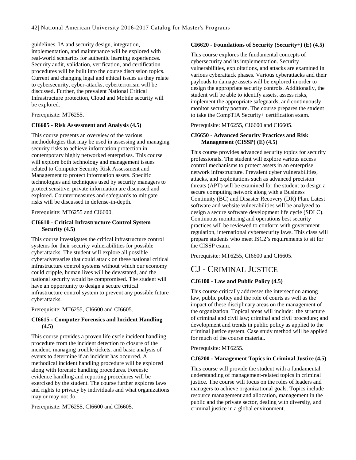guidelines. IA and security design, integration, implementation, and maintenance will be explored with real-world scenarios for authentic learning experiences. Security audit, validation, verification, and certification procedures will be built into the course discussion topics. Current and changing legal and ethical issues as they relate to cybersecurity, cyber-attacks, cyberterrorism will be discussed. Further, the prevalent National Critical Infrastructure protection, Cloud and Mobile security will be explored.

Prerequisite: MT6255.

#### **CI6605 - Risk Assessment and Analysis (4.5)**

This course presents an overview of the various methodologies that may be used in assessing and managing security risks to achieve information protection in contemporary highly networked enterprises. This course will explore both technology and management issues related to Computer Security Risk Assessment and Management to protect information assets. Specific technologies and techniques used by security managers to protect sensitive, private information are discussed and explored. Countermeasures and safeguards to mitigate risks will be discussed in defense-in-depth.

Prerequisite: MT6255 and CI6600.

#### **CI6610 - Critical Infrastructure Control System Security (4.5)**

This course investigates the critical infrastructure control systems for their security vulnerabilities for possible cyberattacks. The student will explore all possible cyberadversaries that could attack on these national critical infrastructure control systems without which our economy could cripple, human lives will be devastated, and the national security would be compromised. The student will have an opportunity to design a secure critical infrastructure control system to prevent any possible future cyberattacks.

Prerequisite: MT6255, CI6600 and CI6605.

#### **CI6615 - Computer Forensics and Incident Handling (4.5)**

This course provides a proven life cycle incident handling procedure from the incident detection to closure of the incident, managing trouble tickets, and basic analysis of events to determine if an incident has occurred. A methodical incident handling procedure will be explored along with forensic handling procedures. Forensic evidence handling and reporting procedures will be exercised by the student. The course further explores laws and rights to privacy by individuals and what organizations may or may not do.

Prerequisite: MT6255, CI6600 and CI6605.

#### **CI6620 - Foundations of Security (Security+) (E) (4.5)**

This course explores the fundamental concepts of cybersecurity and its implementation. Security vulnerabilities, exploitations, and attacks are examined in various cyberattack phases. Various cyberattacks and their payloads to damage assets will be explored in order to design the appropriate security controls. Additionally, the student will be able to identify assets, assess risks, implement the appropriate safeguards, and continuously monitor security posture. The course prepares the student to take the CompTIA Security+ certification exam.

Prerequisite: MT6255, CI6600 and CI6605.

#### **CI6650 - Advanced Security Practices and Risk Management (CISSP) (E) (4.5)**

This course provides advanced security topics for security professionals. The student will explore various access control mechanisms to protect assets in an enterprise network infrastructure. Prevalent cyber vulnerabilities, attacks, and exploitations such as advanced precision threats (APT) will be examined for the student to design a secure computing network along with a Business Continuity (BC) and Disaster Recovery (DR) Plan. Latest software and website vulnerabilities will be analyzed to design a secure software development life cycle (SDLC). Continuous monitoring and operations best security practices will be reviewed to conform with government regulation, international cybersecurity laws. This class will prepare students who meet ISC2's requirements to sit for the CISSP exam.

Prerequisite: MT6255, CI6600 and CI6605.

### CJ - CRIMINAL JUSTICE

#### **CJ6100 - Law and Public Policy (4.5)**

This course critically addresses the intersection among law, public policy and the role of courts as well as the impact of these disciplinary areas on the management of the organization. Topical areas will include: the structure of criminal and civil law; criminal and civil procedure; and development and trends in public policy as applied to the criminal justice system. Case study method will be applied for much of the course material.

Prerequisite: MT6255.

#### **CJ6200 - Management Topics in Criminal Justice (4.5)**

This course will provide the student with a fundamental understanding of management-related topics in criminal justice. The course will focus on the roles of leaders and managers to achieve organizational goals. Topics include resource management and allocation, management in the public and the private sector, dealing with diversity, and criminal justice in a global environment.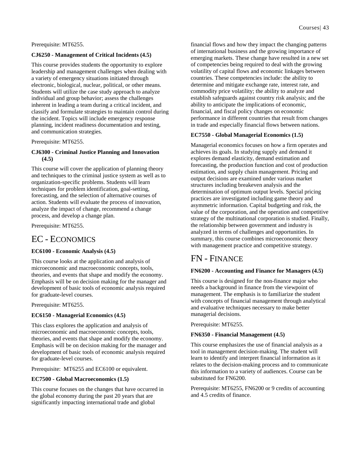Prerequisite: MT6255.

#### **CJ6250 - Management of Critical Incidents (4.5)**

This course provides students the opportunity to explore leadership and management challenges when dealing with a variety of emergency situations initiated through electronic, biological, nuclear, political, or other means. Students will utilize the case study approach to analyze individual and group behavior; assess the challenges inherent in leading a team during a critical incident, and classify and formulate strategies to maintain control during the incident. Topics will include emergency response planning, incident readiness documentation and testing, and communication strategies.

Prerequisite: MT6255.

#### **CJ6300 - Criminal Justice Planning and Innovation (4.5)**

This course will cover the application of planning theory and techniques to the criminal justice system as well as to organization-specific problems. Students will learn techniques for problem identification, goal-setting, forecasting, and the selection of alternative courses of action. Students will evaluate the process of innovation, analyze the impact of change, recommend a change process, and develop a change plan.

Prerequisite: MT6255.

### EC - ECONOMICS

#### **EC6100 - Economic Analysis (4.5)**

This course looks at the application and analysis of microeconomic and macroeconomic concepts, tools, theories, and events that shape and modify the economy. Emphasis will be on decision making for the manager and development of basic tools of economic analysis required for graduate-level courses.

Prerequisite: MT6255.

#### **EC6150 - Managerial Economics (4.5)**

This class explores the application and analysis of microeconomic and macroeconomic concepts, tools, theories, and events that shape and modify the economy. Emphasis will be on decision making for the manager and development of basic tools of economic analysis required for graduate-level courses.

Prerequisite: MT6255 and EC6100 or equivalent.

#### **EC7500 - Global Macroeconomics (1.5)**

This course focuses on the changes that have occurred in the global economy during the past 20 years that are significantly impacting international trade and global

financial flows and how they impact the changing patterns of international business and the growing importance of emerging markets. These change have resulted in a new set of competencies being required to deal with the growing volatility of capital flows and economic linkages between countries. These competencies include: the ability to determine and mitigate exchange rate, interest rate, and commodity price volatility; the ability to analyze and establish safeguards against country risk analysis; and the ability to anticipate the implications of economic, financial, and fiscal policy changes on economic performance in different countries that result from changes in trade and especially financial flows between nations.

#### **EC7550 - Global Managerial Economics (1.5)**

Managerial economics focuses on how a firm operates and achieves its goals. In studying supply and demand it explores demand elasticity, demand estimation and forecasting, the production function and cost of production estimation, and supply chain management. Pricing and output decisions are examined under various market structures including breakeven analysis and the determination of optimum output levels. Special pricing practices are investigated including game theory and asymmetric information. Capital budgeting and risk, the value of the corporation, and the operation and competitive strategy of the multinational corporation is studied. Finally, the relationship between government and industry is analyzed in terms of challenges and opportunities. In summary, this course combines microeconomic theory with management practice and competitive strategy.

### FN - FINANCE

#### **FN6200 - Accounting and Finance for Managers (4.5)**

This course is designed for the non-finance major who needs a background in finance from the viewpoint of management. The emphasis is to familiarize the student with concepts of financial management through analytical and evaluative techniques necessary to make better managerial decisions.

Prerequisite: MT6255.

#### **FN6350 - Financial Management (4.5)**

This course emphasizes the use of financial analysis as a tool in management decision-making. The student will learn to identify and interpret financial information as it relates to the decision-making process and to communicate this information to a variety of audiences. Course can be substituted for FN6200.

Prerequisite: MT6255, FN6200 or 9 credits of accounting and 4.5 credits of finance.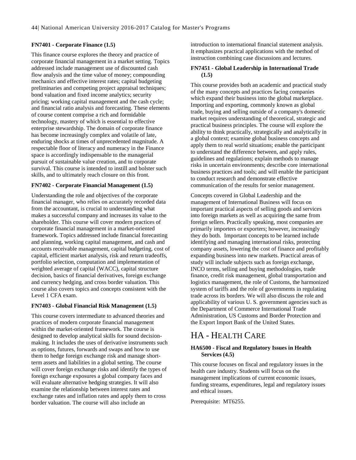#### **FN7401 - Corporate Finance (1.5)**

This finance course explores the theory and practice of corporate financial management in a market setting. Topics addressed include management use of discounted cash flow analysis and the time value of money; compounding mechanics and effective interest rates; capital budgeting preliminaries and competing project appraisal techniques; bond valuation and fixed income analytics; security pricing; working capital management and the cash cycle; and financial ratio analysis and forecasting. These elements of course content comprise a rich and formidable technology, mastery of which is essential to effective enterprise stewardship. The domain of corporate finance has become increasingly complex and volatile of late, enduring shocks at times of unprecedented magnitude. A respectable floor of literacy and numeracy in the Finance space is accordingly indispensable to the managerial pursuit of sustainable value creation, and to corporate survival. This course is intended to instill and bolster such skills, and to ultimately reach closure on this front.

#### **FN7402 - Corporate Financial Management (1.5)**

Understanding the role and objectives of the corporate financial manager, who relies on accurately recorded data from the accountant, is crucial to understanding what makes a successful company and increases its value to the shareholder. This course will cover modern practices of corporate financial management in a market-oriented framework. Topics addressed include financial forecasting and planning, working capital management, and cash and accounts receivable management, capital budgeting, cost of capital, efficient market analysis, risk and return tradeoffs, portfolio selection, computation and implementation of weighted average of capital (WACC), capital structure decision, basics of financial derivatives, foreign exchange and currency hedging, and cross border valuation. This course also covers topics and concepts consistent with the Level 1 CFA exam.

#### **FN7403 - Global Financial Risk Management (1.5)**

This course covers intermediate to advanced theories and practices of modern corporate financial management within the market-oriented framework. The course is designed to develop analytical skills for sound decisionmaking. It includes the uses of derivative instruments such as options, futures, forwards and swaps and how to use them to hedge foreign exchange risk and manage shortterm assets and liabilities in a global setting. The course will cover foreign exchange risks and identify the types of foreign exchange exposures a global company faces and will evaluate alternative hedging strategies. It will also examine the relationship between interest rates and exchange rates and inflation rates and apply them to cross border valuation. The course will also include an

introduction to international financial statement analysis. It emphasizes practical applications with the method of instruction combining case discussions and lectures.

#### **FN7451 - Global Leadership in International Trade (1.5)**

This course provides both an academic and practical study of the many concepts and practices facing companies which expand their business into the global marketplace. Importing and exporting, commonly known as global trade, buying and selling outside of a company's domestic market requires understanding of theoretical, strategic and practical business principles. The course will explore the ability to think practically, strategically and analytically in a global context; examine global business concepts and apply them to real world situations; enable the participant to understand the difference between, and apply rules, guidelines and regulations; explain methods to manage risks in uncertain environments; describe core international business practices and tools; and will enable the participant to conduct research and demonstrate effective communication of the results for senior management.

Concepts covered in Global Leadership and the management of International Business will focus on important practical aspects of selling goods and services into foreign markets as well as acquiring the same from foreign sellers. Practically speaking, most companies are primarily importers or exporters; however, increasingly they do both. Important concepts to be learned include identifying and managing international risks, protecting company assets, lowering the cost of finance and profitably expanding business into new markets. Practical areas of study will include subjects such as foreign exchange, INCO terms, selling and buying methodologies, trade finance, credit risk management, global transportation and logistics management, the role of Customs, the harmonized system of tariffs and the role of governments in regulating trade across its borders. We will also discuss the role and applicability of various U. S. government agencies such as the Department of Commerce International Trade Administration, US Customs and Border Protection and the Export Import Bank of the United States.

### HA - HEALTH CARE

#### **HA6500 - Fiscal and Regulatory Issues in Health Services (4.5)**

This course focuses on fiscal and regulatory issues in the health care industry. Students will focus on the management implications of current economic issues, funding streams, expenditures, legal and regulatory issues and ethical issues.

Prerequisite: MT6255.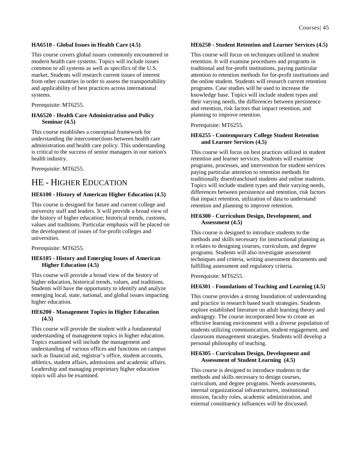#### **HA6510 - Global Issues in Health Care (4.5)**

This course covers global issues commonly encountered in modern health care systems. Topics will include issues common to all systems as well as specifics of the U.S. market. Students will research current issues of interest from other countries in order to assess the transportability and applicability of best practices across international systems.

Prerequisite: MT6255.

#### **HA6520 - Health Care Administration and Policy Seminar (4.5)**

This course establishes a conceptual framework for understanding the interconnections between health care administration and health care policy. This understanding is critical to the success of senior managers in our nation's health industry.

Prerequisite: MT6255.

### HE - HIGHER EDUCATION

#### **HE6100 - History of American Higher Education (4.5)**

This course is designed for future and current college and university staff and leaders. It will provide a broad view of the history of higher education; historical trends, customs, values and traditions. Particular emphasis will be placed on the development of issues of for-profit colleges and universities.

#### Prerequisite: MT6255.

#### **HE6105 - History and Emerging Issues of American Higher Education (4.5)**

This course will provide a broad view of the history of higher education, historical trends, values, and traditions. Students will have the opportunity to identify and analyze emerging local, state, national, and global issues impacting higher education.

#### **HE6200 - Management Topics in Higher Education (4.5)**

This course will provide the student with a fundamental understanding of management topics in higher education. Topics examined will include the management and understanding of various offices and functions on campus such as financial aid, registrar's office, student accounts, athletics, student affairs, admissions and academic affairs. Leadership and managing proprietary higher education topics will also be examined.

#### **HE6250 - Student Retention and Learner Services (4.5)**

This course will focus on techniques utilized in student retention. It will examine procedures and programs in traditional and for-profit institutions, paying particular attention to retention methods for for-profit institutions and the online student. Students will research current retention programs. Case studies will be used to increase the knowledge base. Topics will include student types and their varying needs, the differences between persistence and retention, risk factors that impact retention, and planning to improve retention.

#### Prerequisite: MT6255.

#### **HE6255 - Contemporary College Student Retention and Learner Services (4.5)**

This course will focus on best practices utilized in student retention and learner services. Students will examine programs, processes, and intervention for student services paying particular attention to retention methods for traditionally disenfranchised students and online students. Topics will include student types and their varying needs, differences between persistence and retention, risk factors that impact retention, utilization of data to understand retention and planning to improve retention.

#### **HE6300 - Curriculum Design, Development, and Assessment (4.5)**

This course is designed to introduce students to the methods and skills necessary for instructional planning as it relates to designing courses, curriculum, and degree programs. Students will also investigate assessment techniques and criteria, writing assessment documents and fulfilling assessment and regulatory criteria.

Prerequisite: MT6255.

#### **HE6301 - Foundations of Teaching and Learning (4.5)**

This course provides a strong foundation of understanding and practice in research based teach strategies. Students explore established literature on adult learning theory and andragogy. The course incorporated how to create an effective learning environment with a diverse population of students utilizing communication, student engagement, and classroom management strategies. Students will develop a personal philosophy of teaching.

#### **HE6305 - Curriculum Design, Development and Assessment of Student Learning (4.5)**

This course is designed to introduce students to the methods and skills necessary to design courses, curriculum, and degree programs. Needs assessments, internal organizational infrastructures, institutional mission, faculty roles, academic administration, and external constituency influences will be discussed.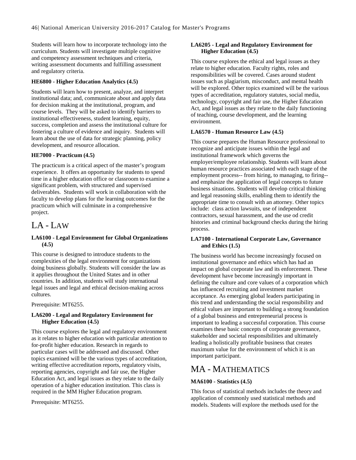Students will learn how to incorporate technology into the curriculum. Students will investigate multiple cognitive and competency assessment techniques and criteria, writing assessment documents and fulfilling assessment and regulatory criteria.

#### **HE6800 - Higher Education Analytics (4.5)**

Students will learn how to present, analyze, and interpret institutional data; and, communicate about and apply data for decision making at the institutional, program, and course levels. They will be asked to identify barriers to institutional effectiveness, student learning, equity, success, completion and assess the institutional culture for fostering a culture of evidence and inquiry. Students will learn about the use of data for strategic planning, policy development, and resource allocation.

#### **HE7000 - Practicum (4.5)**

The practicum is a critical aspect of the master's program experience. It offers an opportunity for students to spend time in a higher education office or classroom to examine a significant problem, with structured and supervised deliverables. Students will work in collaboration with the faculty to develop plans for the learning outcomes for the practicum which will culminate in a comprehensive project.

### $L_A - L_A$

#### **LA6100 - Legal Environment for Global Organizations (4.5)**

This course is designed to introduce students to the complexities of the legal environment for organizations doing business globally. Students will consider the law as it applies throughout the United States and in other countries. In addition, students will study international legal issues and legal and ethical decision-making across cultures.

Prerequisite: MT6255.

#### **LA6200 - Legal and Regulatory Environment for Higher Education (4.5)**

This course explores the legal and regulatory environment as it relates to higher education with particular attention to for-profit higher education. Research in regards to particular cases will be addressed and discussed. Other topics examined will be the various types of accreditation, writing effective accreditation reports, regulatory visits, reporting agencies, copyright and fair use, the Higher Education Act, and legal issues as they relate to the daily operation of a higher education institution. This class is required in the MM Higher Education program.

Prerequisite: MT6255.

#### **LA6205 - Legal and Regulatory Environment for Higher Education (4.5)**

This course explores the ethical and legal issues as they relate to higher education. Faculty rights, roles and responsibilities will be covered. Cases around student issues such as plagiarism, misconduct, and mental health will be explored. Other topics examined will be the various types of accreditation, regulatory statutes, social media, technology, copyright and fair use, the Higher Education Act, and legal issues as they relate to the daily functioning of teaching, course development, and the learning environment.

#### **LA6570 - Human Resource Law (4.5)**

This course prepares the Human Resource professional to recognize and anticipate issues within the legal and institutional framework which governs the employer/employee relationship. Students will learn about human resource practices associated with each stage of the employment process-- from hiring, to managing, to firing- and emphasize the application of legal concepts to future business situations. Students will develop critical thinking and legal reasoning skills, enabling them to identify the appropriate time to consult with an attorney. Other topics include: class action lawsuits, use of independent contractors, sexual harassment, and the use od credit histories and criminal background checks during the hiring process.

#### **LA7100 - International Corporate Law, Governance and Ethics (1.5)**

The business world has become increasingly focused on institutional governance and ethics which has had an impact on global corporate law and its enforcement. These development have become increasingly important in defining the culture and core values of a corporation which has influenced recruiting and investment market acceptance. As emerging global leaders participating in this trend and understanding the social responsibility and ethical values are important to building a strong foundation of a global business and entrepreneurial process is important to leading a successful corporation. This course examines these basic concepts of corporate governance, stakeholder and societal responsibilities and ultimately leading a holistically profitable business that creates maximum value for the environment of which it is an important participant.

### MA - MATHEMATICS

#### **MA6100 - Statistics (4.5)**

This focus of statistical methods includes the theory and application of commonly used statistical methods and models. Students will explore the methods used for the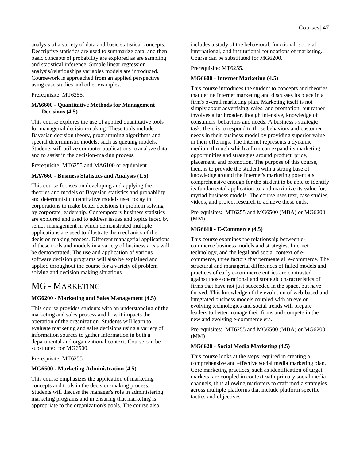analysis of a variety of data and basic statistical concepts. Descriptive statistics are used to summarize data, and then basic concepts of probability are explored as are sampling and statistical inference. Simple linear regression analysis/relationships variables models are introduced. Coursework is approached from an applied perspective using case studies and other examples.

#### Prerequisite: MT6255.

#### **MA6600 - Quantitative Methods for Management Decisions (4.5)**

This course explores the use of applied quantitative tools for managerial decision-making. These tools include Bayesian decision theory, programming algorithms and special deterministic models, such as queuing models. Students will utilize computer applications to analyze data and to assist in the decision-making process.

Prerequisite: MT6255 and MA6100 or equivalent.

#### **MA7660 - Business Statistics and Analysis (1.5)**

This course focuses on developing and applying the theories and models of Bayesian statistics and probability and deterministic quantitative models used today in corporations to make better decisions in problem solving by corporate leadership. Contemporary business statistics are explored and used to address issues and topics faced by senior management in which demonstrated multiple applications are used to illustrate the mechanics of the decision making process. Different managerial applications of these tools and models in a variety of business areas will be demonstrated. The use and application of various software decision programs will also be explained and applied throughout the course for a variety of problem solving and decision making situations.

### MG - MARKETING

#### **MG6200 - Marketing and Sales Management (4.5)**

This course provides students with an understanding of the marketing and sales process and how it impacts the operation of the organization. Students will learn to evaluate marketing and sales decisions using a variety of information sources to gather information in both a departmental and organizational context. Course can be substituted for MG6500.

Prerequisite: MT6255.

#### **MG6500 - Marketing Administration (4.5)**

This course emphasizes the application of marketing concepts and tools in the decision-making process. Students will discuss the manager's role in administering marketing programs and in ensuring that marketing is appropriate to the organization's goals. The course also

includes a study of the behavioral, functional, societal, international, and institutional foundations of marketing. Course can be substituted for MG6200.

Prerequisite: MT6255.

#### **MG6600 - Internet Marketing (4.5)**

This course introduces the student to concepts and theories that define Internet marketing and discusses its place in a firm's overall marketing plan. Marketing itself is not simply about advertising, sales, and promotion, but rather involves a far broader, though intensive, knowledge of consumers' behaviors and needs. A business's strategic task, then, is to respond to those behaviors and customer needs in their business model by providing superior value in their offerings. The Internet represents a dynamic medium through which a firm can expand its marketing opportunities and strategies around product, price, placement, and promotion. The purpose of this course, then, is to provide the student with a strong base of knowledge around the Internet's marketing potentials, comprehensive enough for the student to be able to identify its fundamental application to, and maximize its value for, myriad business models. The course uses text, case studies, videos, and project research to achieve those ends.

Prerequisites: MT6255 and MG6500 (MBA) or MG6200 (MM)

#### **MG6610 - E-Commerce (4.5)**

This course examines the relationship between ecommerce business models and strategies, Internet technology, and the legal and social context of ecommerce, three factors that permeate all e-commerce. The structural and managerial differences of failed models and practices of early e-commerce entries are contrasted against those operational and strategic characteristics of firms that have not just succeeded in the space, but have thrived. This knowledge of the evolution of web-based and integrated business models coupled with an eye on evolving technologies and social trends will prepare leaders to better manage their firms and compete in the new and evolving e-commerce era.

Prerequisites: MT6255 and MG6500 (MBA) or MG6200 (MM)

#### **MG6620 - Social Media Marketing (4.5)**

This course looks at the steps required in creating a comprehensive and effective social media marketing plan. Core marketing practices, such as identification of target markets, are coupled in context with primary social media channels, thus allowing marketers to craft media strategies across multiple platforms that include platform specific tactics and objectives.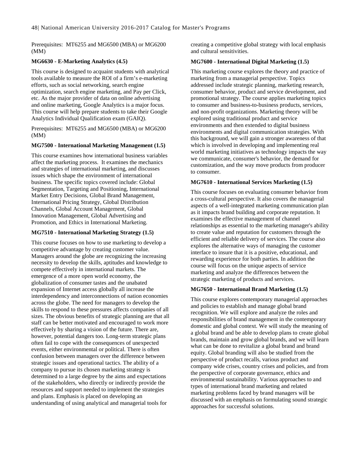Prerequisites: MT6255 and MG6500 (MBA) or MG6200 (MM)

#### **MG6630 - E-Marketing Analytics (4.5)**

This course is designed to acquaint students with analytical tools available to measure the ROI of a firm's e-marketing efforts, such as social networking, search engine optimization, search engine marketing, and Pay per Click, etc. As the major provider of data on online advertising and online marketing, Google Analytics is a major focus. This course will help prepare students to take their Google Analytics Individual Qualification exam (GAIQ).

Prerequisites: MT6255 and MG6500 (MBA) or MG6200 (MM)

#### **MG7500 - International Marketing Management (1.5)**

This course examines how international business variables affect the marketing process. It examines the mechanics and strategies of international marketing, and discusses issues which shape the environment of international business. The specific topics covered include: Global Segmentation, Targeting and Positioning, International Market Entry Decisions, Global Brand Management, International Pricing Strategy, Global Distribution Channels, Global Account Management, Global Innovation Management, Global Advertising and Promotion, and Ethics in International Marketing.

#### **MG7510 - International Marketing Strategy (1.5)**

This course focuses on how to use marketing to develop a competitive advantage by creating customer value. Managers around the globe are recognizing the increasing necessity to develop the skills, aptitudes and knowledge to compete effectively in international markets. The emergence of a more open world economy, the globalization of consumer tastes and the unabated expansion of Internet access globally all increase the interdependency and interconnections of nation economies across the globe. The need for managers to develop the skills to respond to these pressures affects companies of all sizes. The obvious benefits of strategic planning are that all staff can be better motivated and encouraged to work more effectively by sharing a vision of the future. There are, however, potential dangers too. Long-term strategic plans often fail to cope with the consequences of unexpected events, either environmental or political. There is often confusion between managers over the difference between strategic issues and operational tactics. The ability of a company to pursue its chosen marketing strategy is determined to a large degree by the aims and expectations of the stakeholders, who directly or indirectly provide the resources and support needed to implement the strategies and plans. Emphasis is placed on developing an understanding of using analytical and managerial tools for

creating a competitive global strategy with local emphasis and cultural sensitivities.

#### **MG7600 - International Digital Marketing (1.5)**

This marketing course explores the theory and practice of marketing from a managerial perspective. Topics addressed include strategic planning, marketing research, consumer behavior, product and service development, and promotional strategy. The course applies marketing topics to consumer and business-to-business products, services, and non-profit organizations. Marketing theory will be explored using traditional product and service environments and then extended to digital business environments and digital communication strategies. With this background, we will gain a stronger awareness of that which is involved in developing and implementing real world marketing initiatives as technology impacts the way we communicate, consumer's behavior, the demand for customization, and the way move products from producer to consumer.

#### **MG7610 - International Services Marketing (1.5)**

This course focuses on evaluating consumer behavior from a cross-cultural perspective. It also covers the managerial aspects of a well-integrated marketing communication plan as it impacts brand building and corporate reputation. It examines the effective management of channel relationships as essential to the marketing manager's ability to create value and reputation for customers through the efficient and reliable delivery of services. The course also explores the alternative ways of managing the customer interface to insure that it is a positive, educational, and rewarding experience for both parties. In addition the course will focus on the unique aspects of service marketing and analyze the differences between the strategic marketing of products and services.

#### **MG7650 - International Brand Marketing (1.5)**

This course explores contemporary managerial approaches and policies to establish and manage global brand recognition. We will explore and analyze the roles and responsibilities of brand management in the contemporary domestic and global context. We will study the meaning of a global brand and be able to develop plans to create global brands, maintain and grow global brands, and we will learn what can be done to revitalize a global brand and brand equity. Global branding will also be studied from the perspective of product recalls, various product and company wide crises, country crises and policies, and from the perspective of corporate governance, ethics and environmental sustainability. Various approaches to and types of international brand marketing and related marketing problems faced by brand managers will be discussed with an emphasis on formulating sound strategic approaches for successful solutions.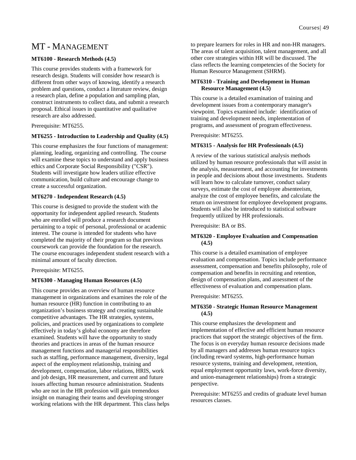### MT - MANAGEMENT

#### **MT6100 - Research Methods (4.5)**

This course provides students with a framework for research design. Students will consider how research is different from other ways of knowing, identify a research problem and questions, conduct a literature review, design a research plan, define a population and sampling plan, construct instruments to collect data, and submit a research proposal. Ethical issues in quantitative and qualitative research are also addressed.

Prerequisite: MT6255.

#### **MT6255 - Introduction to Leadership and Quality (4.5)**

This course emphasizes the four functions of management: planning, leading, organizing and controlling. The course will examine these topics to understand and apply business ethics and Corporate Social Responsibility ("CSR"). Students will investigate how leaders utilize effective communication, build culture and encourage change to create a successful organization.

#### **MT6270 - Independent Research (4.5)**

This course is designed to provide the student with the opportunity for independent applied research. Students who are enrolled will produce a research document pertaining to a topic of personal, professional or academic interest. The course is intended for students who have completed the majority of their program so that previous coursework can provide the foundation for the research. The course encourages independent student research with a minimal amount of faculty direction.

Prerequisite: MT6255.

#### **MT6300 - Managing Human Resources (4.5)**

This course provides an overview of human resource management in organizations and examines the role of the human resource (HR) function in contributing to an organization's business strategy and creating sustainable competitive advantages. The HR strategies, systems, policies, and practices used by organizations to complete effectively in today's global economy are therefore examined. Students will have the opportunity to study theories and practices in areas of the human resource management functions and managerial responsibilities such as staffing, performance management, diversity, legal aspect of the employment relationship, training and development, compensation, labor relations, HRIS, work and job design, HR measurement, and current and future issues affecting human resource administration. Students who are not in the HR profession will gain tremendous insight on managing their teams and developing stronger working relations with the HR department. This class helps to prepare learners for roles in HR and non-HR managers. The areas of talent acquisition, talent management, and all other core strategies within HR will be discussed. The class reflects the learning competencies of the Society for Human Resource Management (SHRM).

#### **MT6310 - Training and Development in Human Resource Management (4.5)**

This course is a detailed examination of training and development issues from a contemporary manager's viewpoint. Topics examined include: identification of training and development needs, implementation of programs, and assessment of program effectiveness.

Prerequisite: MT6255.

#### **MT6315 - Analysis for HR Professionals (4.5)**

A review of the various statistical analysis methods utilized by human resource professionals that will assist in the analysis, measurement, and accounting for investments in people and decisions about those investments. Students will learn how to calculate turnover, conduct salary surveys, estimate the cost of employee absenteeism, analyze the cost of employee benefits, and calculate the return on investment for employee development programs. Students will also be introduced to statistical software frequently utilized by HR professionals.

Prerequisite: BA or BS.

#### **MT6320 - Employee Evaluation and Compensation (4.5)**

This course is a detailed examination of employee evaluation and compensation. Topics include performance assessment, compensation and benefits philosophy, role of compensation and benefits in recruiting and retention, design of compensation plans, and assessment of the effectiveness of evaluation and compensation plans.

Prerequisite: MT6255.

#### **MT6350 - Strategic Human Resource Management (4.5)**

This course emphasizes the development and implementation of effective and efficient human resource practices that support the strategic objectives of the firm. The focus is on everyday human resource decisions made by all managers and addresses human resource topics (including reward systems, high-performance human resource systems, training and development, retention, equal employment opportunity laws, work-force diversity, and union-management relationships) from a strategic perspective.

Prerequisite: MT6255 and credits of graduate level human resources classes.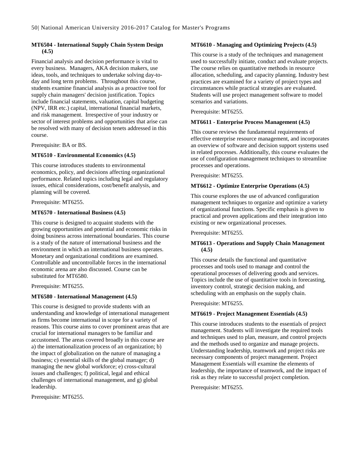#### **MT6504 - International Supply Chain System Design (4.5)**

Financial analysis and decision performance is vital to every business. Managers, AKA decision makers, use ideas, tools, and techniques to undertake solving day-today and long term problems. Throughout this course, students examine financial analysis as a proactive tool for supply chain managers' decision justification. Topics include financial statements, valuation, capital budgeting (NPV, IRR etc.) capital, international financial markets, and risk management. Irrespective of your industry or sector of interest problems and opportunities that arise can be resolved with many of decision tenets addressed in this course.

Prerequisite: BA or BS.

#### **MT6510 - Environmental Economics (4.5)**

This course introduces students to environmental economics, policy, and decisions affecting organizational performance. Related topics including legal and regulatory issues, ethical considerations, cost/benefit analysis, and planning will be covered.

Prerequisite: MT6255.

#### **MT6570 - International Business (4.5)**

This course is designed to acquaint students with the growing opportunities and potential and economic risks in doing business across international boundaries. This course is a study of the nature of international business and the environment in which an international business operates. Monetary and organizational conditions are examined. Controllable and uncontrollable forces in the international economic arena are also discussed. Course can be substituted for MT6580.

Prerequisite: MT6255.

#### **MT6580 - International Management (4.5)**

This course is designed to provide students with an understanding and knowledge of international management as firms become international in scope for a variety of reasons. This course aims to cover prominent areas that are crucial for international managers to be familiar and accustomed. The areas covered broadly in this course are a) the internationalization process of an organization; b) the impact of globalization on the nature of managing a business; c) essential skills of the global manager; d) managing the new global workforce; e) cross-cultural issues and challenges; f) political, legal and ethical challenges of international management, and g) global leadership.

Prerequisite: MT6255.

#### **MT6610 - Managing and Optimizing Projects (4.5)**

This course is a study of the techniques and management used to successfully initiate, conduct and evaluate projects. The course relies on quantitative methods in resource allocation, scheduling, and capacity planning. Industry best practices are examined for a variety of project types and circumstances while practical strategies are evaluated. Students will use project management software to model scenarios and variations.

Prerequisite: MT6255.

#### **MT6611 - Enterprise Process Management (4.5)**

This course reviews the fundamental requirements of effective enterprise resource management, and incorporates an overview of software and decision support systems used in related processes. Additionally, this course evaluates the use of configuration management techniques to streamline processes and operations.

#### Prerequisite: MT6255.

#### **MT6612 - Optimize Enterprise Operations (4.5)**

This course explores the use of advanced configuration management techniques to organize and optimize a variety of organizational functions. Specific emphasis is given to practical and proven applications and their integration into existing or new organizational processes.

Prerequisite: MT6255.

#### **MT6613 - Operations and Supply Chain Management (4.5)**

This course details the functional and quantitative processes and tools used to manage and control the operational processes of delivering goods and services. Topics include the use of quantitative tools in forecasting, inventory control, strategic decision making, and scheduling with an emphasis on the supply chain.

Prerequisite: MT6255.

#### **MT6619 - Project Management Essentials (4.5)**

This course introduces students to the essentials of project management. Students will investigate the required tools and techniques used to plan, measure, and control projects and the methods used to organize and manage projects. Understanding leadership, teamwork and project risks are necessary components of project management. Project Management Essentials will examine the elements of leadership, the importance of teamwork, and the impact of risk as they relate to successful project completion.

Prerequisite: MT6255.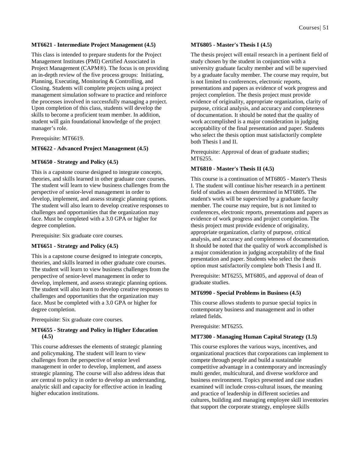#### **MT6621 - Intermediate Project Management (4.5)**

This class is intended to prepare students for the Project Management Institutes (PMI) Certified Associated in Project Management (CAPM®). The focus is on providing an in-depth review of the five process groups: Initiating, Planning, Executing, Monitoring & Controlling, and Closing. Students will complete projects using a project management simulation software to practice and reinforce the processes involved in successfully managing a project. Upon completion of this class, students will develop the skills to become a proficient team member. In addition, student will gain foundational knowledge of the project manager's role.

Prerequisite: MT6619.

#### **MT6622 - Advanced Project Management (4.5)**

#### **MT6650 - Strategy and Policy (4.5)**

This is a capstone course designed to integrate concepts, theories, and skills learned in other graduate core courses. The student will learn to view business challenges from the perspective of senior-level management in order to develop, implement, and assess strategic planning options. The student will also learn to develop creative responses to challenges and opportunities that the organization may face. Must be completed with a 3.0 GPA or higher for degree completion.

Prerequisite: Six graduate core courses.

#### **MT6651 - Strategy and Policy (4.5)**

This is a capstone course designed to integrate concepts, theories, and skills learned in other graduate core courses. The student will learn to view business challenges from the perspective of senior-level management in order to develop, implement, and assess strategic planning options. The student will also learn to develop creative responses to challenges and opportunities that the organization may face. Must be completed with a 3.0 GPA or higher for degree completion.

Prerequisite: Six graduate core courses.

#### **MT6655 - Strategy and Policy in Higher Education (4.5)**

This course addresses the elements of strategic planning and policymaking. The student will learn to view challenges from the perspective of senior level management in order to develop, implement, and assess strategic planning. The course will also address ideas that are central to policy in order to develop an understanding, analytic skill and capacity for effective action in leading higher education institutions.

#### **MT6805 - Master's Thesis I (4.5)**

The thesis project will entail research in a pertinent field of study chosen by the student in conjunction with a university graduate faculty member and will be supervised by a graduate faculty member. The course may require, but is not limited to conferences, electronic reports, presentations and papers as evidence of work progress and project completion. The thesis project must provide evidence of originality, appropriate organization, clarity of purpose, critical analysis, and accuracy and completeness of documentation. It should be noted that the quality of work accomplished is a major consideration in judging acceptability of the final presentation and paper. Students who select the thesis option must satisfactorily complete both Thesis I and II.

Prerequisite: Approval of dean of graduate studies; MT6255.

#### **MT6810 - Master's Thesis II (4.5)**

This course is a continuation of MT6805 - Master's Thesis I. The student will continue his/her research in a pertinent field of studies as chosen determined in MT6805. The student's work will be supervised by a graduate faculty member. The course may require, but is not limited to conferences, electronic reports, presentations and papers as evidence of work progress and project completion. The thesis project must provide evidence of originality, appropriate organization, clarity of purpose, critical analysis, and accuracy and completeness of documentation. It should be noted that the quality of work accomplished is a major consideration in judging acceptability of the final presentation and paper. Students who select the thesis option must satisfactorily complete both Thesis I and II.

Prerequisite: MT6255, MT6805, and approval of dean of graduate studies.

#### **MT6990 - Special Problems in Business (4.5)**

This course allows students to pursue special topics in contemporary business and management and in other related fields.

Prerequisite: MT6255.

#### **MT7300 - Managing Human Capital Strategy (1.5)**

This course explores the various ways, incentives, and organizational practices that corporations can implement to compete through people and build a sustainable competitive advantage in a contemporary and increasingly multi gender, multicultural, and diverse workforce and business environment. Topics presented and case studies examined will include cross-cultural issues, the meaning and practice of leadership in different societies and cultures, building and managing employee skill inventories that support the corporate strategy, employee skills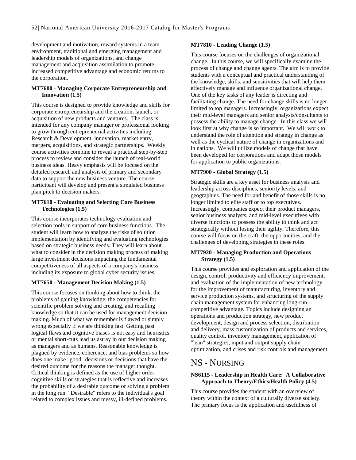development and motivation, reward systems in a team environment, traditional and emerging management and leadership models of organizations, and change management and acquisition assimilation to promote increased competitive advantage and economic returns to the corporation.

#### **MT7600 - Managing Corporate Entrepreneurship and Innovation (1.5)**

This course is designed to provide knowledge and skills for corporate entrepreneurship and the creation, launch, or acquisition of new products and ventures. The class is intended for any company manager or professional looking to grow through entrepreneurial activities including Research & Development, innovation, market entry, mergers, acquisitions, and strategic partnerships. Weekly course activities combine to reveal a practical step-by-step process to review and consider the launch of real-world business ideas. Heavy emphasis will be focused on the detailed research and analysis of primary and secondary data to support the new business venture. The course participant will develop and present a simulated business plan pitch to decision makers.

#### **MT7610 - Evaluating and Selecting Core Business Technologies (1.5)**

This course incorporates technology evaluation and selection tools in support of core business functions. The student will learn how to analyze the risks of solution implementation by identifying and evaluating technologies based on strategic business needs. They will learn about what to consider in the decision making process of making large investment decisions impacting the fundamental competitiveness of all aspects of a company's business including its exposure to global cyber security issues.

#### **MT7650 - Management Decision Making (1.5)**

This course focuses on thinking about how to think, the problems of gaining knowledge, the competencies for scientific problem solving and creating, and recalling knowledge so that it can be used for management decision making. Much of what we remember is flawed or simply wrong especially if we are thinking fast. Getting past logical flaws and cognitive biases is not easy and heuristics or mental short-cuts lead us astray in our decision making as managers and as humans. Reasonable knowledge is plagued by evidence, coherence, and bias problems so how does one make "good" decisions or decisions that have the desired outcome for the reasons the manager thought. Critical thinking is defined as the use of higher order cognitive skills or strategies that is reflective and increases the probability of a desirable outcome or solving a problem in the long run. "Desirable" refers to the individual's goal related to complex issues and messy, ill-defined problems.

#### **MT7810 - Leading Change (1.5)**

This course focuses on the challenges of organizational change. In this course, we will specifically examine the process of change and change agents. The aim is to provide students with a conceptual and practical understanding of the knowledge, skills, and sensitivities that will help them effectively manage and influence organizational change. One of the key tasks of any leader is directing and facilitating change. The need for change skills is no longer limited to top managers. Increasingly, organizations expect their mid-level managers and senior analysts/consultants to possess the ability to manage change. In this class we will look first at why change is so important. We will work to understand the role of attention and strategy in change as well as the cyclical nature of change in organizations and in nations. We will utilize models of change that have been developed for corporations and adapt those models for application to public organizations.

#### **MT7900 - Global Strategy (1.5)**

Strategic skills are a key asset for business analysis and leadership across disciplines, seniority levels, and geographies. The need for and benefit of those skills is no longer limited to elite staff or to top executives. Increasingly, companies expect their product managers, senior business analysts, and mid-level executives with diverse functions to possess the ability to think and act strategically without losing their agility. Therefore, this course will focus on the craft, the opportunities, and the challenges of developing strategies in these roles.

#### **MT7920 - Managing Production and Operations Strategy (1.5)**

This course provides and exploration and application of the design, control, productivity and efficiency improvement, and evaluation of the implementation of new technology for the improvement of manufacturing, inventory and service production systems, and structuring of the supply chain management system for enhancing long-run competitive advantage. Topics include designing an operations and production strategy, new product development, design and process selection, distribution and delivery, mass customization of products and services, quality control, inventory management, application of "lean" strategies, input and output supply chain optimization, and crises and risk controls and management.

### NS - NURSING

#### **NS6115 - Leadership in Health Care: A Collaborative Approach to Theory/Ethics/Health Policy (4.5)**

This course provides the student with an overview of theory within the context of a culturally diverse society. The primary focus is the application and usefulness of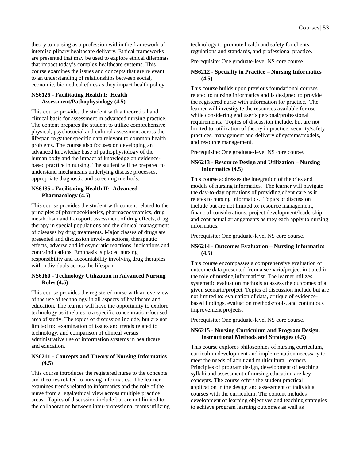theory to nursing as a profession within the framework of interdisciplinary healthcare delivery. Ethical frameworks are presented that may be used to explore ethical dilemmas that impact today's complex healthcare systems. This course examines the issues and concepts that are relevant to an understanding of relationships between social, economic, biomedical ethics as they impact health policy.

#### **NS6125 - Facilitating Health I: Health Assessment/Pathophysiology (4.5)**

This course provides the student with a theoretical and clinical basis for assessment in advanced nursing practice. The content prepares the student to utilize comprehensive physical, psychosocial and cultural assessment across the lifespan to gather specific data relevant to common health problems. The course also focuses on developing an advanced knowledge base of pathophysiology of the human body and the impact of knowledge on evidencebased practice in nursing. The student will be prepared to understand mechanisms underlying disease processes, appropriate diagnostic and screening methods.

#### **NS6135 - Facilitating Health II: Advanced Pharmacology (4.5)**

This course provides the student with content related to the principles of pharmacokinetics, pharmacodynamics, drug metabolism and transport, assessment of drug effects, drug therapy in special populations and the clinical management of diseases by drug treatments. Major classes of drugs are presented and discussion involves actions, therapeutic effects, adverse and idiosyncratic reactions, indications and contraindications. Emphasis is placed nursing responsibility and accountability involving drug therapies with individuals across the lifespan.

#### **NS6160 - Technology Utilization in Advanced Nursing Roles (4.5)**

This course provides the registered nurse with an overview of the use of technology in all aspects of healthcare and education. The learner will have the opportunity to explore technology as it relates to a specific concentration-focused area of study. The topics of discussion include, but are not limited to: examination of issues and trends related to technology, and comparison of clinical versus administrative use of information systems in healthcare and education.

#### **NS6211 - Concepts and Theory of Nursing Informatics (4.5)**

This course introduces the registered nurse to the concepts and theories related to nursing informatics. The learner examines trends related to informatics and the role of the nurse from a legal/ethical view across multiple practice areas. Topics of discussion include but are not limited to: the collaboration between inter-professional teams utilizing

technology to promote health and safety for clients, regulations and standards, and professional practice.

Prerequisite: One graduate-level NS core course.

#### **NS6212 - Specialty in Practice – Nursing Informatics (4.5)**

This course builds upon previous foundational courses related to nursing informatics and is designed to provide the registered nurse with information for practice. The learner will investigate the resources available for use while considering end user's personal/professional requirements. Topics of discussion include, but are not limited to: utilization of theory in practice, security/safety practices, management and delivery of systems/models, and resource management.

Prerequisite: One graduate-level NS core course.

#### **NS6213 - Resource Design and Utilization – Nursing Informatics (4.5)**

This course addresses the integration of theories and models of nursing informatics. The learner will navigate the day-to-day operations of providing client care as it relates to nursing informatics. Topics of discussion include but are not limited to: resource management, financial considerations, project development/leadership and contractual arrangements as they each apply to nursing informatics.

Prerequisite: One graduate-level NS core course.

#### **NS6214 - Outcomes Evaluation – Nursing Informatics (4.5)**

This course encompasses a comprehensive evaluation of outcome data presented from a scenario/project initiated in the role of nursing informaticist. The learner utilizes systematic evaluation methods to assess the outcomes of a given scenario/project. Topics of discussion include but are not limited to: evaluation of data, critique of evidencebased findings, evaluation methods/tools, and continuous improvement projects.

Prerequisite: One graduate-level NS core course.

#### **NS6215 - Nursing Curriculum and Program Design, Instructional Methods and Strategies (4.5)**

This course explores philosophies of nursing curriculum, curriculum development and implementation necessary to meet the needs of adult and multicultural learners. Principles of program design, development of teaching syllabi and assessment of nursing education are key concepts. The course offers the student practical application in the design and assessment of individual courses with the curriculum. The content includes development of learning objectives and teaching strategies to achieve program learning outcomes as well as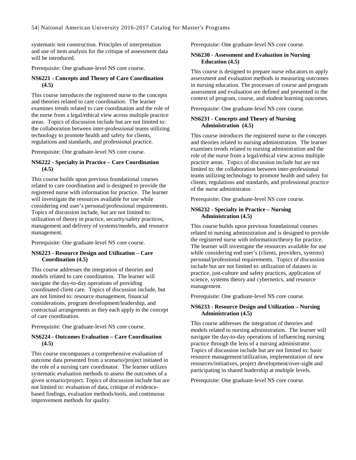systematic test construction. Principles of interpretation and use of item analysis for the critique of assessment data will be introduced.

Prerequisite: One graduate-level NS core course.

#### **NS6221 - Concepts and Theory of Care Coordination (4.5)**

This course introduces the registered nurse to the concepts and theories related to care coordination. The learner examines trends related to care coordination and the role of the nurse from a legal/ethical view across multiple practice areas. Topics of discussion include but are not limited to: the collaboration between inter-professional teams utilizing technology to promote health and safety for clients, regulations and standards, and professional practice.

Prerequisite: One graduate-level NS core course.

#### **NS6222 - Specialty in Practice – Care Coordination (4.5)**

This course builds upon previous foundational courses related to care coordination and is designed to provide the registered nurse with information for practice. The learner will investigate the resources available for use while considering end user's personal/professional requirements. Topics of discussion include, but are not limited to: utilization of theory in practice, security/safety practices, management and delivery of systems/models, and resource management.

Prerequisite: One graduate-level NS core course.

#### **NS6223 - Resource Design and Utilization – Care Coordination (4.5)**

This course addresses the integration of theories and models related to care coordination. The learner will navigate the day-to-day operations of providing coordinated client care. Topics of discussion include, but are not limited to: resource management, financial considerations, program development/leadership, and contractual arrangements as they each apply to the concept of care coordination.

Prerequisite: One graduate-level NS core course.

#### **NS6224 - Outcomes Evaluation – Care Coordination (4.5)**

This course encompasses a comprehensive evaluation of outcome data presented from a scenario/project initiated in the role of a nursing care coordinator. The learner utilizes systematic evaluation methods to assess the outcomes of a given scenario/project. Topics of discussion include but are not limited to: evaluation of data, critique of evidencebased findings, evaluation methods/tools, and continuous improvement methods for quality.

Prerequisite: One graduate-level NS core course.

#### **NS6230 - Assessment and Evaluation in Nursing Education (4.5)**

This course is designed to prepare nurse educators to apply assessment and evaluation methods in measuring outcomes in nursing education. The processes of course and program assessment and evaluation are defined and presented in the context of program, course, and student learning outcomes.

Prerequisite: One graduate-level NS core course.

#### **NS6231 - Concepts and Theory of Nursing Administration (4.5)**

This course introduces the registered nurse to the concepts and theories related to nursing administration. The learner examines trends related to nursing administration and the role of the nurse from a legal/ethical view across multiple practice areas. Topics of discussion include but are not limited to: the collaboration between inter-professional teams utilizing technology to promote health and safety for clients, regulations and standards, and professional practice of the nurse administrator.

Prerequisite: One graduate-level NS core course.

#### **NS6232 - Specialty in Practice – Nursing Administration (4.5)**

This course builds upon previous foundational courses related to nursing administration and is designed to provide the registered nurse with information/theory for practice. The learner will investigate the resources available for use while considering end user's (clients, providers, systems) personal/professional requirements. Topics of discussion include but are not limited to: utilization of datasets in practice, just-culture and safety practices, application of science, systems theory and cybernetics, and resource management.

Prerequisite: One graduate-level NS core course.

#### **NS6233 - Resource Design and Utilization – Nursing Administration (4.5)**

This course addresses the integration of theories and models related to nursing administration. The learner will navigate the day-to-day operations of influencing nursing practice through the lens of a nursing administrator. Topics of discussion include but are not limited to: basic resource management/utilization, implementation of new resources/initiatives, project development/over-sight and participating in shared leadership at multiple levels.

Prerequisite: One graduate-level NS core course.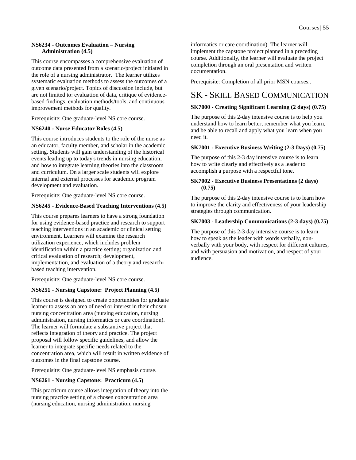#### **NS6234 - Outcomes Evaluation – Nursing Administration (4.5)**

This course encompasses a comprehensive evaluation of outcome data presented from a scenario/project initiated in the role of a nursing administrator. The learner utilizes systematic evaluation methods to assess the outcomes of a given scenario/project. Topics of discussion include, but are not limited to: evaluation of data, critique of evidencebased findings, evaluation methods/tools, and continuous improvement methods for quality.

Prerequisite: One graduate-level NS core course.

#### **NS6240 - Nurse Educator Roles (4.5)**

This course introduces students to the role of the nurse as an educator, faculty member, and scholar in the academic setting. Students will gain understanding of the historical events leading up to today's trends in nursing education, and how to integrate learning theories into the classroom and curriculum. On a larger scale students will explore internal and external processes for academic program development and evaluation.

Prerequisite: One graduate-level NS core course.

#### **NS6245 - Evidence-Based Teaching Interventions (4.5)**

This course prepares learners to have a strong foundation for using evidence-based practice and research to support teaching interventions in an academic or clinical setting environment. Learners will examine the research utilization experience, which includes problem identification within a practice setting; organization and critical evaluation of research; development, implementation, and evaluation of a theory and researchbased teaching intervention.

Prerequisite: One graduate-level NS core course.

#### **NS6251 - Nursing Capstone: Project Planning (4.5)**

This course is designed to create opportunities for graduate learner to assess an area of need or interest in their chosen nursing concentration area (nursing education, nursing administration, nursing informatics or care coordination). The learner will formulate a substantive project that reflects integration of theory and practice. The project proposal will follow specific guidelines, and allow the learner to integrate specific needs related to the concentration area, which will result in written evidence of outcomes in the final capstone course.

Prerequisite: One graduate-level NS emphasis course.

#### **NS6261 - Nursing Capstone: Practicum (4.5)**

This practicum course allows integration of theory into the nursing practice setting of a chosen concentration area (nursing education, nursing administration, nursing

informatics or care coordination). The learner will implement the capstone project planned in a preceding course. Additionally, the learner will evaluate the project completion through an oral presentation and written documentation.

Prerequisite: Completion of all prior MSN courses..

### SK - SKILL BASED COMMUNICATION

#### **SK7000 - Creating Significant Learning (2 days) (0.75)**

The purpose of this 2-day intensive course is to help you understand how to learn better, remember what you learn, and be able to recall and apply what you learn when you need it.

#### **SK7001 - Executive Business Writing (2-3 Days) (0.75)**

The purpose of this 2-3 day intensive course is to learn how to write clearly and effectively as a leader to accomplish a purpose with a respectful tone.

#### **SK7002 - Executive Business Presentations (2 days) (0.75)**

The purpose of this 2-day intensive course is to learn how to improve the clarity and effectiveness of your leadership strategies through communication.

#### **SK7003 - Leadership Communications (2-3 days) (0.75)**

The purpose of this 2-3 day intensive course is to learn how to speak as the leader with words verbally, nonverbally with your body, with respect for different cultures, and with persuasion and motivation, and respect of your audience.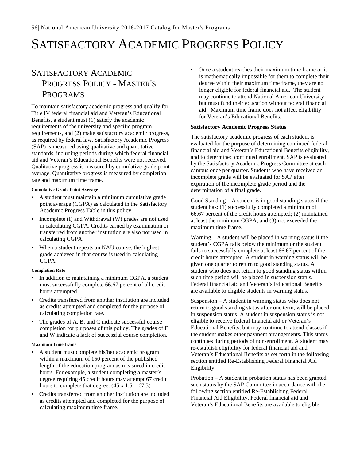# SATISFACTORY ACADEMIC PROGRESS POLICY

# SATISFACTORY ACADEMIC PROGRESS POLICY - MASTER'S PROGRAMS

To maintain satisfactory academic progress and qualify for Title IV federal financial aid and Veteran's Educational Benefits, a student must (1) satisfy the academic requirements of the university and specific program requirements, and (2) make satisfactory academic progress, as required by federal law. Satisfactory Academic Progress (SAP) is measured using qualitative and quantitative standards, including periods during which federal financial aid and Veteran's Educational Benefits were not received. Qualitative progress is measured by cumulative grade point average. Quantitative progress is measured by completion rate and maximum time frame.

#### **Cumulative Grade Point Average**

- A student must maintain a minimum cumulative grade point average (CGPA) as calculated in the Satisfactory Academic Progress Table in this policy.
- Incomplete (I) and Withdrawal (W) grades are not used in calculating CGPA. Credits earned by examination or transferred from another institution are also not used in calculating CGPA.
- When a student repeats an NAU course, the highest grade achieved in that course is used in calculating CGPA.

#### **Completion Rate**

- In addition to maintaining a minimum CGPA, a student must successfully complete 66.67 percent of all credit hours attempted.
- Credits transferred from another institution are included as credits attempted and completed for the purpose of calculating completion rate.
- The grades of A, B, and C indicate successful course completion for purposes of this policy. The grades of F and W indicate a lack of successful course completion.

#### **Maximum Time frame**

- A student must complete his/her academic program within a maximum of 150 percent of the published length of the education program as measured in credit hours. For example, a student completing a master's degree requiring 45 credit hours may attempt 67 credit hours to complete that degree.  $(45 \times 1.5 = 67.3)$
- Credits transferred from another institution are included as credits attempted and completed for the purpose of calculating maximum time frame.

• Once a student reaches their maximum time frame or it is mathematically impossible for them to complete their degree within their maximum time frame, they are no longer eligible for federal financial aid. The student may continue to attend National American University but must fund their education without federal financial aid. Maximum time frame does not affect eligibility for Veteran's Educational Benefits.

#### **Satisfactory Academic Progress Status**

The satisfactory academic progress of each student is evaluated for the purpose of determining continued federal financial aid and Veteran's Educational Benefits eligibility, and to determined continued enrollment. SAP is evaluated by the Satisfactory Academic Progress Committee at each campus once per quarter. Students who have received an incomplete grade will be evaluated for SAP after expiration of the incomplete grade period and the determination of a final grade.

Good Standing – A student is in good standing status if the student has: (1) successfully completed a minimum of 66.67 percent of the credit hours attempted; (2) maintained at least the minimum CGPA; and (3) not exceeded the maximum time frame.

Warning – A student will be placed in warning status if the student's CGPA falls below the minimum or the student fails to successfully complete at least 66.67 percent of the credit hours attempted. A student in warning status will be given one quarter to return to good standing status. A student who does not return to good standing status within such time period will be placed in suspension status. Federal financial aid and Veteran's Educational Benefits are available to eligible students in warning status.

Suspension – A student in warning status who does not return to good standing status after one term, will be placed in suspension status. A student in suspension status is not eligible to receive federal financial aid or Veteran's Educational Benefits, but may continue to attend classes if the student makes other payment arrangements. This status continues during periods of non-enrollment. A student may re-establish eligibility for federal financial aid and Veteran's Educational Benefits as set forth in the following section entitled Re-Establishing Federal Financial Aid Eligibility.

Probation – A student in probation status has been granted such status by the SAP Committee in accordance with the following section entitled Re-Establishing Federal Financial Aid Eligibility. Federal financial aid and Veteran's Educational Benefits are available to eligible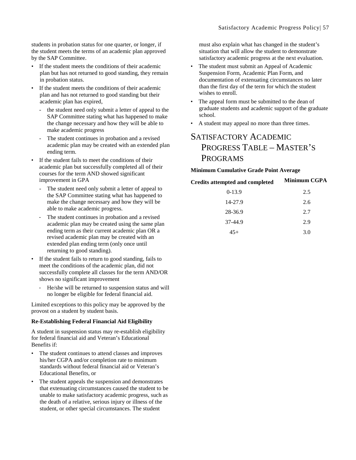students in probation status for one quarter, or longer, if the student meets the terms of an academic plan approved by the SAP Committee.

- If the student meets the conditions of their academic plan but has not returned to good standing, they remain in probation status.
- If the student meets the conditions of their academic plan and has not returned to good standing but their academic plan has expired,
	- the student need only submit a letter of appeal to the SAP Committee stating what has happened to make the change necessary and how they will be able to make academic progress
	- The student continues in probation and a revised academic plan may be created with an extended plan ending term.
- If the student fails to meet the conditions of their academic plan but successfully completed all of their courses for the term AND showed significant improvement in GPA
	- The student need only submit a letter of appeal to the SAP Committee stating what has happened to make the change necessary and how they will be able to make academic progress.
	- ‐ The student continues in probation and a revised academic plan may be created using the same plan ending term as their current academic plan OR a revised academic plan may be created with an extended plan ending term (only once until returning to good standing).
- If the student fails to return to good standing, fails to meet the conditions of the academic plan, did not successfully complete all classes for the term AND/OR shows no significant improvement
	- He/she will be returned to suspension status and will no longer be eligible for federal financial aid.

Limited exceptions to this policy may be approved by the provost on a student by student basis.

#### **Re-Establishing Federal Financial Aid Eligibility**

A student in suspension status may re-establish eligibility for federal financial aid and Veteran's Educational Benefits if:

- The student continues to attend classes and improves his/her CGPA and/or completion rate to minimum standards without federal financial aid or Veteran's Educational Benefits, or
- The student appeals the suspension and demonstrates that extenuating circumstances caused the student to be unable to make satisfactory academic progress, such as the death of a relative, serious injury or illness of the student, or other special circumstances. The student

must also explain what has changed in the student's situation that will allow the student to demonstrate satisfactory academic progress at the next evaluation.

- The student must submit an Appeal of Academic Suspension Form, Academic Plan Form, and documentation of extenuating circumstances no later than the first day of the term for which the student wishes to enroll.
- The appeal form must be submitted to the dean of graduate students and academic support of the graduate school.
- A student may appeal no more than three times.

## SATISFACTORY ACADEMIC PROGRESS TABLE – MASTER'S PROGRAMS

#### **Minimum Cumulative Grade Point Average**

**Credits attempted and completed Minimum CGPA**

| $0-13.9$ | 2.5 |
|----------|-----|
| 14-27.9  | 2.6 |
| 28-36.9  | 2.7 |
| 37-44.9  | 2.9 |
| $45+$    | 3.0 |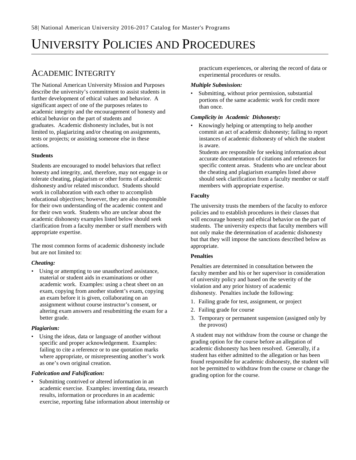# UNIVERSITY POLICIES AND PROCEDURES

# ACADEMIC INTEGRITY

The National American University Mission and Purposes describe the university's commitment to assist students in further development of ethical values and behavior. A significant aspect of one of the purposes relates to academic integrity and the encouragement of honesty and ethical behavior on the part of students and graduates. Academic dishonesty includes, but is not limited to, plagiarizing and/or cheating on assignments, tests or projects; or assisting someone else in these actions.

#### **Students**

Students are encouraged to model behaviors that reflect honesty and integrity, and, therefore, may not engage in or tolerate cheating, plagiarism or other forms of academic dishonesty and/or related misconduct. Students should work in collaboration with each other to accomplish educational objectives; however, they are also responsible for their own understanding of the academic content and for their own work. Students who are unclear about the academic dishonesty examples listed below should seek clarification from a faculty member or staff members with appropriate expertise.

The most common forms of academic dishonesty include but are not limited to:

#### *Cheating:*

Using or attempting to use unauthorized assistance, material or student aids in examinations or other academic work. Examples: using a cheat sheet on an exam, copying from another student's exam, copying an exam before it is given, collaborating on an assignment without course instructor's consent, or altering exam answers and resubmitting the exam for a better grade.

#### *Plagiarism:*

Using the ideas, data or language of another without specific and proper acknowledgement. Examples: failing to cite a reference or to use quotation marks where appropriate, or misrepresenting another's work as one's own original creation.

#### *Fabrication and Falsification:*

Submitting contrived or altered information in an academic exercise. Examples: inventing data, research results, information or procedures in an academic exercise, reporting false information about internship or practicum experiences, or altering the record of data or experimental procedures or results.

#### *Multiple Submission:*

• Submitting, without prior permission, substantial portions of the same academic work for credit more than once.

#### *Complicity in Academic Dishonesty:*

• Knowingly helping or attempting to help another commit an act of academic dishonesty; failing to report instances of academic dishonesty of which the student is aware.

Students are responsible for seeking information about accurate documentation of citations and references for specific content areas. Students who are unclear about the cheating and plagiarism examples listed above should seek clarification from a faculty member or staff members with appropriate expertise.

#### **Faculty**

The university trusts the members of the faculty to enforce policies and to establish procedures in their classes that will encourage honesty and ethical behavior on the part of students. The university expects that faculty members will not only make the determination of academic dishonesty but that they will impose the sanctions described below as appropriate.

#### **Penalties**

Penalties are determined in consultation between the faculty member and his or her supervisor in consideration of university policy and based on the severity of the violation and any prior history of academic dishonesty. Penalties include the following:

- 1. Failing grade for test, assignment, or project
- 2. Failing grade for course
- 3. Temporary or permanent suspension (assigned only by the provost)

A student may not withdraw from the course or change the grading option for the course before an allegation of academic dishonesty has been resolved. Generally, if a student has either admitted to the allegation or has been found responsible for academic dishonesty, the student will not be permitted to withdraw from the course or change the grading option for the course.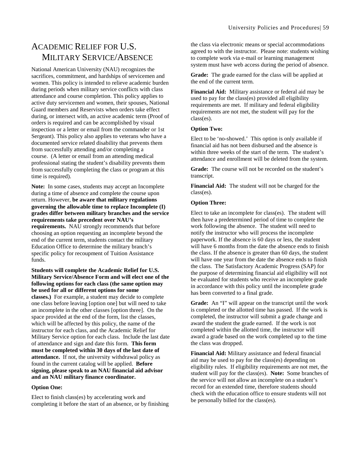# ACADEMIC RELIEF FOR U.S. MILITARY SERVICE/ABSENCE

National American University (NAU) recognizes the sacrifices, commitment, and hardships of servicemen and women. This policy is intended to relieve academic burden during periods when military service conflicts with class attendance and course completion. This policy applies to active duty servicemen and women, their spouses, National Guard members and Reservists when orders take effect during, or intersect with, an active academic term (Proof of orders is required and can be accomplished by visual inspection or a letter or email from the commander or 1st Sergeant). This policy also applies to veterans who have a documented service related disability that prevents them from successfully attending and/or completing a course. (A letter or email from an attending medical professional stating the student's disability prevents them from successfully completing the class or program at this time is required).

**Note:** In some cases, students may accept an Incomplete during a time of absence and complete the course upon return. However, **be aware that military regulations governing the allowable time to replace Incomplete (I) grades differ between military branches and the service requirements take precedent over NAU's requirements.** NAU strongly recommends that before choosing an option requesting an incomplete beyond the end of the current term, students contact the military Education Office to determine the military branch's specific policy for recoupment of Tuition Assistance funds.

**Students will complete the Academic Relief for U.S. Military Service/Absence Form and will elect one of the following options for each class (the same option may be used for all or different options for some classes.)** For example, a student may decide to complete one class before leaving [option one] but will need to take an incomplete in the other classes [option three]. On the space provided at the end of the form, list the classes, which will be affected by this policy, the name of the instructor for each class, and the Academic Relief for Military Service option for each class. Include the last date of attendance and sign and date this form. **This form must be completed within 30 days of the last date of attendance.** If not, the university withdrawal policy as found in the current catalog will be applied. **Before signing, please speak to an NAU financial aid advisor and an NAU military finance coordinator.**

#### **Option One:**

Elect to finish class(es) by accelerating work and completing it before the start of an absence, or by finishing

the class via electronic means or special accommodations agreed to with the instructor. Please note: students wishing to complete work via e-mail or learning management system must have web access during the period of absence.

**Grade:** The grade earned for the class will be applied at the end of the current term.

**Financial Aid:** Military assistance or federal aid may be used to pay for the class(es) provided all eligibility requirements are met. If military and federal eligibility requirements are not met, the student will pay for the class(es).

#### **Option Two:**

Elect to be 'no-showed.' This option is only available if financial aid has not been disbursed and the absence is within three weeks of the start of the term. The student's attendance and enrollment will be deleted from the system.

**Grade:** The course will not be recorded on the student's transcript.

**Financial Aid:** The student will not be charged for the class(es).

#### **Option Three:**

Elect to take an incomplete for class(es). The student will then have a predetermined period of time to complete the work following the absence. The student will need to notify the instructor who will process the incomplete paperwork. If the absence is 60 days or less, the student will have 6 months from the date the absence ends to finish the class. If the absence is greater than 60 days, the student will have one year from the date the absence ends to finish the class. The Satisfactory Academic Progress (SAP) for the purpose of determining financial aid eligibility will not be evaluated for students who receive an incomplete grade in accordance with this policy until the incomplete grade has been converted to a final grade.

**Grade:** An "I" will appear on the transcript until the work is completed or the allotted time has passed. If the work is completed, the instructor will submit a grade change and award the student the grade earned. If the work is not completed within the allotted time, the instructor will award a grade based on the work completed up to the time the class was dropped.

**Financial Aid:** Military assistance and federal financial aid may be used to pay for the class(es) depending on eligibility rules. If eligibility requirements are not met, the student will pay for the class(es). **Note:** Some branches of the service will not allow an incomplete on a student's record for an extended time, therefore students should check with the education office to ensure students will not be personally billed for the class(es).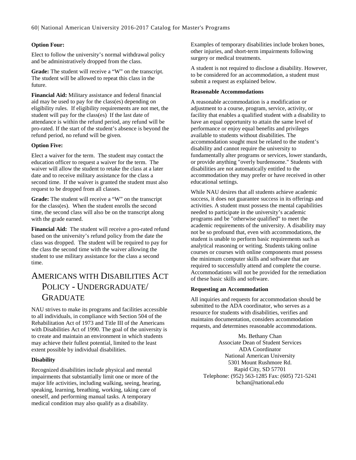#### **Option Four:**

Elect to follow the university's normal withdrawal policy and be administratively dropped from the class.

Grade: The student will receive a "W" on the transcript. The student will be allowed to repeat this class in the future.

**Financial Aid:** Military assistance and federal financial aid may be used to pay for the class(es) depending on eligibility rules. If eligibility requirements are not met, the student will pay for the class(es) If the last date of attendance is within the refund period, any refund will be pro-rated. If the start of the student's absence is beyond the refund period, no refund will be given.

#### **Option Five:**

Elect a waiver for the term. The student may contact the education officer to request a waiver for the term. The waiver will allow the student to retake the class at a later date and to receive military assistance for the class a second time. If the waiver is granted the student must also request to be dropped from all classes.

**Grade:** The student will receive a "W" on the transcript for the class(es). When the student enrolls the second time, the second class will also be on the transcript along with the grade earned.

**Financial Aid:** The student will receive a pro-rated refund based on the university's refund policy from the date the class was dropped. The student will be required to pay for the class the second time with the waiver allowing the student to use military assistance for the class a second time.

# AMERICANS WITH DISABILITIES ACT POLICY - UNDERGRADUATE/ GRADUATE

NAU strives to make its programs and facilities accessible to all individuals, in compliance with Section 504 of the Rehabilitation Act of 1973 and Title III of the Americans with Disabilities Act of 1990. The goal of the university is to create and maintain an environment in which students may achieve their fullest potential, limited to the least extent possible by individual disabilities.

#### **Disability**

Recognized disabilities include physical and mental impairments that substantially limit one or more of the major life activities, including walking, seeing, hearing, speaking, learning, breathing, working, taking care of oneself, and performing manual tasks. A temporary medical condition may also qualify as a disability.

Examples of temporary disabilities include broken bones, other injuries, and short-term impairments following surgery or medical treatments.

A student is not required to disclose a disability. However, to be considered for an accommodation, a student must submit a request as explained below.

#### **Reasonable Accommodations**

A reasonable accommodation is a modification or adjustment to a course, program, service, activity, or facility that enables a qualified student with a disability to have an equal opportunity to attain the same level of performance or enjoy equal benefits and privileges available to students without disabilities. The accommodation sought must be related to the student's disability and cannot require the university to fundamentally alter programs or services, lower standards, or provide anything "overly burdensome." Students with disabilities are not automatically entitled to the accommodation they may prefer or have received in other educational settings.

While NAU desires that all students achieve academic success, it does not guarantee success in its offerings and activities. A student must possess the mental capabilities needed to participate in the university's academic programs and be "otherwise qualified" to meet the academic requirements of the university. A disability may not be so profound that, even with accommodations, the student is unable to perform basic requirements such as analytical reasoning or writing. Students taking online courses or courses with online components must possess the minimum computer skills and software that are required to successfully attend and complete the course. Accommodations will not be provided for the remediation of these basic skills and software.

#### **Requesting an Accommodation**

All inquiries and requests for accommodation should be submitted to the ADA coordinator, who serves as a resource for students with disabilities, verifies and maintains documentation, considers accommodation requests, and determines reasonable accommodations.

Ms. Bethany Chan Associate Dean of Student Services ADA Coordinator National American University 5301 Mount Rushmore Rd. Rapid City, SD 57701 Telephone: (952) 563-1285 Fax: (605) 721-5241 bchan@national.edu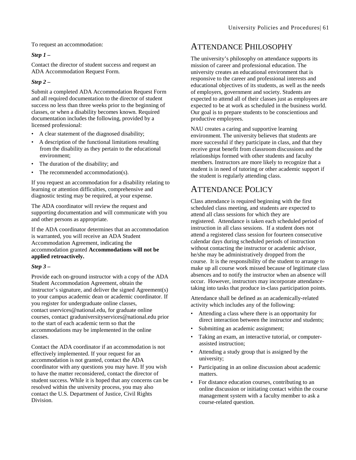To request an accommodation:

#### *Step 1 –*

Contact the director of student success and request an ADA Accommodation Request Form.

#### *Step 2 –*

Submit a completed ADA Accommodation Request Form and all required documentation to the director of student success no less than three weeks prior to the beginning of classes, or when a disability becomes known. Required documentation includes the following, provided by a licensed professional:

- A clear statement of the diagnosed disability;
- A description of the functional limitations resulting from the disability as they pertain to the educational environment;
- The duration of the disability; and
- The recommended accommodation(s).

If you request an accommodation for a disability relating to learning or attention difficulties, comprehensive and diagnostic testing may be required, at your expense.

The ADA coordinator will review the request and supporting documentation and will communicate with you and other persons as appropriate.

If the ADA coordinator determines that an accommodation is warranted, you will receive an ADA Student Accommodation Agreement, indicating the accommodation granted **Accommodations will not be applied retroactively.**

#### *Step 3 –*

Provide each on-ground instructor with a copy of the ADA Student Accommodation Agreement, obtain the instructor's signature, and deliver the signed Agreement(s) to your campus academic dean or academic coordinator. If you register for undergraduate online classes, contact uservices@national.edu, for graduate online courses, contact graduniversityservices@national.edu prior to the start of each academic term so that the accommodations may be implemented in the online classes.

Contact the ADA coordinator if an accommodation is not effectively implemented. If your request for an accommodation is not granted, contact the ADA coordinator with any questions you may have. If you wish to have the matter reconsidered, contact the director of student success. While it is hoped that any concerns can be resolved within the university process, you may also contact the U.S. Department of Justice, Civil Rights Division.

## ATTENDANCE PHILOSOPHY

The university's philosophy on attendance supports its mission of career and professional education. The university creates an educational environment that is responsive to the career and professional interests and educational objectives of its students, as well as the needs of employers, government and society. Students are expected to attend all of their classes just as employees are expected to be at work as scheduled in the business world. Our goal is to prepare students to be conscientious and productive employees.

NAU creates a caring and supportive learning environment. The university believes that students are more successful if they participate in class, and that they receive great benefit from classroom discussions and the relationships formed with other students and faculty members. Instructors are more likely to recognize that a student is in need of tutoring or other academic support if the student is regularly attending class.

# ATTENDANCE POLICY

Class attendance is required beginning with the first scheduled class meeting, and students are expected to attend all class sessions for which they are registered. Attendance is taken each scheduled period of instruction in all class sessions. If a student does not attend a registered class session for fourteen consecutive calendar days during scheduled periods of instruction without contacting the instructor or academic advisor, he/she may be administratively dropped from the course. It is the responsibility of the student to arrange to make up all course work missed because of legitimate class absences and to notify the instructor when an absence will occur. However, instructors may incorporate attendancetaking into tasks that produce in-class participation points.

Attendance shall be defined as an academically-related activity which includes any of the following:

- Attending a class where there is an opportunity for direct interaction between the instructor and students;
- Submitting an academic assignment;
- Taking an exam, an interactive tutorial, or computerassisted instruction;
- Attending a study group that is assigned by the university;
- Participating in an online discussion about academic matters.
- For distance education courses, contributing to an online discussion or initiating contact within the course management system with a faculty member to ask a course-related question.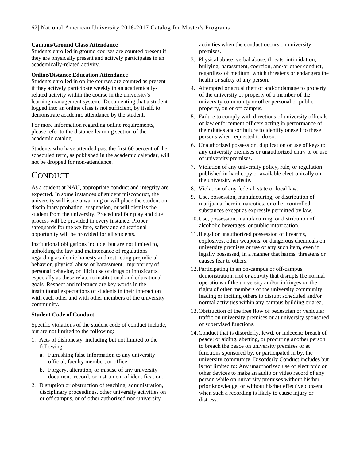### **Campus/Ground Class Attendance**

Students enrolled in ground courses are counted present if they are physically present and actively participates in an academically-related activity.

#### **Online/Distance Education Attendance**

Students enrolled in online courses are counted as present if they actively participate weekly in an academicallyrelated activity within the course in the university's learning management system. Documenting that a student logged into an online class is not sufficient, by itself, to demonstrate academic attendance by the student.

For more information regarding online requirements, please refer to the distance learning section of the academic catalog.

Students who have attended past the first 60 percent of the scheduled term, as published in the academic calendar, will not be dropped for non-attendance.

# **CONDUCT**

As a student at NAU, appropriate conduct and integrity are expected. In some instances of student misconduct, the university will issue a warning or will place the student on disciplinary probation, suspension, or will dismiss the student from the university. Procedural fair play and due process will be provided in every instance. Proper safeguards for the welfare, safety and educational opportunity will be provided for all students.

Institutional obligations include, but are not limited to, upholding the law and maintenance of regulations regarding academic honesty and restricting prejudicial behavior, physical abuse or harassment, impropriety of personal behavior, or illicit use of drugs or intoxicants, especially as these relate to institutional and educational goals. Respect and tolerance are key words in the institutional expectations of students in their interaction with each other and with other members of the university community.

#### **Student Code of Conduct**

Specific violations of the student code of conduct include, but are not limited to the following:

- 1. Acts of dishonesty, including but not limited to the following:
	- a. Furnishing false information to any university official, faculty member, or office.
	- b. Forgery, alteration, or misuse of any university document, record, or instrument of identification.
- 2. Disruption or obstruction of teaching, administration, disciplinary proceedings, other university activities on or off campus, or of other authorized non-university

activities when the conduct occurs on university premises.

- 3. Physical abuse, verbal abuse, threats, intimidation, bullying, harassment, coercion, and/or other conduct, regardless of medium, which threatens or endangers the health or safety of any person.
- 4. Attempted or actual theft of and/or damage to property of the university or property of a member of the university community or other personal or public property, on or off campus.
- 5. Failure to comply with directions of university officials or law enforcement officers acting in performance of their duties and/or failure to identify oneself to these persons when requested to do so.
- 6. Unauthorized possession, duplication or use of keys to any university premises or unauthorized entry to or use of university premises.
- 7. Violation of any university policy, rule, or regulation published in hard copy or available electronically on the university website.
- 8. Violation of any federal, state or local law.
- 9. Use, possession, manufacturing, or distribution of marijuana, heroin, narcotics, or other controlled substances except as expressly permitted by law.
- 10.Use, possession, manufacturing, or distribution of alcoholic beverages, or public intoxication.
- 11.Illegal or unauthorized possession of firearms, explosives, other weapons, or dangerous chemicals on university premises or use of any such item, even if legally possessed, in a manner that harms, threatens or causes fear to others.
- 12.Participating in an on-campus or off-campus demonstration, riot or activity that disrupts the normal operations of the university and/or infringes on the rights of other members of the university community; leading or inciting others to disrupt scheduled and/or normal activities within any campus building or area.
- 13.Obstruction of the free flow of pedestrian or vehicular traffic on university premises or at university sponsored or supervised functions.
- 14.Conduct that is disorderly, lewd, or indecent; breach of peace; or aiding, abetting, or procuring another person to breach the peace on university premises or at functions sponsored by, or participated in by, the university community. Disorderly Conduct includes but is not limited to: Any unauthorized use of electronic or other devices to make an audio or video record of any person while on university premises without his/her prior knowledge, or without his/her effective consent when such a recording is likely to cause injury or distress.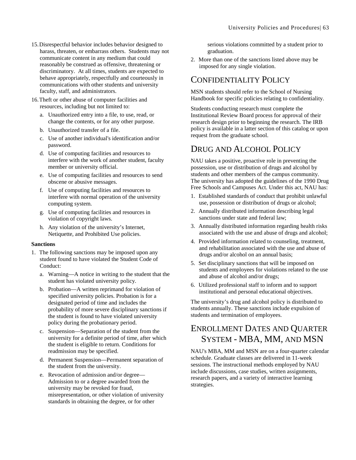- 15.Disrespectful behavior includes behavior designed to harass, threaten, or embarrass others. Students may not communicate content in any medium that could reasonably be construed as offensive, threatening or discriminatory. At all times, students are expected to behave appropriately, respectfully and courteously in communications with other students and university faculty, staff, and administrators.
- 16.Theft or other abuse of computer facilities and resources, including but not limited to:
	- a. Unauthorized entry into a file, to use, read, or change the contents, or for any other purpose.
	- b. Unauthorized transfer of a file.
	- c. Use of another individual's identification and/or password.
	- d. Use of computing facilities and resources to interfere with the work of another student, faculty member or university official.
	- e. Use of computing facilities and resources to send obscene or abusive messages.
	- f. Use of computing facilities and resources to interfere with normal operation of the university computing system.
	- g. Use of computing facilities and resources in violation of copyright laws.
	- h. Any violation of the university's Internet, Netiquette, and Prohibited Use policies.

#### **Sanctions**

- 1. The following sanctions may be imposed upon any student found to have violated the Student Code of Conduct:
	- a. Warning—A notice in writing to the student that the student has violated university policy.
	- b. Probation—A written reprimand for violation of specified university policies. Probation is for a designated period of time and includes the probability of more severe disciplinary sanctions if the student is found to have violated university policy during the probationary period.
	- c. Suspension—Separation of the student from the university for a definite period of time, after which the student is eligible to return. Conditions for readmission may be specified.
	- d. Permanent Suspension—Permanent separation of the student from the university.
	- e. Revocation of admission and/or degree— Admission to or a degree awarded from the university may be revoked for fraud, misrepresentation, or other violation of university standards in obtaining the degree, or for other

serious violations committed by a student prior to graduation.

2. More than one of the sanctions listed above may be imposed for any single violation.

### CONFIDENTIALITY POLICY

MSN students should refer to the School of Nursing Handbook for specific policies relating to confidentiality.

Students conducting research must complete the Institutional Review Board process for approval of their research design prior to beginning the research. The IRB policy is available in a latter section of this catalog or upon request from the graduate school.

### DRUG AND ALCOHOL POLICY

NAU takes a positive, proactive role in preventing the possession, use or distribution of drugs and alcohol by students and other members of the campus community. The university has adopted the guidelines of the 1990 Drug Free Schools and Campuses Act. Under this act, NAU has:

- 1. Established standards of conduct that prohibit unlawful use, possession or distribution of drugs or alcohol;
- 2. Annually distributed information describing legal sanctions under state and federal law;
- 3. Annually distributed information regarding health risks associated with the use and abuse of drugs and alcohol;
- 4. Provided information related to counseling, treatment, and rehabilitation associated with the use and abuse of drugs and/or alcohol on an annual basis;
- 5. Set disciplinary sanctions that will be imposed on students and employees for violations related to the use and abuse of alcohol and/or drugs;
- 6. Utilized professional staff to inform and to support institutional and personal educational objectives.

The university's drug and alcohol policy is distributed to students annually. These sanctions include expulsion of students and termination of employees.

# ENROLLMENT DATES AND QUARTER SYSTEM - MBA, MM, AND MSN

NAU's MBA, MM and MSN are on a four-quarter calendar schedule. Graduate classes are delivered in 11-week sessions. The instructional methods employed by NAU include discussions, case studies, written assignments, research papers, and a variety of interactive learning strategies.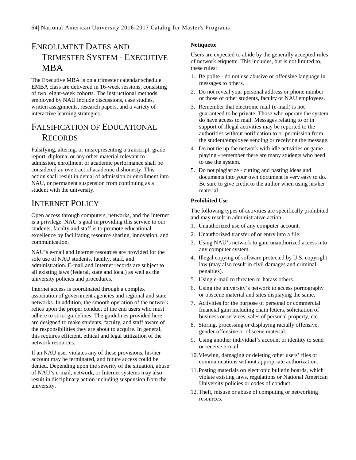# ENROLLMENT DATES AND TRIMESTER SYSTEM - EXECUTIVE MBA

The Executive MBA is on a trimester calendar schedule. EMBA class are delivered in 16-week sessions, consisting of two, eight-week cohorts. The instructional methods employed by NAU include discussions, case studies, written assignments, research papers, and a variety of interactive learning strategies.

# FALSIFICATION OF EDUCATIONAL **RECORDS**

Falsifying, altering, or misrepresenting a transcript, grade report, diploma, or any other material relevant to admission, enrollment or academic performance shall be considered an overt act of academic dishonesty. This action shall result in denial of admission or enrollment into NAU, or permanent suspension from continuing as a student with the university.

### INTERNET POLICY

Open access through computers, networks, and the Internet is a privilege. NAU's goal in providing this service to our students, faculty and staff is to promote educational excellence by facilitating resource sharing, innovation, and communication.

NAU's e-mail and Internet resources are provided for the sole use of NAU students, faculty, staff, and administration. E-mail and Internet records are subject to all existing laws (federal, state and local) as well as the university policies and procedures.

Internet access is coordinated through a complex association of government agencies and regional and state networks. In addition, the smooth operation of the network relies upon the proper conduct of the end users who must adhere to strict guidelines. The guidelines provided here are designed to make students, faculty, and staff aware of the responsibilities they are about to acquire. In general, this requires efficient, ethical and legal utilization of the network resources.

If an NAU user violates any of these provisions, his/her account may be terminated, and future access could be denied. Depending upon the severity of the situation, abuse of NAU's e-mail, network, or Internet systems may also result in disciplinary action including suspension from the university.

#### **Netiquette**

Users are expected to abide by the generally accepted rules of network etiquette. This includes, but is not limited to, these rules:

- 1. Be polite do not use abusive or offensive language in messages to others.
- 2. Do not reveal your personal address or phone number or those of other students, faculty or NAU employees.
- 3. Remember that electronic mail (e-mail) is not guaranteed to be private. Those who operate the system do have access to mail. Messages relating to or in support of illegal activities may be reported to the authorities without notification to or permission from the student/employee sending or receiving the message.
- 4. Do not tie up the network with idle activities or game playing - remember there are many students who need to use the system.
- 5. Do not plagiarize cutting and pasting ideas and documents into your own document is very easy to do. Be sure to give credit to the author when using his/her material.

#### **Prohibited Use**

The following types of activities are specifically prohibited and may result in administrative action:

- 1. Unauthorized use of any computer account.
- 2. Unauthorized transfer of or entry into a file.
- 3. Using NAU's network to gain unauthorized access into any computer system.
- 4. Illegal copying of software protected by U.S. copyright law (may also result in civil damages and criminal penalties).
- 5. Using e-mail to threaten or harass others.
- 6. Using the university's network to access pornography or obscene material and sites displaying the same.
- 7. Activities for the purpose of personal or commercial financial gain including chain letters, solicitation of business or services, sales of personal property, etc.
- 8. Storing, processing or displaying racially offensive, gender offensive or obscene material.
- 9. Using another individual's account or identity to send or receive e-mail.
- 10.Viewing, damaging or deleting other users' files or communications without appropriate authorization.
- 11.Posting materials on electronic bulletin boards, which violate existing laws, regulations or National American University policies or codes of conduct.
- 12.Theft, misuse or abuse of computing or networking resources.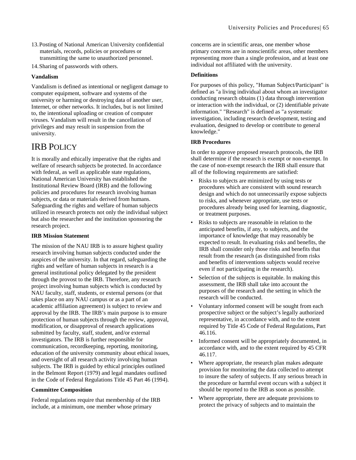- 13.Posting of National American University confidential materials, records, policies or procedures or transmitting the same to unauthorized personnel.
- 14.Sharing of passwords with others.

#### **Vandalism**

Vandalism is defined as intentional or negligent damage to computer equipment, software and systems of the university or harming or destroying data of another user, Internet, or other networks. It includes, but is not limited to, the intentional uploading or creation of computer viruses. Vandalism will result in the cancellation of privileges and may result in suspension from the university.

### IRB POLICY

It is morally and ethically imperative that the rights and welfare of research subjects be protected. In accordance with federal, as well as applicable state regulations, National American University has established the Institutional Review Board (IRB) and the following policies and procedures for research involving human subjects, or data or materials derived from humans. Safeguarding the rights and welfare of human subjects utilized in research protects not only the individual subject but also the researcher and the institution sponsoring the research project.

#### **IRB Mission Statement**

The mission of the NAU IRB is to assure highest quality research involving human subjects conducted under the auspices of the university. In that regard, safeguarding the rights and welfare of human subjects in research is a general institutional policy delegated by the president through the provost to the IRB. Therefore, any research project involving human subjects which is conducted by NAU faculty, staff, students, or external persons (or that takes place on any NAU campus or as a part of an academic affiliation agreement) is subject to review and approval by the IRB. The IRB's main purpose is to ensure protection of human subjects through the review, approval, modification, or disapproval of research applications submitted by faculty, staff, student, and/or external investigators. The IRB is further responsible for communication, recordkeeping, reporting, monitoring, education of the university community about ethical issues, and oversight of all research activity involving human subjects. The IRB is guided by ethical principles outlined in the Belmont Report (1979) and legal mandates outlined in the Code of Federal Regulations Title 45 Part 46 (1994).

#### **Committee Composition**

Federal regulations require that membership of the IRB include, at a minimum, one member whose primary

concerns are in scientific areas, one member whose primary concerns are in nonscientific areas, other members representing more than a single profession, and at least one individual not affiliated with the university.

#### **Definitions**

For purposes of this policy, "Human Subject/Participant" is defined as "a living individual about whom an investigator conducting research obtains (1) data through intervention or interaction with the individual, or (2) identifiable private information." "Research" is defined as "a systematic investigation, including research development, testing and evaluation, designed to develop or contribute to general knowledge."

#### **IRB Procedures**

In order to approve proposed research protocols, the IRB shall determine if the research is exempt or non-exempt. In the case of non-exempt research the IRB shall ensure that all of the following requirements are satisfied:

- Risks to subjects are minimized by using tests or procedures which are consistent with sound research design and which do not unnecessarily expose subjects to risks, and whenever appropriate, use tests or procedures already being used for learning, diagnostic, or treatment purposes.
- Risks to subjects are reasonable in relation to the anticipated benefits, if any, to subjects, and the importance of knowledge that may reasonably be expected to result. In evaluating risks and benefits, the IRB shall consider only those risks and benefits that result from the research (as distinguished from risks and benefits of interventions subjects would receive even if not participating in the research).
- Selection of the subjects is equitable. In making this assessment, the IRB shall take into account the purposes of the research and the setting in which the research will be conducted.
- Voluntary informed consent will be sought from each prospective subject or the subject's legally authorized representative, in accordance with, and to the extent required by Title 45 Code of Federal Regulations, Part 46.116.
- Informed consent will be appropriately documented, in accordance with, and to the extent required by 45 CFR 46.117.
- Where appropriate, the research plan makes adequate provision for monitoring the data collected to attempt to insure the safety of subjects. If any serious breach in the procedure or harmful event occurs with a subject it should be reported to the IRB as soon as possible.
- Where appropriate, there are adequate provisions to protect the privacy of subjects and to maintain the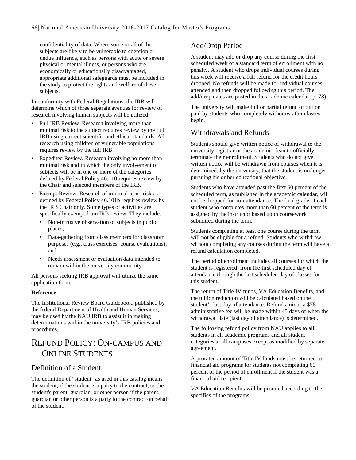confidentiality of data. Where some or all of the subjects are likely to be vulnerable to coercion or undue influence, such as persons with acute or severe physical or mental illness, or persons who are economically or educationally disadvantaged, appropriate additional safeguards must be included in the study to protect the rights and welfare of these subjects.

In conformity with Federal Regulations, the IRB will determine which of three separate avenues for review of research involving human subjects will be utilized:

- Full IRB Review. Research involving more than minimal risk to the subject requires review by the full IRB using current scientific and ethical standards. All research using children or vulnerable populations requires review by the full IRB.
- Expedited Review. Research involving no more than minimal risk and in which the only involvement of subjects will be in one or more of the categories defined by Federal Policy 46.110 requires review by the Chair and selected members of the IRB.
- Exempt Review. Research of minimal or no risk as defined by Federal Policy 46.101b requires review by the IRB Chair only. Some types of activities are specifically exempt from IRB review. They include:
	- Non-intrusive observation of subjects in public places,
	- Data-gathering from class members for classroom purposes (e.g., class exercises, course evaluations), and
	- Needs assessment or evaluation data intended to remain within the university community.

All persons seeking IRB approval will utilize the same application form.

#### **Reference**

The Institutional Review Board Guidebook, published by the federal Department of Health and Human Services, may be used by the NAU IRB to assist it in making determinations within the university's IRB policies and procedures.

# REFUND POLICY: ON-CAMPUS AND ONLINE STUDENTS

#### Definition of a Student

The definition of "student" as used in this catalog means the student, if the student is a party to the contract, or the student's parent, guardian, or other person if the parent, guardian or other person is a party to the contract on behalf of the student.

### Add/Drop Period

A student may add or drop any course during the first scheduled week of a standard term of enrollment with no penalty. A student who drops individual courses during this week will receive a full refund for the credit hours dropped. No refunds will be made for individual courses attended and then dropped following this period. The add/drop dates are posted in the academic calendar (p[. 78\)](#page-77-0).

The university will make full or partial refund of tuition paid by students who completely withdraw after classes begin.

#### Withdrawals and Refunds

Students should give written notice of withdrawal to the university registrar or the academic dean to officially terminate their enrollment. Students who do not give written notice will be withdrawn from courses when it is determined, by the university, that the student is no longer pursuing his or her educational objective.

Students who have attended past the first 60 percent of the scheduled term, as published in the academic calendar, will not be dropped for non-attendance. The final grade of each student who completes more than 60 percent of the term is assigned by the instructor based upon coursework submitted during the term.

Students completing at least one course during the term will not be eligible for a refund. Students who withdraw without completing any courses during the term will have a refund calculation completed.

The period of enrollment includes all courses for which the student is registered, from the first scheduled day of attendance through the last scheduled day of classes for this student.

The return of Title IV funds, VA Education Benefits, and the tuition reduction will be calculated based on the student's last day of attendance. Refunds minus a \$75 administrative fee will be made within 45 days of when the withdrawal date (last day of attendance) is determined.

The following refund policy from NAU applies to all students in all academic programs and all student categories at all campuses except as modified by separate agreement.

A prorated amount of Title IV funds must be returned to financial aid programs for students not completing 60 percent of the period of enrollment if the student was a financial aid recipient.

VA Education Benefits will be prorated according to the specifics of the programs.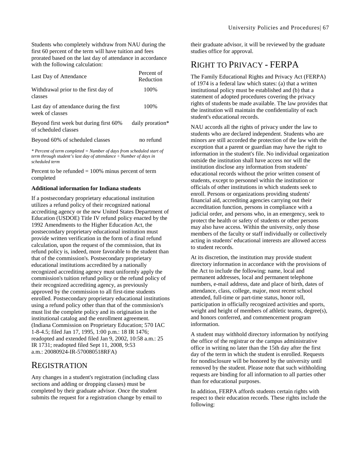Students who completely withdraw from NAU during the first 60 percent of the term will have tuition and fees prorated based on the last day of attendance in accordance with the following calculation:

| Last Day of Attendance                                         | Percent of<br>Reduction |
|----------------------------------------------------------------|-------------------------|
| Withdrawal prior to the first day of<br>classes                | 100%                    |
| Last day of attendance during the first<br>week of classes     | 100%                    |
| Beyond first week but during first 60%<br>of scheduled classes | daily proration*        |
| Beyond 60% of scheduled classes                                | no refund               |

*\* Percent of term completed = Number of days from scheduled start of term through student's last day of attendance ÷ Number of days in scheduled term*

Percent to be refunded  $= 100\%$  minus percent of term completed

#### **Additional information for Indiana students**

If a postsecondary proprietary educational institution utilizes a refund policy of their recognized national accrediting agency or the new United States Department of Education (USDOE) Title IV refund policy enacted by the 1992 Amendments to the Higher Education Act, the postsecondary proprietary educational institution must provide written verification in the form of a final refund calculation, upon the request of the commission, that its refund policy is, indeed, more favorable to the student than that of the commission's. Postsecondary proprietary educational institutions accredited by a nationally recognized accrediting agency must uniformly apply the commission's tuition refund policy or the refund policy of their recognized accrediting agency, as previously approved by the commission to all first-time students enrolled. Postsecondary proprietary educational institutions using a refund policy other than that of the commission's must list the complete policy and its origination in the institutional catalog and the enrollment agreement. (Indiana Commission on Proprietary Education; 570 IAC 1-8-4.5; filed Jan 17, 1995, 1:00 p.m.: 18 IR 1476; readopted and extended filed Jan 9, 2002, 10:58 a.m.: 25 IR 1731; readopted filed Sept 11, 2008, 9:53 a.m.: 20080924-IR-570080518RFA)

### **REGISTRATION**

Any changes in a student's registration (including class sections and adding or dropping classes) must be completed by their graduate advisor. Once the student submits the request for a registration change by email to

their graduate advisor, it will be reviewed by the graduate studies office for approval.

### RIGHT TO PRIVACY - FERPA

The Family Educational Rights and Privacy Act (FERPA) of 1974 is a federal law which states: (a) that a written institutional policy must be established and (b) that a statement of adopted procedures covering the privacy rights of students be made available. The law provides that the institution will maintain the confidentiality of each student's educational records.

NAU accords all the rights of privacy under the law to students who are declared independent. Students who are minors are still accorded the protection of the law with the exception that a parent or guardian may have the right to information in the student's file. No individual organization outside the institution shall have access nor will the institution disclose any information from students' educational records without the prior written consent of students, except to personnel within the institution or officials of other institutions in which students seek to enroll. Persons or organizations providing students' financial aid, accrediting agencies carrying out their accreditation function, persons in compliance with a judicial order, and persons who, in an emergency, seek to protect the health or safety of students or other persons may also have access. Within the university, only those members of the faculty or staff individually or collectively acting in students' educational interests are allowed access to student records.

At its discretion, the institution may provide student directory information in accordance with the provisions of the Act to include the following: name, local and permanent addresses, local and permanent telephone numbers, e-mail address, date and place of birth, dates of attendance, class, college, major, most recent school attended, full-time or part-time status, honor roll, participation in officially recognized activities and sports, weight and height of members of athletic teams, degree(s), and honors conferred, and commencement program information.

A student may withhold directory information by notifying the office of the registrar or the campus administrative office in writing no later than the 15th day after the first day of the term in which the student is enrolled. Requests for nondisclosure will be honored by the university until removed by the student. Please note that such withholding requests are binding for all information to all parties other than for educational purposes.

In addition, FERPA affords students certain rights with respect to their education records. These rights include the following: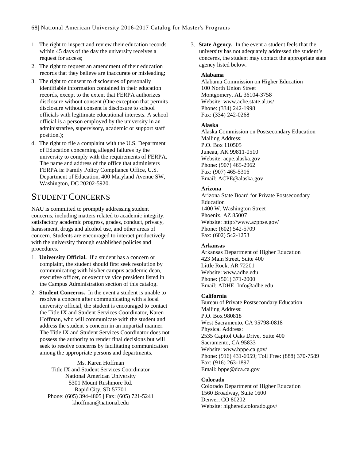- 1. The right to inspect and review their education records within 45 days of the day the university receives a request for access;
- 2. The right to request an amendment of their education records that they believe are inaccurate or misleading;
- 3. The right to consent to disclosures of personally identifiable information contained in their education records, except to the extent that FERPA authorizes disclosure without consent (One exception that permits disclosure without consent is disclosure to school officials with legitimate educational interests. A school official is a person employed by the university in an administrative, supervisory, academic or support staff position.);
- 4. The right to file a complaint with the U.S. Department of Education concerning alleged failures by the university to comply with the requirements of FERPA. The name and address of the office that administers FERPA is: Family Policy Compliance Office, U.S. Department of Education, 400 Maryland Avenue SW, Washington, DC 20202-5920.

## STUDENT CONCERNS

NAU is committed to promptly addressing student concerns, including matters related to academic integrity, satisfactory academic progress, grades, conduct, privacy, harassment, drugs and alcohol use, and other areas of concern. Students are encouraged to interact productively with the university through established policies and procedures.

- 1. **University Official.** If a student has a concern or complaint, the student should first seek resolution by communicating with his/her campus academic dean, executive officer, or executive vice president listed in the Campus Administration section of this catalog.
- 2. **Student Concerns.** In the event a student is unable to resolve a concern after communicating with a local university official, the student is encouraged to contact the Title IX and Student Services Coordinator, Karen Hoffman, who will communicate with the student and address the student's concern in an impartial manner. The Title IX and Student Services Coordinator does not possess the authority to render final decisions but will seek to resolve concerns by facilitating communication among the appropriate persons and departments.

Ms. Karen Hoffman Title IX and Student Services Coordinator National American University 5301 Mount Rushmore Rd. Rapid City, SD 57701 Phone: (605) 394-4805 | Fax: (605) 721-5241 khoffman@national.edu

3. **State Agency.** In the event a student feels that the university has not adequately addressed the student's concerns, the student may contact the appropriate state agency listed below.

#### **Alabama**

Alabama Commission on Higher Education 100 North Union Street Montgomery, AL 36104-3758 Website: www.ache.state.al.us/ Phone: (334) 242-1998 Fax: (334) 242-0268

#### **Alaska**

Alaska Commission on Postsecondary Education Mailing Address: P.O. Box 110505 Juneau, AK 99811-0510 Website: acpe.alaska.gov Phone: (907) 465-2962 Fax: (907) 465-5316 Email: ACPE@alaska.gov

#### **Arizona**

Arizona State Board for Private Postsecondary Education 1400 W. Washington Street Phoenix, AZ 85007 Website: http://www.azppse.gov/ Phone: (602) 542-5709 Fax: (602) 542-1253

#### **Arkansas**

Arkansas Department of Higher Education 423 Main Street, Suite 400 Little Rock, AR 72201 Website: www.adhe.edu Phone: (501) 371-2000 Email: ADHE\_Info@adhe.edu

#### **California**

Bureau of Private Postsecondary Education Mailing Address: P.O. Box 980818 West Sacramento, CA 95798-0818 Physical Address: 2535 Capitol Oaks Drive, Suite 400 Sacramento, CA 95833 Website: www.bppe.ca.gov/ Phone: (916) 431-6959; Toll Free: (888) 370-7589 Fax: (916) 263-1897 Email: bppe@dca.ca.gov

#### **Colorado**

Colorado Department of Higher Education 1560 Broadway, Suite 1600 Denver, CO 80202 Website: highered.colorado.gov/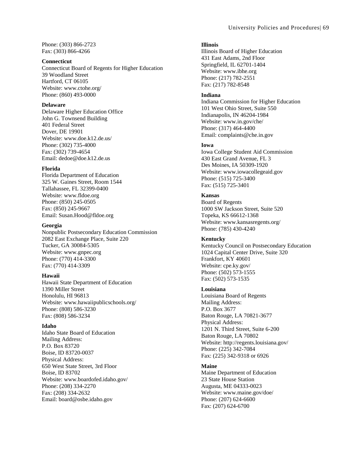Phone: (303) 866-2723 Fax: (303) 866-4266

#### **Connecticut**

Connecticut Board of Regents for Higher Education 39 Woodland Street Hartford, CT 06105 Website: www.ctohe.org/ Phone: (860) 493-0000

#### **Delaware**

Delaware Higher Education Office John G. Townsend Building 401 Federal Street Dover, DE 19901 Website: www.doe.k12.de.us/ Phone: (302) 735-4000 Fax: (302) 739-4654 Email: dedoe@doe.k12.de.us

#### **Florida**

Florida Department of Education 325 W. Gaines Street, Room 1544 Tallahassee, FL 32399-0400 Website: www.fldoe.org Phone: (850) 245-0505 Fax: (850) 245-9667 Email: Susan.Hood@fldoe.org

#### **Georgia**

Nonpublic Postsecondary Education Commission 2082 East Exchange Place, Suite 220 Tucker, GA 30084-5305 Website: www.gnpec.org Phone: (770) 414-3300 Fax: (770) 414-3309

#### **Hawaii**

Hawaii State Department of Education 1390 Miller Street Honolulu, HI 96813 Website: www.hawaiipublicschools.org/ Phone: (808) 586-3230 Fax: (808) 586-3234

#### **Idaho**

Idaho State Board of Education Mailing Address: P.O. Box 83720 Boise, ID 83720-0037 Physical Address: 650 West State Street, 3rd Floor Boise, ID 83702 Website: www.boardofed.idaho.gov/ Phone: (208) 334-2270 Fax: (208) 334-2632 Email: board@osbe.idaho.gov

#### **Illinois**

Illinois Board of Higher Education 431 East Adams, 2nd Floor Springfield, IL 62701-1404 Website: www.ibhe.org Phone: (217) 782-2551 Fax: (217) 782-8548

#### **Indiana**

Indiana Commission for Higher Education 101 West Ohio Street, Suite 550 Indianapolis, IN 46204-1984 Website: www.in.gov/che/ Phone: (317) 464-4400 Email: complaints@che.in.gov

#### **Iowa**

Iowa College Student Aid Commission 430 East Grand Avenue, FL 3 Des Moines, IA 50309-1920 Website: www.iowacollegeaid.gov Phone: (515) 725-3400 Fax: (515) 725-3401

#### **Kansas**

Board of Regents 1000 SW Jackson Street, Suite 520 Topeka, KS 66612-1368 Website: www.kansasregents.org/ Phone: (785) 430-4240

#### **Kentucky**

Kentucky Council on Postsecondary Education 1024 Capital Center Drive, Suite 320 Frankfort, KY 40601 Website: cpe.ky.gov/ Phone: (502) 573-1555 Fax: (502) 573-1535

#### **Louisiana**

Louisiana Board of Regents Mailing Address: P.O. Box 3677 Baton Rouge, LA 70821-3677 Physical Address: 1201 N. Third Street, Suite 6-200 Baton Rouge, LA 70802 Website: http://regents.louisiana.gov/ Phone: (225) 342-7084 Fax: (225) 342-9318 or 6926

#### **Maine**

Maine Department of Education 23 State House Station Augusta, ME 04333-0023 Website: www.maine.gov/doe/ Phone: (207) 624-6600 Fax: (207) 624-6700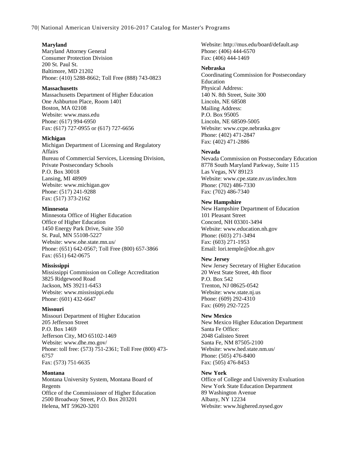#### 70| National American University 2016-2017 Catalog for Master's Programs

#### **Maryland**

Maryland Attorney General Consumer Protection Division 200 St. Paul St. Baltimore, MD 21202 Phone: (410) 5288-8662; Toll Free (888) 743-0823

#### **Massachusetts**

Massachusetts Department of Higher Education One Ashburton Place, Room 1401 Boston, MA 02108 Website: www.mass.edu Phone: (617) 994-6950 Fax: (617) 727-0955 or (617) 727-6656

#### **Michigan**

Michigan Department of Licensing and Regulatory Affairs Bureau of Commercial Services, Licensing Division, Private Postsecondary Schools P.O. Box 30018 Lansing, MI 48909 Website: www.michigan.gov Phone: (517) 241-9288 Fax: (517) 373-2162

#### **Minnesota**

Minnesota Office of Higher Education Office of Higher Education 1450 Energy Park Drive, Suite 350 St. Paul, MN 55108-5227 Website: www.ohe.state.mn.us/ Phone: (651) 642-0567; Toll Free (800) 657-3866 Fax: (651) 642-0675

#### **Mississippi**

Mississippi Commission on College Accreditation 3825 Ridgewood Road Jackson, MS 39211-6453 Website: www.mississippi.edu Phone: (601) 432-6647

#### **Missouri**

Missouri Department of Higher Education 205 Jefferson Street P.O. Box 1469 Jefferson City, MO 65102-1469 Website: www.dhe.mo.gov/ Phone: toll free: (573) 751-2361; Toll Free (800) 473- 6757 Fax: (573) 751-6635

#### **Montana**

Montana University System, Montana Board of Regents Office of the Commissioner of Higher Education 2500 Broadway Street, P.O. Box 203201 Helena, MT 59620-3201

Website: http://mus.edu/board/default.asp Phone: (406) 444-6570 Fax: (406) 444-1469

#### **Nebraska**

Coordinating Commission for Postsecondary Education Physical Address: 140 N. 8th Street, Suite 300 Lincoln, NE 68508 Mailing Address: P.O. Box 95005 Lincoln, NE 68509-5005 Website: www.ccpe.nebraska.gov Phone: (402) 471-2847 Fax: (402) 471-2886

#### **Nevada**

Nevada Commission on Postsecondary Education 8778 South Maryland Parkway, Suite 115 Las Vegas, NV 89123 Website: www.cpe.state.nv.us/index.htm Phone: (702) 486-7330 Fax: (702) 486-7340

#### **New Hampshire**

New Hampshire Department of Education 101 Pleasant Street Concord, NH 03301-3494 Website: www.education.nh.gov Phone: (603) 271-3494 Fax: (603) 271-1953 Email: lori.temple@doe.nh.gov

#### **New Jersey**

New Jersey Secretary of Higher Education 20 West State Street, 4th floor P.O. Box 542 Trenton, NJ 08625-0542 Website: www.state.nj.us Phone: (609) 292-4310 Fax: (609) 292-7225

#### **New Mexico**

New Mexico Higher Education Department Santa Fe Office: 2048 Galisteo Street Santa Fe, NM 87505-2100 Website: www.hed.state.nm.us/ Phone: (505) 476-8400 Fax: (505) 476-8453

#### **New York**

Office of College and University Evaluation New York State Education Department 89 Washington Avenue Albany, NY 12234 Website: www.highered.nysed.gov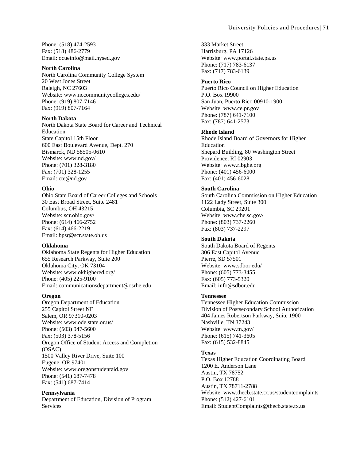Phone: (518) 474-2593 Fax: (518) 486-2779 Email: ocueinfo@mail.nysed.gov

#### **North Carolina**

North Carolina Community College System 20 West Jones Street Raleigh, NC 27603 Website: www.nccommunitycolleges.edu/ Phone: (919) 807-7146 Fax: (919) 807-7164

#### **North Dakota**

North Dakota State Board for Career and Technical Education State Capitol 15th Floor 600 East Boulevard Avenue, Dept. 270 Bismarck, ND 58505-0610 Website: www.nd.gov/ Phone: (701) 328-3180 Fax: (701) 328-1255 Email: cte@nd.gov

#### **Ohio**

Ohio State Board of Career Colleges and Schools 30 East Broad Street, Suite 2481 Columbus, OH 43215 Website: scr.ohio.gov/ Phone: (614) 466-2752 Fax: (614) 466-2219 Email: bpsr@scr.state.oh.us

#### **Oklahoma**

Oklahoma State Regents for Higher Education 655 Research Parkway, Suite 200 Oklahoma City, OK 73104 Website: www.okhighered.org/ Phone: (405) 225-9100 Email: communicationsdepartment@osrhe.edu

#### **Oregon**

Oregon Department of Education 255 Capitol Street NE Salem, OR 97310-0203 Website: www.ode.state.or.us/ Phone: (503) 947-5600 Fax: (503) 378-5156 Oregon Office of Student Access and Completion (OSAC) 1500 Valley River Drive, Suite 100 Eugene, OR 97401 Website: www.oregonstudentaid.gov Phone: (541) 687-7478 Fax: (541) 687-7414

#### **Pennsylvania**

Department of Education, Division of Program Services

333 Market Street Harrisburg, PA 17126 Website: www.portal.state.pa.us Phone: (717) 783-6137 Fax: (717) 783-6139

#### **Puerto Rico**

Puerto Rico Council on Higher Education P.O. Box 19900 San Juan, Puerto Rico 00910-1900 Website: www.ce.pr.gov Phone: (787) 641-7100 Fax: (787) 641-2573

#### **Rhode Island**

Rhode Island Board of Governors for Higher Education Shepard Building, 80 Washington Street Providence, RI 02903 Website: www.ribghe.org Phone: (401) 456-6000 Fax: (401) 456-6028

#### **South Carolina**

South Carolina Commission on Higher Education 1122 Lady Street, Suite 300 Columbia, SC 29201 Website: www.che.sc.gov/ Phone: (803) 737-2260 Fax: (803) 737-2297

#### **South Dakota**

South Dakota Board of Regents 306 East Capitol Avenue Pierre, SD 57501 Website: www.sdbor.edu/ Phone: (605) 773-3455 Fax: (605) 773-5320 Email: info@sdbor.edu

#### **Tennessee**

Tennessee Higher Education Commission Division of Postsecondary School Authorization 404 James Robertson Parkway, Suite 1900 Nashville, TN 37243 Website: www.tn.gov/ Phone: (615) 741-3605 Fax: (615) 532-8845

#### **Texas**

Texas Higher Education Coordinating Board 1200 E. Anderson Lane Austin, TX 78752 P.O. Box 12788 Austin, TX 78711-2788 Website: www.thecb.state.tx.us/studentcomplaints Phone: (512) 427-6101 Email: StudentComplaints@thecb.state.tx.us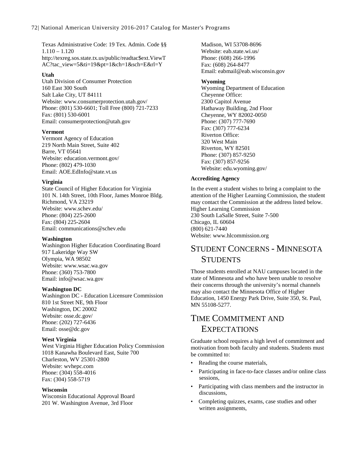Texas Administrative Code: 19 Tex. Admin. Code §§ 1.110 – 1.120 http://texreg.sos.state.tx.us/public/readtac\$ext.ViewT AC?tac\_view=5&ti=19&pt=1&ch=1&sch=E&rl=Y

#### **Utah**

Utah Division of Consumer Protection 160 East 300 South Salt Lake City, UT 84111 Website: www.consumerprotection.utah.gov/ Phone: (801) 530-6601; Toll Free (800) 721-7233 Fax: (801) 530-6001 Email: consumerprotection@utah.gov

#### **Vermont**

Vermont Agency of Education 219 North Main Street, Suite 402 Barre, VT 05641 Website: education.vermont.gov/ Phone: (802) 479-1030 Email: AOE.EdInfo@state.vt.us

#### **Virginia**

State Council of Higher Education for Virginia 101 N. 14th Street, 10th Floor, James Monroe Bldg. Richmond, VA 23219 Website: www.schev.edu/ Phone: (804) 225-2600 Fax: (804) 225-2604 Email: communications@schev.edu

#### **Washington**

Washington Higher Education Coordinating Board 917 Lakeridge Way SW Olympia, WA 98502 Website: www.wsac.wa.gov Phone: (360) 753-7800 Email: info@wsac.wa.gov

#### **Washington DC**

Washington DC - Education Licensure Commission 810 1st Street NE, 9th Floor Washington, DC 20002 Website: osse.dc.gov/ Phone: (202) 727-6436 Email: osse@dc.gov

#### **West Virginia**

West Virginia Higher Education Policy Commission 1018 Kanawha Boulevard East, Suite 700 Charleston, WV 25301-2800 Website: wvhepc.com Phone: (304) 558-4016 Fax: (304) 558-5719

#### **Wisconsin**

Wisconsin Educational Approval Board 201 W. Washington Avenue, 3rd Floor

Madison, WI 53708-8696 Website: eab.state.wi.us/ Phone: (608) 266-1996 Fax: (608) 264-8477 Email: eabmail@eab.wisconsin.gov

#### **Wyoming**

Wyoming Department of Education Cheyenne Office: 2300 Capitol Avenue Hathaway Building, 2nd Floor Cheyenne, WY 82002-0050 Phone: (307) 777-7690 Fax: (307) 777-6234 Riverton Office: 320 West Main Riverton, WY 82501 Phone: (307) 857-9250 Fax: (307) 857-9256 Website: edu.wyoming.gov/

#### **Accrediting Agency**

In the event a student wishes to bring a complaint to the attention of the Higher Learning Commission, the student may contact the Commission at the address listed below. Higher Learning Commission 230 South LaSalle Street, Suite 7-500 Chicago, IL 60604 (800) 621-7440 Website: www.hlcommission.org

# STUDENT CONCERNS - MINNESOTA **STUDENTS**

Those students enrolled at NAU campuses located in the state of Minnesota and who have been unable to resolve their concerns through the university's normal channels may also contact the Minnesota Office of Higher Education, 1450 Energy Park Drive, Suite 350, St. Paul, MN 55108-5277.

# TIME COMMITMENT AND **EXPECTATIONS**

Graduate school requires a high level of commitment and motivation from both faculty and students. Students must be committed to:

- Reading the course materials,
- Participating in face-to-face classes and/or online class sessions,
- Participating with class members and the instructor in discussions,
- Completing quizzes, exams, case studies and other written assignments,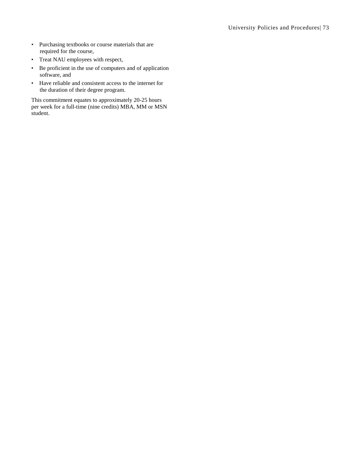- Purchasing textbooks or course materials that are required for the course,
- Treat NAU employees with respect,
- Be proficient in the use of computers and of application software, and
- Have reliable and consistent access to the internet for the duration of their degree program.

This commitment equates to approximately 20-25 hours per week for a full-time (nine credits) MBA, MM or MSN student.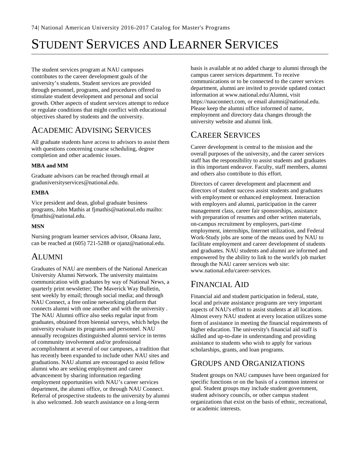# STUDENT SERVICES AND LEARNER SERVICES

The student services program at NAU campuses contributes to the career development goals of the university's students. Student services are provided through personnel, programs, and procedures offered to stimulate student development and personal and social growth. Other aspects of student services attempt to reduce or regulate conditions that might conflict with educational objectives shared by students and the university.

## ACADEMIC ADVISING SERVICES

All graduate students have access to advisors to assist them with questions concerning course scheduling, degree completion and other academic issues.

#### **MBA and MM**

Graduate advisors can be reached through email at graduniversityservices@national.edu.

#### **EMBA**

Vice president and dean, global graduate business programs, John Mathis at fjmathis@national.edu mailto: fjmathis@national.edu.

#### **MSN**

Nursing program learner services advisor, Oksana Janz, can be reached at (605) 721-5288 or ojanz@national.edu.

## ALUMNI

Graduates of NAU are members of the National American University Alumni Network. The university maintains communication with graduates by way of National News, a quarterly print newsletter; The Maverick Way Bulletin, sent weekly by email; through social media; and through NAU Connect, a free online networking platform that connects alumni with one another and with the university . The NAU Alumni office also seeks regular input from graduates, obtained from biennial surveys, which helps the university evaluate its programs and personnel. NAU annually recognizes distinguished alumni service in terms of community involvement and/or professional accomplishment at several of our campuses, a tradition that has recently been expanded to include other NAU sites and graduations. NAU alumni are encouraged to assist fellow alumni who are seeking employment and career advancement by sharing information regarding employment opportunities with NAU's career services department, the alumni office, or through NAU Connect. Referral of prospective students to the university by alumni is also welcomed. Job search assistance on a long-term

basis is available at no added charge to alumni through the campus career services department. To receive communications or to be connected to the career services department, alumni are invited to provide updated contact information at www.national.edu/Alumni, visit https://nauconnect.com, or email alumni@national.edu. Please keep the alumni office informed of name, employment and directory data changes through the university website and alumni link.

## CAREER SERVICES

Career development is central to the mission and the overall purposes of the university, and the career services staff has the responsibility to assist students and graduates in this important endeavor. Faculty, staff members, alumni and others also contribute to this effort.

Directors of career development and placement and directors of student success assist students and graduates with employment or enhanced employment. Interaction with employers and alumni, participation in the career management class, career fair sponsorships, assistance with preparation of resumes and other written materials, on-campus recruitment by employers, part-time employment, internships, Internet utilization, and Federal Work-Study jobs are some of the means used by NAU to facilitate employment and career development of students and graduates. NAU students and alumni are informed and empowered by the ability to link to the world's job market through the NAU career services web site: www.national.edu/career-services.

## FINANCIAL AID

Financial aid and student participation in federal, state, local and private assistance programs are very important aspects of NAU's effort to assist students at all locations. Almost every NAU student at every location utilizes some form of assistance in meeting the financial requirements of higher education. The university's financial aid staff is skilled and up-to-date in understanding and providing assistance to students who wish to apply for various scholarships, grants, and loan programs.

## GROUPS AND ORGANIZATIONS

Student groups on NAU campuses have been organized for specific functions or on the basis of a common interest or goal. Student groups may include student government, student advisory councils, or other campus student organizations that exist on the basis of ethnic, recreational, or academic interests.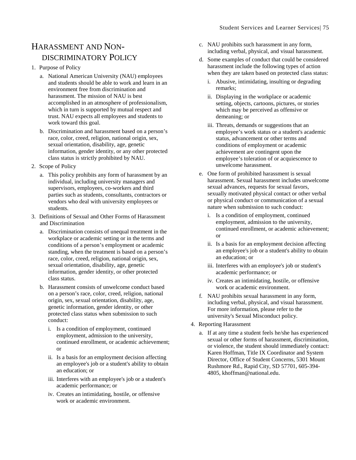## HARASSMENT AND NON-DISCRIMINATORY POLICY

#### 1. Purpose of Policy

- a. National American University (NAU) employees and students should be able to work and learn in an environment free from discrimination and harassment. The mission of NAU is best accomplished in an atmosphere of professionalism, which in turn is supported by mutual respect and trust. NAU expects all employees and students to work toward this goal.
- b. Discrimination and harassment based on a person's race, color, creed, religion, national origin, sex, sexual orientation, disability, age, genetic information, gender identity, or any other protected class status is strictly prohibited by NAU.
- 2. Scope of Policy
	- a. This policy prohibits any form of harassment by an individual, including university managers and supervisors, employees, co-workers and third parties such as students, consultants, contractors or vendors who deal with university employees or students.
- 3. Definitions of Sexual and Other Forms of Harassment and Discrimination
	- a. Discrimination consists of unequal treatment in the workplace or academic setting or in the terms and conditions of a person's employment or academic standing, when the treatment is based on a person's race, color, creed, religion, national origin, sex, sexual orientation, disability, age, genetic information, gender identity, or other protected class status.
	- b. Harassment consists of unwelcome conduct based on a person's race, color, creed, religion, national origin, sex, sexual orientation, disability, age, genetic information, gender identity, or other protected class status when submission to such conduct:
		- i. Is a condition of employment, continued employment, admission to the university, continued enrollment, or academic achievement; or
		- ii. Is a basis for an employment decision affecting an employee's job or a student's ability to obtain an education; or
		- iii. Interferes with an employee's job or a student's academic performance; or
		- iv. Creates an intimidating, hostile, or offensive work or academic environment.
- c. NAU prohibits such harassment in any form, including verbal, physical, and visual harassment.
- d. Some examples of conduct that could be considered harassment include the following types of action when they are taken based on protected class status:
	- i. Abusive, intimidating, insulting or degrading remarks;
	- ii. Displaying in the workplace or academic setting, objects, cartoons, pictures, or stories which may be perceived as offensive or demeaning; or
	- iii. Threats, demands or suggestions that an employee's work status or a student's academic status, advancement or other terms and conditions of employment or academic achievement are contingent upon the employee's toleration of or acquiescence to unwelcome harassment.
- e. One form of prohibited harassment is sexual harassment. Sexual harassment includes unwelcome sexual advances, requests for sexual favors, sexually motivated physical contact or other verbal or physical conduct or communication of a sexual nature when submission to such conduct:
	- i. Is a condition of employment, continued employment, admission to the university, continued enrollment, or academic achievement; or
	- ii. Is a basis for an employment decision affecting an employee's job or a student's ability to obtain an education; or
	- iii. Interferes with an employee's job or student's academic performance; or
	- iv. Creates an intimidating, hostile, or offensive work or academic environment.
- f. NAU prohibits sexual harassment in any form, including verbal, physical, and visual harassment. For more information, please refer to the university's Sexual Misconduct policy.
- 4. Reporting Harassment
	- a. If at any time a student feels he/she has experienced sexual or other forms of harassment, discrimination, or violence, the student should immediately contact: Karen Hoffman, Title IX Coordinator and System Director, Office of Student Concerns, 5301 Mount Rushmore Rd., Rapid City, SD 57701, 605-394- 4805, khoffman@national.edu.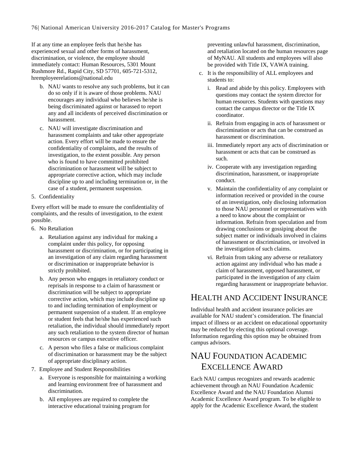If at any time an employee feels that he/she has experienced sexual and other forms of harassment, discrimination, or violence, the employee should immediately contact: Human Resources, 5301 Mount Rushmore Rd., Rapid City, SD 57701, 605-721-5312, hremployeerelations@national.edu

- b. NAU wants to resolve any such problems, but it can do so only if it is aware of those problems. NAU encourages any individual who believes he/she is being discriminated against or harassed to report any and all incidents of perceived discrimination or harassment.
- c. NAU will investigate discrimination and harassment complaints and take other appropriate action. Every effort will be made to ensure the confidentiality of complaints, and the results of investigation, to the extent possible. Any person who is found to have committed prohibited discrimination or harassment will be subject to appropriate corrective action, which may include discipline up to and including termination or, in the case of a student, permanent suspension.
- 5. Confidentiality

Every effort will be made to ensure the confidentiality of complaints, and the results of investigation, to the extent possible.

- 6. No Retaliation
	- a. Retaliation against any individual for making a complaint under this policy, for opposing harassment or discrimination, or for participating in an investigation of any claim regarding harassment or discrimination or inappropriate behavior is strictly prohibited.
	- b. Any person who engages in retaliatory conduct or reprisals in response to a claim of harassment or discrimination will be subject to appropriate corrective action, which may include discipline up to and including termination of employment or permanent suspension of a student. If an employee or student feels that he/she has experienced such retaliation, the individual should immediately report any such retaliation to the system director of human resources or campus executive officer.
	- c. A person who files a false or malicious complaint of discrimination or harassment may be the subject of appropriate disciplinary action.
- 7. Employee and Student Responsibilities
	- a. Everyone is responsible for maintaining a working and learning environment free of harassment and discrimination.
	- b. All employees are required to complete the interactive educational training program for

preventing unlawful harassment, discrimination, and retaliation located on the human resources page of MyNAU. All students and employees will also be provided with Title IX, VAWA training.

- c. It is the responsibility of ALL employees and students to:
	- i. Read and abide by this policy. Employees with questions may contact the system director for human resources. Students with questions may contact the campus director or the Title IX coordinator.
	- ii. Refrain from engaging in acts of harassment or discrimination or acts that can be construed as harassment or discrimination.
	- iii. Immediately report any acts of discrimination or harassment or acts that can be construed as such.
	- iv. Cooperate with any investigation regarding discrimination, harassment, or inappropriate conduct.
	- v. Maintain the confidentiality of any complaint or information received or provided in the course of an investigation, only disclosing information to those NAU personnel or representatives with a need to know about the complaint or information. Refrain from speculation and from drawing conclusions or gossiping about the subject matter or individuals involved in claims of harassment or discrimination, or involved in the investigation of such claims.
	- vi. Refrain from taking any adverse or retaliatory action against any individual who has made a claim of harassment, opposed harassment, or participated in the investigation of any claim regarding harassment or inappropriate behavior.

## HEALTH AND ACCIDENT INSURANCE

Individual health and accident insurance policies are available for NAU student's consideration. The financial impact of illness or an accident on educational opportunity may be reduced by electing this optional coverage. Information regarding this option may be obtained from campus advisors.

## NAU FOUNDATION ACADEMIC EXCELLENCE AWARD

Each NAU campus recognizes and rewards academic achievement through an NAU Foundation Academic Excellence Award and the NAU Foundation Alumni Academic Excellence Award program. To be eligible to apply for the Academic Excellence Award, the student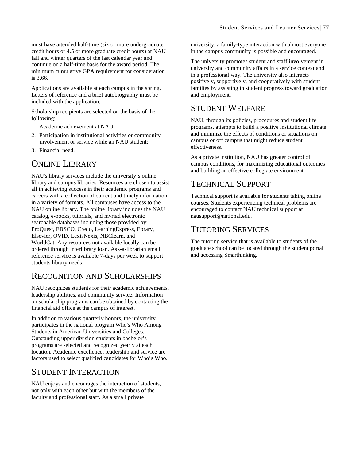must have attended half-time (six or more undergraduate credit hours or 4.5 or more graduate credit hours) at NAU fall and winter quarters of the last calendar year and continue on a half-time basis for the award period. The minimum cumulative GPA requirement for consideration is 3.66.

Applications are available at each campus in the spring. Letters of reference and a brief autobiography must be included with the application.

Scholarship recipients are selected on the basis of the following:

- 1. Academic achievement at NAU;
- 2. Participation in institutional activities or community involvement or service while an NAU student;
- 3. Financial need.

## ONLINE LIBRARY

NAU's library services include the university's online library and campus libraries. Resources are chosen to assist all in achieving success in their academic programs and careers with a collection of current and timely information in a variety of formats. All campuses have access to the NAU online library. The online library includes the NAU catalog, e-books, tutorials, and myriad electronic searchable databases including those provided by: ProQuest, EBSCO, Credo, LearningExpress, Ebrary, Elsevier, OVID, LexisNexis, NBClearn, and WorldCat. Any resources not available locally can be ordered through interlibrary loan. Ask-a-librarian email reference service is available 7-days per week to support students library needs.

## RECOGNITION AND SCHOLARSHIPS

NAU recognizes students for their academic achievements, leadership abilities, and community service. Information on scholarship programs can be obtained by contacting the financial aid office at the campus of interest.

In addition to various quarterly honors, the university participates in the national program Who's Who Among Students in American Universities and Colleges. Outstanding upper division students in bachelor's programs are selected and recognized yearly at each location. Academic excellence, leadership and service are factors used to select qualified candidates for Who's Who.

## STUDENT INTERACTION

NAU enjoys and encourages the interaction of students, not only with each other but with the members of the faculty and professional staff. As a small private

university, a family-type interaction with almost everyone in the campus community is possible and encouraged.

The university promotes student and staff involvement in university and community affairs in a service context and in a professional way. The university also interacts positively, supportively, and cooperatively with student families by assisting in student progress toward graduation and employment.

## STUDENT WELFARE

NAU, through its policies, procedures and student life programs, attempts to build a positive institutional climate and minimize the effects of conditions or situations on campus or off campus that might reduce student effectiveness.

As a private institution, NAU has greater control of campus conditions, for maximizing educational outcomes and building an effective collegiate environment.

## TECHNICAL SUPPORT

Technical support is available for students taking online courses. Students experiencing technical problems are encouraged to contact NAU technical support at nausupport@national.edu.

## TUTORING SERVICES

The tutoring service that is available to students of the graduate school can be located through the student portal and accessing Smarthinking.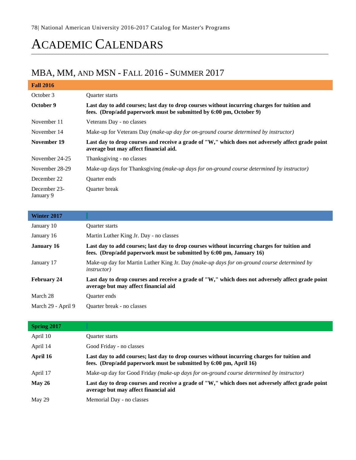# ACADEMIC CALENDARS

## MBA, MM, AND MSN - FALL 2016 - SUMMER 2017

| <b>Fall 2016</b>          |                                                                                                                                                                   |
|---------------------------|-------------------------------------------------------------------------------------------------------------------------------------------------------------------|
| October 3                 | <b>Ouarter starts</b>                                                                                                                                             |
| October 9                 | Last day to add courses; last day to drop courses without incurring charges for tuition and<br>fees. (Drop/add paperwork must be submitted by 6:00 pm, October 9) |
| November 11               | Veterans Day - no classes                                                                                                                                         |
| November 14               | Make-up for Veterans Day (make-up day for on-ground course determined by instructor)                                                                              |
| November 19               | Last day to drop courses and receive a grade of "W," which does not adversely affect grade point<br>average but may affect financial aid.                         |
| November 24-25            | Thanksgiving - no classes                                                                                                                                         |
| November 28-29            | Make-up days for Thanksgiving (make-up days for on-ground course determined by instructor)                                                                        |
| December 22               | <b>Ouarter</b> ends                                                                                                                                               |
| December 23-<br>January 9 | <b>Ouarter</b> break                                                                                                                                              |

| <b>Winter 2017</b> |                                                                                                                                                                      |
|--------------------|----------------------------------------------------------------------------------------------------------------------------------------------------------------------|
| January 10         | <b>Ouarter starts</b>                                                                                                                                                |
| January 16         | Martin Luther King Jr. Day - no classes                                                                                                                              |
| <b>January 16</b>  | Last day to add courses; last day to drop courses without incurring charges for tuition and<br>fees. (Drop/add paperwork must be submitted by $6:00$ pm, January 16) |
| January 17         | Make-up day for Martin Luther King Jr. Day (make-up days for on-ground course determined by<br><i>instructor</i> )                                                   |
| <b>February 24</b> | Last day to drop courses and receive a grade of "W," which does not adversely affect grade point<br>average but may affect financial aid                             |
| March 28           | <b>Ouarter ends</b>                                                                                                                                                  |
| March 29 - April 9 | Quarter break - no classes                                                                                                                                           |

| <b>Spring 2017</b> |                                                                                                                                                                  |
|--------------------|------------------------------------------------------------------------------------------------------------------------------------------------------------------|
| April 10           | Quarter starts                                                                                                                                                   |
| April 14           | Good Friday - no classes                                                                                                                                         |
| April 16           | Last day to add courses; last day to drop courses without incurring charges for tuition and<br>fees. (Drop/add paperwork must be submitted by 6:00 pm, April 16) |
| April 17           | Make-up day for Good Friday (make-up days for on-ground course determined by instructor)                                                                         |
| May $26$           | Last day to drop courses and receive a grade of "W," which does not adversely affect grade point<br>average but may affect financial aid                         |
| May 29             | Memorial Day - no classes                                                                                                                                        |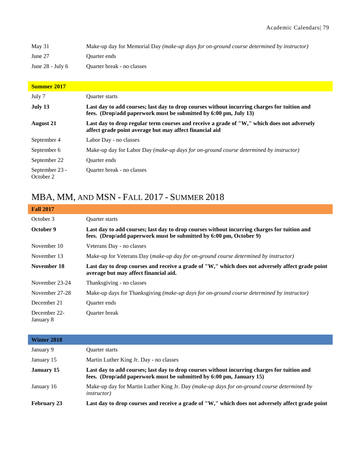| May 31             | Make-up day for Memorial Day (make-up days for on-ground course determined by instructor) |
|--------------------|-------------------------------------------------------------------------------------------|
| June 27            | Quarter ends                                                                              |
| June $28$ - July 6 | Quarter break - no classes                                                                |

| <b>Summer 2017</b>          |                                                                                                                                                                 |
|-----------------------------|-----------------------------------------------------------------------------------------------------------------------------------------------------------------|
| July 7                      | Quarter starts                                                                                                                                                  |
| July 13                     | Last day to add courses; last day to drop courses without incurring charges for tuition and<br>fees. (Drop/add paperwork must be submitted by 6:00 pm, July 13) |
| <b>August 21</b>            | Last day to drop regular term courses and receive a grade of "W," which does not adversely<br>affect grade point average but may affect financial aid           |
| September 4                 | Labor Day - no classes                                                                                                                                          |
| September 6                 | Make-up day for Labor Day (make-up days for on-ground course determined by instructor)                                                                          |
| September 22                | Quarter ends                                                                                                                                                    |
| September 23 -<br>October 2 | Quarter break - no classes                                                                                                                                      |

# MBA, MM, AND MSN - FALL 2017 - SUMMER 2018

| <b>Fall 2017</b>          |                                                                                                                                                                   |
|---------------------------|-------------------------------------------------------------------------------------------------------------------------------------------------------------------|
| October 3                 | <b>Ouarter starts</b>                                                                                                                                             |
| October 9                 | Last day to add courses; last day to drop courses without incurring charges for tuition and<br>fees. (Drop/add paperwork must be submitted by 6:00 pm, October 9) |
| November 10               | Veterans Day - no classes                                                                                                                                         |
| November 13               | Make-up for Veterans Day (make-up day for on-ground course determined by instructor)                                                                              |
| November 18               | Last day to drop courses and receive a grade of "W," which does not adversely affect grade point<br>average but may affect financial aid.                         |
| November 23-24            | Thanksgiving - no classes                                                                                                                                         |
| November 27-28            | Make-up days for Thanksgiving (make-up days for on-ground course determined by instructor)                                                                        |
| December 21               | <b>Ouarter</b> ends                                                                                                                                               |
| December 22-<br>January 8 | <b>Ouarter</b> break                                                                                                                                              |

| <b>Winter 2018</b> |                                                                                                                                                                    |
|--------------------|--------------------------------------------------------------------------------------------------------------------------------------------------------------------|
| January 9          | Quarter starts                                                                                                                                                     |
| January 15         | Martin Luther King Jr. Day - no classes                                                                                                                            |
| January 15         | Last day to add courses; last day to drop courses without incurring charges for tuition and<br>fees. (Drop/add paperwork must be submitted by 6:00 pm, January 15) |
| January 16         | Make-up day for Martin Luther King Jr. Day (make-up days for on-ground course determined by<br><i>instructor</i> )                                                 |
| <b>February 23</b> | Last day to drop courses and receive a grade of "W," which does not adversely affect grade point                                                                   |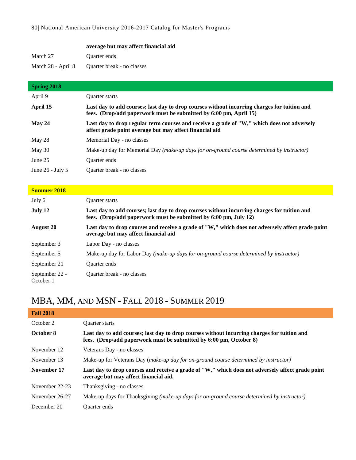|                    | average but may affect financial aid |
|--------------------|--------------------------------------|
| March 27           | Quarter ends                         |
| March 28 - April 8 | Quarter break - no classes           |

| <b>Spring 2018</b> |                                                                                                                                                                  |
|--------------------|------------------------------------------------------------------------------------------------------------------------------------------------------------------|
| April 9            | <b>Ouarter starts</b>                                                                                                                                            |
| April 15           | Last day to add courses; last day to drop courses without incurring charges for tuition and<br>fees. (Drop/add paperwork must be submitted by 6:00 pm, April 15) |
| May 24             | Last day to drop regular term courses and receive a grade of "W," which does not adversely<br>affect grade point average but may affect financial aid            |
| May 28             | Memorial Day - no classes                                                                                                                                        |
| May 30             | Make-up day for Memorial Day (make-up days for on-ground course determined by instructor)                                                                        |
| June 25            | <b>Ouarter</b> ends                                                                                                                                              |
| June $26$ - July 5 | Quarter break - no classes                                                                                                                                       |

#### **Summer 2018**

| July 6                      | <b>Ouarter starts</b>                                                                                                                                           |
|-----------------------------|-----------------------------------------------------------------------------------------------------------------------------------------------------------------|
| July 12                     | Last day to add courses; last day to drop courses without incurring charges for tuition and<br>fees. (Drop/add paperwork must be submitted by 6:00 pm, July 12) |
| <b>August 20</b>            | Last day to drop courses and receive a grade of "W," which does not adversely affect grade point<br>average but may affect financial aid                        |
| September 3                 | Labor Day - no classes                                                                                                                                          |
| September 5                 | Make-up day for Labor Day (make-up days for on-ground course determined by instructor)                                                                          |
| September 21                | <b>Ouarter</b> ends                                                                                                                                             |
| September 22 -<br>October 1 | Quarter break - no classes                                                                                                                                      |

## MBA, MM, AND MSN - FALL 2018 - SUMMER 2019

| <b>Fall 2018</b> |                                                                                                                                                                   |
|------------------|-------------------------------------------------------------------------------------------------------------------------------------------------------------------|
| October 2        | <b>Ouarter starts</b>                                                                                                                                             |
| October 8        | Last day to add courses; last day to drop courses without incurring charges for tuition and<br>fees. (Drop/add paperwork must be submitted by 6:00 pm, October 8) |
| November 12      | Veterans Day - no classes                                                                                                                                         |
| November 13      | Make-up for Veterans Day (make-up day for on-ground course determined by instructor)                                                                              |
| November 17      | Last day to drop courses and receive a grade of "W," which does not adversely affect grade point<br>average but may affect financial aid.                         |
| November 22-23   | Thanksgiving - no classes                                                                                                                                         |
| November 26-27   | Make-up days for Thanksgiving (make-up days for on-ground course determined by instructor)                                                                        |
| December 20      | Quarter ends                                                                                                                                                      |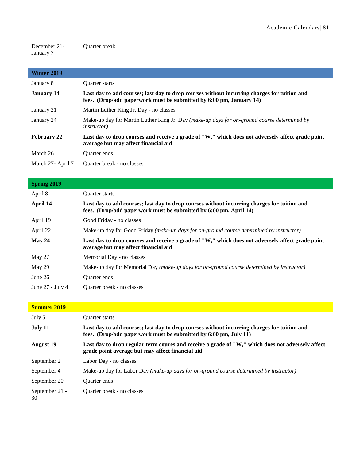December 21- January 7 Quarter break

| <b>Winter 2019</b> |                                                                                                                                                                    |
|--------------------|--------------------------------------------------------------------------------------------------------------------------------------------------------------------|
| January 8          | <b>Ouarter starts</b>                                                                                                                                              |
| <b>January 14</b>  | Last day to add courses; last day to drop courses without incurring charges for tuition and<br>fees. (Drop/add paperwork must be submitted by 6:00 pm, January 14) |
| January 21         | Martin Luther King Jr. Day - no classes                                                                                                                            |
| January 24         | Make-up day for Martin Luther King Jr. Day (make-up days for on-ground course determined by<br><i>instructor</i> )                                                 |
| <b>February 22</b> | Last day to drop courses and receive a grade of "W," which does not adversely affect grade point<br>average but may affect financial aid                           |
| March 26           | Quarter ends                                                                                                                                                       |
| March 27- April 7  | Quarter break - no classes                                                                                                                                         |

| <b>Spring 2019</b> |                                                                                                                                                                  |
|--------------------|------------------------------------------------------------------------------------------------------------------------------------------------------------------|
| April 8            | <b>Ouarter starts</b>                                                                                                                                            |
| April 14           | Last day to add courses; last day to drop courses without incurring charges for tuition and<br>fees. (Drop/add paperwork must be submitted by 6:00 pm, April 14) |
| April 19           | Good Friday - no classes                                                                                                                                         |
| April 22           | Make-up day for Good Friday (make-up days for on-ground course determined by instructor)                                                                         |
| May 24             | Last day to drop courses and receive a grade of "W," which does not adversely affect grade point<br>average but may affect financial aid                         |
| May $27$           | Memorial Day - no classes                                                                                                                                        |
| May 29             | Make-up day for Memorial Day (make-up days for on-ground course determined by instructor)                                                                        |
| June $26$          | <b>Ouarter</b> ends                                                                                                                                              |
| June $27 -$ July 4 | Quarter break - no classes                                                                                                                                       |

| <b>Summer 2019</b>   |                                                                                                                                                                 |
|----------------------|-----------------------------------------------------------------------------------------------------------------------------------------------------------------|
| July 5               | <b>Ouarter starts</b>                                                                                                                                           |
| July 11              | Last day to add courses; last day to drop courses without incurring charges for tuition and<br>fees. (Drop/add paperwork must be submitted by 6:00 pm, July 11) |
| <b>August</b> 19     | Last day to drop regular term coures and receive a grade of "W," which does not adversely affect<br>grade point average but may affect financial aid            |
| September 2          | Labor Day - no classes                                                                                                                                          |
| September 4          | Make-up day for Labor Day (make-up days for on-ground course determined by instructor)                                                                          |
| September 20         | Ouarter ends                                                                                                                                                    |
| September 21 -<br>30 | Quarter break - no classes                                                                                                                                      |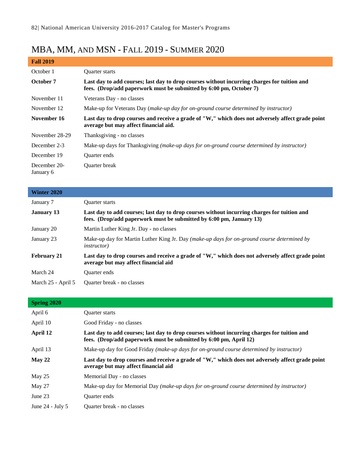## MBA, MM, AND MSN - FALL 2019 - SUMMER 2020

| <b>Fall 2019</b>          |                                                                                                                                                                   |
|---------------------------|-------------------------------------------------------------------------------------------------------------------------------------------------------------------|
| October 1                 | <b>Ouarter starts</b>                                                                                                                                             |
| October 7                 | Last day to add courses; last day to drop courses without incurring charges for tuition and<br>fees. (Drop/add paperwork must be submitted by 6:00 pm, October 7) |
| November 11               | Veterans Day - no classes                                                                                                                                         |
| November 12               | Make-up for Veterans Day (make-up day for on-ground course determined by instructor)                                                                              |
| November 16               | Last day to drop courses and receive a grade of "W," which does not adversely affect grade point<br>average but may affect financial aid.                         |
| November 28-29            | Thanksgiving - no classes                                                                                                                                         |
| December 2-3              | Make-up days for Thanksgiving (make-up days for on-ground course determined by instructor)                                                                        |
| December 19               | <b>Ouarter</b> ends                                                                                                                                               |
| December 20-<br>January 6 | <b>Ouarter</b> break                                                                                                                                              |

| <b>Winter 2020</b> |                                                                                                                                                                    |
|--------------------|--------------------------------------------------------------------------------------------------------------------------------------------------------------------|
| January 7          | <b>Ouarter starts</b>                                                                                                                                              |
| <b>January 13</b>  | Last day to add courses; last day to drop courses without incurring charges for tuition and<br>fees. (Drop/add paperwork must be submitted by 6:00 pm, January 13) |
| January 20         | Martin Luther King Jr. Day - no classes                                                                                                                            |
| January 23         | Make-up day for Martin Luther King Jr. Day (make-up days for on-ground course determined by<br><i>instructor</i> )                                                 |
| <b>February 21</b> | Last day to drop courses and receive a grade of "W," which does not adversely affect grade point<br>average but may affect financial aid                           |
| March 24           | Quarter ends                                                                                                                                                       |
| March 25 - April 5 | Quarter break - no classes                                                                                                                                         |

| <b>Spring 2020</b>         |                                                                                                                                                                  |
|----------------------------|------------------------------------------------------------------------------------------------------------------------------------------------------------------|
| April 6                    | <b>Ouarter starts</b>                                                                                                                                            |
| April 10                   | Good Friday - no classes                                                                                                                                         |
| April 12                   | Last day to add courses; last day to drop courses without incurring charges for tuition and<br>fees. (Drop/add paperwork must be submitted by 6:00 pm, April 12) |
| April 13                   | Make-up day for Good Friday (make-up days for on-ground course determined by instructor)                                                                         |
| May 22                     | Last day to drop courses and receive a grade of "W," which does not adversely affect grade point<br>average but may affect financial aid                         |
| May 25                     | Memorial Day - no classes                                                                                                                                        |
| May 27                     | Make-up day for Memorial Day (make-up days for on-ground course determined by instructor)                                                                        |
| June 23                    | <b>Ouarter</b> ends                                                                                                                                              |
| June $24 - \text{July } 5$ | Quarter break - no classes                                                                                                                                       |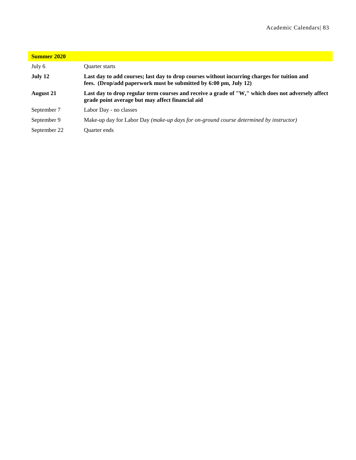| <b>Summer 2020</b> |                                                                                                                                                                 |
|--------------------|-----------------------------------------------------------------------------------------------------------------------------------------------------------------|
| July 6             | Quarter starts                                                                                                                                                  |
| July 12            | Last day to add courses; last day to drop courses without incurring charges for tuition and<br>fees. (Drop/add paperwork must be submitted by 6:00 pm, July 12) |
| <b>August 21</b>   | Last day to drop regular term courses and receive a grade of "W," which does not adversely affect<br>grade point average but may affect financial aid           |
| September 7        | Labor Day - no classes                                                                                                                                          |
| September 9        | Make-up day for Labor Day (make-up days for on-ground course determined by instructor)                                                                          |
| September 22       | Ouarter ends                                                                                                                                                    |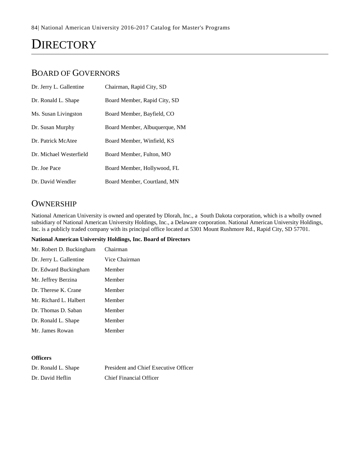# **DIRECTORY**

### BOARD OF GOVERNORS

| Dr. Jerry L. Gallentine | Chairman, Rapid City, SD      |
|-------------------------|-------------------------------|
| Dr. Ronald L. Shape     | Board Member, Rapid City, SD  |
| Ms. Susan Livingston    | Board Member, Bayfield, CO    |
| Dr. Susan Murphy        | Board Member, Albuquerque, NM |
| Dr. Patrick McAtee      | Board Member, Winfield, KS    |
| Dr. Michael Westerfield | Board Member, Fulton, MO      |
| Dr. Joe Pace            | Board Member, Hollywood, FL   |
| Dr. David Wendler       | Board Member, Courtland, MN   |

## **OWNERSHIP**

National American University is owned and operated by Dlorah, Inc., a South Dakota corporation, which is a wholly owned subsidiary of National American University Holdings, Inc., a Delaware corporation. National American University Holdings, Inc. is a publicly traded company with its principal office located at 5301 Mount Rushmore Rd., Rapid City, SD 57701.

#### **National American University Holdings, Inc. Board of Directors**

| Mr. Robert D. Buckingham | Chairman      |
|--------------------------|---------------|
| Dr. Jerry L. Gallentine  | Vice Chairman |
| Dr. Edward Buckingham    | Member        |
| Mr. Jeffrey Berzina      | Member        |
| Dr. Therese K. Crane     | Member        |
| Mr. Richard L. Halbert   | Member        |
| Dr. Thomas D. Saban      | Member        |
| Dr. Ronald L. Shape      | Member        |
| Mr. James Rowan          | Member        |

#### **Officers**

| Dr. Ronald L. Shape | President and Chief Executive Officer |
|---------------------|---------------------------------------|
| Dr. David Heflin    | <b>Chief Financial Officer</b>        |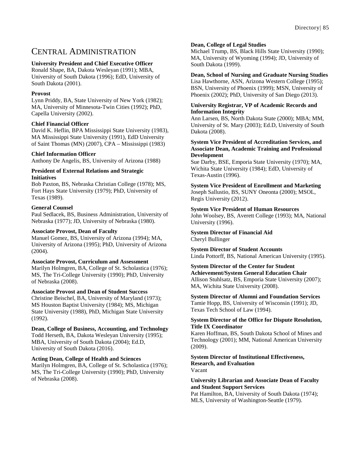## CENTRAL ADMINISTRATION

#### **University President and Chief Executive Officer**

Ronald Shape, BA, Dakota Wesleyan (1991); MBA, University of South Dakota (1996); EdD, University of South Dakota (2001).

#### **Provost**

Lynn Priddy, BA, State University of New York (1982); MA, University of Minnesota-Twin Cities (1992); PhD, Capella University (2002).

#### **Chief Financial Officer**

David K. Heflin, BPA Mississippi State University (1983), MA Mississippi State University (1991), EdD University of Saint Thomas (MN) (2007), CPA – Mississippi (1983)

#### **Chief Information Officer**

Anthony De Angelis, BS, University of Arizona (1988)

#### **President of External Relations and Strategic Initiatives**

Bob Paxton, BS, Nebraska Christian College (1978); MS, Fort Hays State University (1979); PhD, University of Texas (1989).

#### **General Counsel**

Paul Sedlacek, BS, Business Administration, University of Nebraska (1977); JD, University of Nebraska (1980).

#### **Associate Provost, Dean of Faculty**

Manuel Gomez, BS, University of Arizona (1994); MA, University of Arizona (1995); PhD, University of Arizona (2004).

#### **Associate Provost, Curriculum and Assessment**

Marilyn Holmgren, BA, College of St. Scholastica (1976); MS, The Tri-College University (1990); PhD, University of Nebraska (2008).

#### **Associate Provost and Dean of Student Success**

Christine Beischel, BA, University of Maryland (1973); MS Houston Baptist University (1984); MS, Michigan State University (1988), PhD, Michigan State University (1992).

#### **Dean, College of Business, Accounting, and Technology**

Todd Herseth, BA, Dakota Wesleyan University (1995); MBA, University of South Dakota (2004); Ed.D, University of South Dakota (2016).

#### **Acting Dean, College of Health and Sciences**

Marilyn Holmgren, BA, College of St. Scholastica (1976); MS, The Tri-College University (1990); PhD, University of Nebraska (2008).

#### **Dean, College of Legal Studies**

Michael Trump, BS, Black Hills State University (1990); MA, University of Wyoming (1994); JD, University of South Dakota (1999).

#### **Dean, School of Nursing and Graduate Nursing Studies**

Lisa Hawthorne, ASN, Arizona Western College (1995); BSN, University of Phoenix (1999); MSN, University of Phoenix (2002); PhD, University of San Diego (2013).

#### **University Registrar, VP of Academic Records and Information Integrity**

Ann Larsen, BS, North Dakota State (2000); MBA; MM, University of St. Mary (2003); Ed.D, University of South Dakota (2008).

#### **System Vice President of Accreditation Services, and Associate Dean, Academic Training and Professional Development**

Sue Darby, BSE, Emporia State University (1970); MA, Wichita State University (1984); EdD, University of Texas-Austin (1996).

#### **System Vice President of Enrollment and Marketing**  Joseph Sallustio, BS, SUNY Oneonta (2000); MSOL, Regis University (2012).

#### **System Vice President of Human Resources**

John Woolsey, BS, Averett College (1993); MA, National University (1996).

## **System Director of Financial Aid**

Cheryl Bullinger

**System Director of Student Accounts** Linda Pottorff, BS, National American University (1995).

#### **System Director of the Center for Student**

**Achievement/System General Education Chair** Allison Stuhlsatz, BS, Emporia State University (2007); MA, Wichita State University (2008).

**System Director of Alumni and Foundation Services** Tamie Hopp, BS, University of Wisconsin (1991); JD, Texas Tech School of Law (1994).

#### **System Director of the Office for Dispute Resolution, Title IX Coordinator**

Karen Hoffman, BS, South Dakota School of Mines and Technology (2001); MM, National American University (2009).

#### **System Director of Institutional Effectiveness, Research, and Evaluation** Vacant

#### **University Librarian and Associate Dean of Faculty and Student Support Services**

Pat Hamilton, BA, University of South Dakota (1974); MLS, University of Washington-Seattle (1979).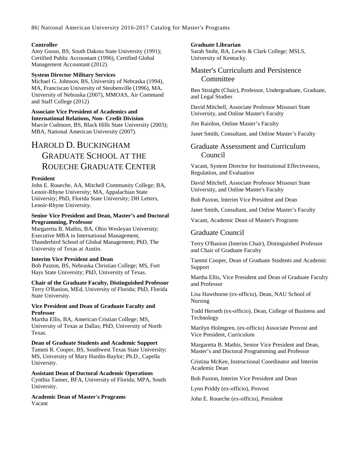86| National American University 2016-2017 Catalog for Master's Programs

#### **Controller**

Amy Gusso, BS, South Dakota State University (1991); Certified Public Accountant (1996), Certified Global Management Accountant (2012).

#### **System Director Military Services**

Michael G. Johnson, BS, University of Nebraska (1994), MA, Franciscan University of Steubenville (1996), MA, University of Nebraska (2007), MMOAS, Air Command and Staff College (2012)

**Associate Vice President of Academics and International Relations, Non- Credit Division** Marcie Cudmore, BS, Black Hills State University (2003); MBA, National American University (2007).

## HAROLD D. BUCKINGHAM GRADUATE SCHOOL AT THE ROUECHE GRADUATE CENTER

#### **President**

John E. Roueche, AA, Mitchell Community College; BA, Lenoir-Rhyne University; MA, Appalachian State University; PhD, Florida State University; DH Letters, Lenoir-Rhyne University.

#### **Senior Vice President and Dean, Master's and Doctoral Programming, Professor**

Margaretta B. Mathis, BA, Ohio Wesleyan University; Executive MBA in International Management, Thunderbird School of Global Management; PhD, The University of Texas at Austin.

#### **Interim Vice President and Dean**

Bob Paxton, BS, Nebraska Christian College; MS, Fort Hays State University; PhD, University of Texas.

#### **Chair of the Graduate Faculty, Distinguished Professor**

Terry O'Banion, MEd, University of Florida; PhD, Florida State University.

#### **Vice President and Dean of Graduate Faculty and Professor**

Martha Ellis, BA, American Cristian College; MS, University of Texas at Dallas; PhD, University of North Texas.

#### **Dean of Graduate Students and Academic Support**

Tammi R. Cooper, BS, Southwest Texas State University; MS, University of Mary Hardin-Baylor; Ph.D., Capella University.

#### **Assistant Dean of Doctoral Academic Operations**

Cynthia Tanner, BFA, University of Florida; MPA, South University.

#### **Academic Dean of Master's Programs** Vacant

#### **Graduate Librarian**

Sarah Stohr, BA, Lewis & Clark College; MSLS, University of Kentucky.

#### Master's Curriculum and Persistence **Committee**

Ben Straight (Chair), Professor, Undergraduate, Graduate, and Legal Studies

David Mitchell, Associate Professor Missouri State University, and Online Master's Faculty

Jim Rairdon, Online Master's Faculty

Janet Smith, Consultant, and Online Master's Faculty

#### Graduate Assessment and Curriculum Council

Vacant, System Director for Institutional Effectiveness, Regulation, and Evaluation

David Mitchell, Associate Professor Missouri State University, and Online Master's Faculty

Bob Paxton, Interim Vice President and Dean

Janet Smith, Consultant, and Online Master's Faculty

Vacant, Academic Dean of Master's Programs

#### Graduate Council

Terry O'Banion (Interim Chair), Distinguished Professor and Chair of Graduate Faculty

Tammi Cooper, Dean of Graduate Students and Academic Support

Martha Ellis, Vice President and Dean of Graduate Faculty and Professor

Lisa Hawthorne (ex-officio), Dean, NAU School of Nursing

Todd Herseth (ex-officio), Dean, College of Business and Technology

Marilyn Holmgren, (ex-officio) Associate Provost and Vice President, Curriculum

Margaretta B. Mathis, Senior Vice President and Dean, Master's and Doctoral Programming and Professor

Cristina McKee, Instructional Coordinator and Interim Academic Dean

Bob Paxton, Interim Vice President and Dean

Lynn Priddy (ex-officio), Provost

John E. Roueche (ex-officio), President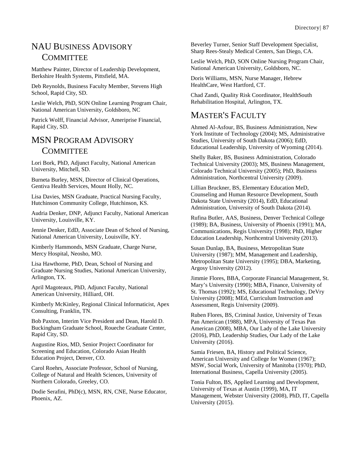## NAU BUSINESS ADVISORY **COMMITTEE**

Matthew Painter, Director of Leadership Development, Berkshire Health Systems, Pittsfield, MA.

Deb Reynolds, Business Faculty Member, Stevens High School, Rapid City, SD.

Leslie Welch, PhD, SON Online Learning Program Chair, National American University, Goldsboro, NC

Patrick Wolff, Financial Advisor, Ameriprise Financial, Rapid City, SD.

# MSN PROGRAM ADVISORY

### **COMMITTEE**

Lori Bork, PhD, Adjunct Faculty, National American University, Mitchell, SD.

Burneta Burley, MSN, Director of Clinical Operations, Gentiva Health Services, Mount Holly, NC.

Lisa Davies, MSN Graduate, Practical Nursing Faculty, Hutchinson Community College, Hutchinson, KS.

Audria Denker, DNP, Adjunct Faculty, National American University, Louisville, KY.

Jennie Denker, EdD, Associate Dean of School of Nursing, National American University, Louisville, KY.

Kimberly Hammonds, MSN Graduate, Charge Nurse, Mercy Hospital, Neosho, MO.

Lisa Hawthorne, PhD, Dean, School of Nursing and Graduate Nursing Studies, National American University, Arlington, TX.

April Magoteaux, PhD, Adjunct Faculty, National American University, Hilliard, OH.

Kimberly McKinley, Regional Clinical Informaticist, Apex Consulting, Franklin, TN.

Bob Paxton, Interim Vice President and Dean, Harold D. Buckingham Graduate School, Roueche Graduate Center, Rapid City, SD.

Augustine Rios, MD, Senior Project Coordinator for Screening and Education, Colorado Asian Health Education Project, Denver, CO.

Carol Roehrs, Associate Professor, School of Nursing, College of Natural and Health Sciences, University of Northern Colorado, Greeley, CO.

Dodie Serafini, PhD(c), MSN, RN, CNE, Nurse Educator, Phoenix, AZ.

Beverley Turner, Senior Staff Development Specialist, Sharp Rees-Stealy Medical Centers, San Diego, CA.

Leslie Welch, PhD, SON Online Nursing Program Chair, National American University, Goldsboro, NC.

Doris Williams, MSN, Nurse Manager, Hebrew HealthCare, West Hartford, CT.

Chad Zandi, Quality Risk Coordinator, HealthSouth Rehabilitation Hospital, Arlington, TX.

## MASTER'S FACULTY

Ahmed Al-Asfour, BS, Business Administration, New York Institute of Technology (2004); MS, Administrative Studies, University of South Dakota (2006); EdD, Educational Leadership, University of Wyoming (2014).

Shelly Baker, BS, Business Administration, Colorado Technical University (2003); MS, Business Management, Colorado Technical University (2005); PhD, Business Administration, Northcentral University (2009).

Lillian Bruckner, BS, Elementary Education MeD, Counseling and Human Resource Development, South Dakota State University (2014), EdD, Educational Administration, University of South Dakota (2014).

Rufina Butler, AAS, Business, Denver Technical College (1989); BA, Business, University of Phoenix (1991); MA, Communications, Regis University (1998); PhD, Higher Education Leadership, Northcentral University (2013).

Susan Dunlap, BA, Business, Metropolitan State University (1987); MM, Management and Leadership, Metropolitan State University (1995); DBA, Marketing, Argosy University (2012).

Jimmie Flores, BBA, Corporate Financial Management, St. Mary's University (1990); MBA, Finance, University of St. Thomas (1992); MS, Educational Technology, DeVry University (2008); MEd, Curriculum Instruction and Assessment, Regis University (2009).

Ruben Flores, BS, Criminal Justice, University of Texas Pan American (1988), MPA, University of Texas Pan American (2008), MBA, Our Lady of the Lake University (2016), PhD, Leadership Studies, Our Lady of the Lake University (2016).

Samia Friesen, BA, History and Political Science, American University and College for Women (1967); MSW, Social Work, University of Manitoba (1970); PhD, International Business, Capella University (2005).

Tonia Fulton, BS, Applied Learning and Development, University of Texas at Austin (1999), MA, IT Management, Webster University (2008), PhD, IT, Capella University (2015).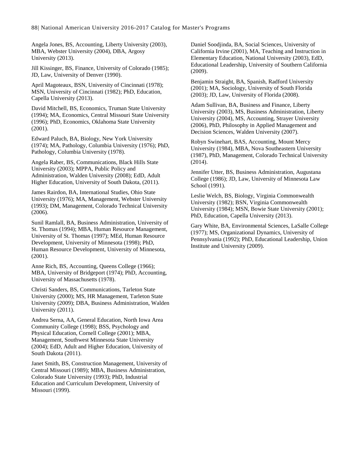Angela Jones, BS, Accounting, Liberty University (2003), MBA, Webster University (2004), DBA, Argosy University (2013).

Jill Kissinger, BS, Finance, University of Colorado (1985); JD, Law, University of Denver (1990).

April Magoteaux, BSN, University of Cincinnati (1978); MSN, University of Cincinnati (1982); PhD, Education, Capella University (2013).

David Mitchell, BS, Economics, Truman State University (1994); MA, Economics, Central Missouri State University (1996); PhD, Economics, Oklahoma State University (2001).

Edward Paluch, BA, Biology, New York University (1974); MA, Pathology, Columbia University (1976); PhD, Pathology, Columbia University (1978).

Angela Raber, BS, Communications, Black Hills State University (2003); MPPA, Public Policy and Administration, Walden University (2008); EdD, Adult Higher Education, University of South Dakota, (2011).

James Rairdon, BA, International Studies, Ohio State University (1976); MA, Management, Webster University (1993); DM, Management, Colorado Technical University (2006).

Sunil Ramlall, BA, Business Administration, University of St. Thomas (1994); MBA, Human Resource Management, University of St. Thomas (1997); MEd, Human Resource Development, University of Minnesota (1998); PhD, Human Resource Development, University of Minnesota, (2001).

Anne Rich, BS, Accounting, Queens College (1966); MBA, University of Bridgeport (1974); PhD, Accounting, University of Massachusetts (1978).

Christi Sanders, BS, Communications, Tarleton State University (2000); MS, HR Management, Tarleton State University (2009); DBA, Business Administration, Walden University (2011).

Andrea Serna, AA, General Education, North Iowa Area Community College (1998); BSS, Psychology and Physical Education, Cornell College (2001); MBA, Management, Southwest Minnesota State University (2004); EdD, Adult and Higher Education, University of South Dakota (2011).

Janet Smith, BS, Construction Management, University of Central Missouri (1989); MBA, Business Administration, Colorado State University (1993); PhD, Industrial Education and Curriculum Development, University of Missouri (1999).

Daniel Soodjinda, BA, Social Sciences, University of California Irvine (2001), MA, Teaching and Instruction in Elementary Education, National University (2003), EdD, Educational Leadership, University of Southern California (2009).

Benjamin Straight, BA, Spanish, Radford University (2001); MA, Sociology, University of South Florida (2003); JD, Law, University of Florida (2008).

Adam Sullivan, BA, Business and Finance, Liberty University (2003), MS, Business Administration, Liberty University (2004), MS, Accounting, Strayer University (2006), PhD, Philosophy in Applied Management and Decision Sciences, Walden University (2007).

Robyn Swinehart, BAS, Accounting, Mount Mercy University (1984), MBA, Nova Southeastern University (1987), PhD, Management, Colorado Technical University (2014).

Jennifer Utter, BS, Business Administration, Augustana College (1986); JD, Law, University of Minnesota Law School (1991).

Leslie Welch, BS, Biology, Virginia Commonwealth University (1982); BSN, Virginia Commonwealth University (1984); MSN, Bowie State University (2001); PhD, Education, Capella University (2013).

Gary White, BA, Environmental Sciences, LaSalle College (1977); MS, Organizational Dynamics, University of Pennsylvania (1992); PhD, Educational Leadership, Union Institute and University (2009).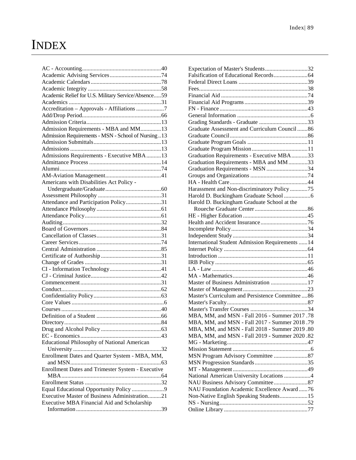# INDEX

| Academic Relief for U.S. Military Service/Absence59 |  |
|-----------------------------------------------------|--|
|                                                     |  |
|                                                     |  |
|                                                     |  |
|                                                     |  |
| Admission Requirements - MBA and MM13               |  |
| Admission Requirements - MSN - School of Nursing 13 |  |
|                                                     |  |
|                                                     |  |
|                                                     |  |
| Admissions Requirements - Executive MBA13           |  |
|                                                     |  |
|                                                     |  |
|                                                     |  |
| Americans with Disabilities Act Policy -            |  |
|                                                     |  |
|                                                     |  |
| Attendance and Participation Policy31               |  |
|                                                     |  |
|                                                     |  |
|                                                     |  |
|                                                     |  |
|                                                     |  |
|                                                     |  |
|                                                     |  |
|                                                     |  |
|                                                     |  |
|                                                     |  |
|                                                     |  |
|                                                     |  |
|                                                     |  |
|                                                     |  |
|                                                     |  |
|                                                     |  |
|                                                     |  |
|                                                     |  |
|                                                     |  |
|                                                     |  |
|                                                     |  |
| <b>Educational Philosophy of National American</b>  |  |
|                                                     |  |
| Enrollment Dates and Quarter System - MBA, MM,      |  |
|                                                     |  |
| Enrollment Dates and Trimester System - Executive   |  |
|                                                     |  |
|                                                     |  |
|                                                     |  |
| Executive Master of Business Administration21       |  |
| Executive MBA Financial Aid and Scholarship         |  |
|                                                     |  |

| Expectation of Master's Students32                      |  |
|---------------------------------------------------------|--|
|                                                         |  |
|                                                         |  |
|                                                         |  |
|                                                         |  |
|                                                         |  |
|                                                         |  |
|                                                         |  |
|                                                         |  |
| Graduate Assessment and Curriculum Council 86           |  |
|                                                         |  |
|                                                         |  |
|                                                         |  |
| Graduation Requirements - Executive MBA33               |  |
| Graduation Requirements - MBA and MM 33                 |  |
| Graduation Requirements - MSN 34                        |  |
|                                                         |  |
|                                                         |  |
| Harassment and Non-discriminatory Policy 75             |  |
|                                                         |  |
| Harold D. Buckingham Graduate School at the             |  |
|                                                         |  |
|                                                         |  |
|                                                         |  |
|                                                         |  |
|                                                         |  |
| <b>International Student Admission Requirements  14</b> |  |
|                                                         |  |
|                                                         |  |
|                                                         |  |
|                                                         |  |
|                                                         |  |
| Master of Business Administration 17                    |  |
|                                                         |  |
| Master's Curriculum and Persistence Committee86         |  |
|                                                         |  |
|                                                         |  |
| MBA, MM, and MSN - Fall 2016 - Summer 2017.78           |  |
| MBA, MM, and MSN - Fall 2017 - Summer 2018 .79          |  |
| MBA, MM, and MSN - Fall 2018 - Summer 2019 .80          |  |
| MBA, MM, and MSN - Fall 2019 - Summer 2020 .82          |  |
|                                                         |  |
|                                                         |  |
|                                                         |  |
|                                                         |  |
|                                                         |  |
| National American University Locations 4                |  |
|                                                         |  |
| NAU Foundation Academic Excellence Award76              |  |
| Non-Native English Speaking Students15                  |  |
|                                                         |  |
|                                                         |  |